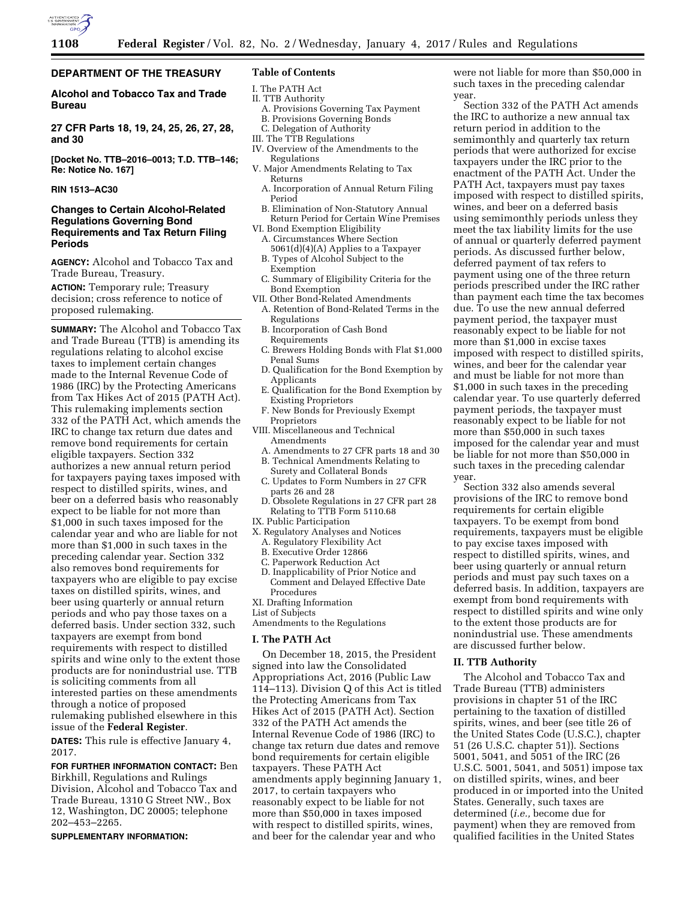

## **DEPARTMENT OF THE TREASURY**

**Alcohol and Tobacco Tax and Trade Bureau** 

**27 CFR Parts 18, 19, 24, 25, 26, 27, 28, and 30** 

**[Docket No. TTB–2016–0013; T.D. TTB–146; Re: Notice No. 167]** 

## **RIN 1513–AC30**

## **Changes to Certain Alcohol-Related Regulations Governing Bond Requirements and Tax Return Filing Periods**

**AGENCY:** Alcohol and Tobacco Tax and Trade Bureau, Treasury.

**ACTION:** Temporary rule; Treasury decision; cross reference to notice of proposed rulemaking.

**SUMMARY:** The Alcohol and Tobacco Tax and Trade Bureau (TTB) is amending its regulations relating to alcohol excise taxes to implement certain changes made to the Internal Revenue Code of 1986 (IRC) by the Protecting Americans from Tax Hikes Act of 2015 (PATH Act). This rulemaking implements section 332 of the PATH Act, which amends the IRC to change tax return due dates and remove bond requirements for certain eligible taxpayers. Section 332 authorizes a new annual return period for taxpayers paying taxes imposed with respect to distilled spirits, wines, and beer on a deferred basis who reasonably expect to be liable for not more than \$1,000 in such taxes imposed for the calendar year and who are liable for not more than \$1,000 in such taxes in the preceding calendar year. Section 332 also removes bond requirements for taxpayers who are eligible to pay excise taxes on distilled spirits, wines, and beer using quarterly or annual return periods and who pay those taxes on a deferred basis. Under section 332, such taxpayers are exempt from bond requirements with respect to distilled spirits and wine only to the extent those products are for nonindustrial use. TTB is soliciting comments from all interested parties on these amendments through a notice of proposed rulemaking published elsewhere in this issue of the **Federal Register**.

**DATES:** This rule is effective January 4, 2017.

**FOR FURTHER INFORMATION CONTACT:** Ben Birkhill, Regulations and Rulings Division, Alcohol and Tobacco Tax and Trade Bureau, 1310 G Street NW., Box 12, Washington, DC 20005; telephone 202–453–2265.

**SUPPLEMENTARY INFORMATION:** 

## **Table of Contents**

- I. The PATH Act II. TTB Authority
- 
- A. Provisions Governing Tax Payment B. Provisions Governing Bonds
- C. Delegation of Authority
- III. The TTB Regulations
- IV. Overview of the Amendments to the
- Regulations
- V. Major Amendments Relating to Tax Returns
	- A. Incorporation of Annual Return Filing Period
	- B. Elimination of Non-Statutory Annual Return Period for Certain Wine Premises
- VI. Bond Exemption Eligibility A. Circumstances Where Section
	- 5061(d)(4)(A) Applies to a Taxpayer B. Types of Alcohol Subject to the
	- Exemption
- C. Summary of Eligibility Criteria for the Bond Exemption
- VII. Other Bond-Related Amendments
	- A. Retention of Bond-Related Terms in the Regulations
	- B. Incorporation of Cash Bond **Requirements**
	- C. Brewers Holding Bonds with Flat \$1,000 Penal Sums
	- D. Qualification for the Bond Exemption by Applicants
	- E. Qualification for the Bond Exemption by Existing Proprietors
	- F. New Bonds for Previously Exempt Proprietors VIII. Miscellaneous and Technical Amendments
		- A. Amendments to 27 CFR parts 18 and 30
		- B. Technical Amendments Relating to
		- Surety and Collateral Bonds C. Updates to Form Numbers in 27 CFR
		- parts 26 and 28
		- D. Obsolete Regulations in 27 CFR part 28 Relating to TTB Form 5110.68
	- IX. Public Participation
	- X. Regulatory Analyses and Notices
		- A. Regulatory Flexibility Act
		- B. Executive Order 12866
		- C. Paperwork Reduction Act
		- D. Inapplicability of Prior Notice and Comment and Delayed Effective Date Procedures
	- XI. Drafting Information
	- List of Subjects

Amendments to the Regulations

#### **I. The PATH Act**

On December 18, 2015, the President signed into law the Consolidated Appropriations Act, 2016 (Public Law 114–113). Division Q of this Act is titled the Protecting Americans from Tax Hikes Act of 2015 (PATH Act). Section 332 of the PATH Act amends the Internal Revenue Code of 1986 (IRC) to change tax return due dates and remove bond requirements for certain eligible taxpayers. These PATH Act amendments apply beginning January 1, 2017, to certain taxpayers who reasonably expect to be liable for not more than \$50,000 in taxes imposed with respect to distilled spirits, wines, and beer for the calendar year and who

were not liable for more than \$50,000 in such taxes in the preceding calendar year.

Section 332 of the PATH Act amends the IRC to authorize a new annual tax return period in addition to the semimonthly and quarterly tax return periods that were authorized for excise taxpayers under the IRC prior to the enactment of the PATH Act. Under the PATH Act, taxpayers must pay taxes imposed with respect to distilled spirits, wines, and beer on a deferred basis using semimonthly periods unless they meet the tax liability limits for the use of annual or quarterly deferred payment periods. As discussed further below, deferred payment of tax refers to payment using one of the three return periods prescribed under the IRC rather than payment each time the tax becomes due. To use the new annual deferred payment period, the taxpayer must reasonably expect to be liable for not more than \$1,000 in excise taxes imposed with respect to distilled spirits, wines, and beer for the calendar year and must be liable for not more than \$1,000 in such taxes in the preceding calendar year. To use quarterly deferred payment periods, the taxpayer must reasonably expect to be liable for not more than \$50,000 in such taxes imposed for the calendar year and must be liable for not more than \$50,000 in such taxes in the preceding calendar year.

Section 332 also amends several provisions of the IRC to remove bond requirements for certain eligible taxpayers. To be exempt from bond requirements, taxpayers must be eligible to pay excise taxes imposed with respect to distilled spirits, wines, and beer using quarterly or annual return periods and must pay such taxes on a deferred basis. In addition, taxpayers are exempt from bond requirements with respect to distilled spirits and wine only to the extent those products are for nonindustrial use. These amendments are discussed further below.

### **II. TTB Authority**

The Alcohol and Tobacco Tax and Trade Bureau (TTB) administers provisions in chapter 51 of the IRC pertaining to the taxation of distilled spirits, wines, and beer (see title 26 of the United States Code (U.S.C.), chapter 51 (26 U.S.C. chapter 51)). Sections 5001, 5041, and 5051 of the IRC (26 U.S.C. 5001, 5041, and 5051) impose tax on distilled spirits, wines, and beer produced in or imported into the United States. Generally, such taxes are determined (*i.e.,* become due for payment) when they are removed from qualified facilities in the United States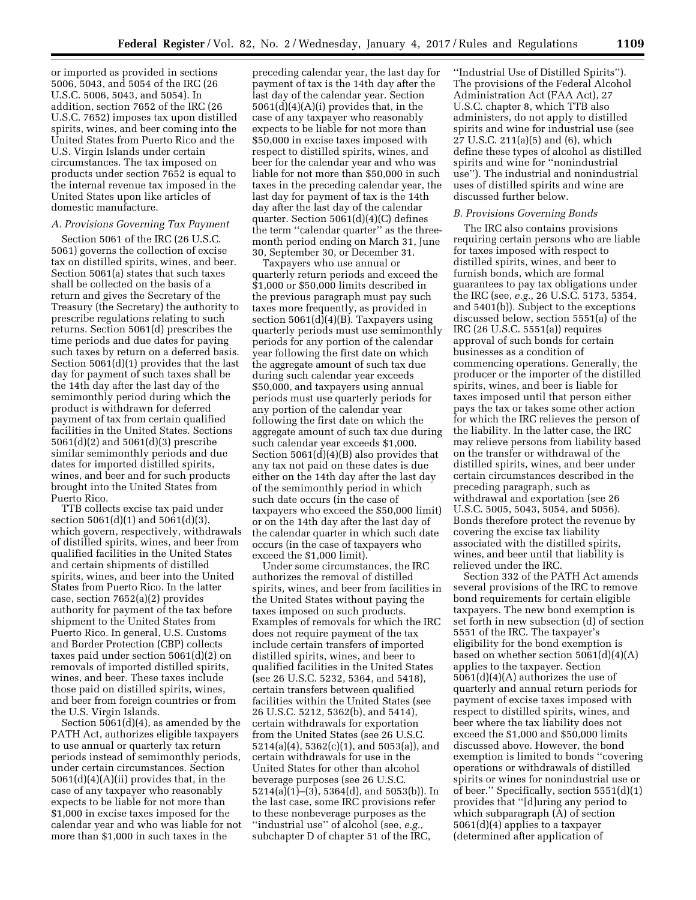or imported as provided in sections 5006, 5043, and 5054 of the IRC (26 U.S.C. 5006, 5043, and 5054). In addition, section 7652 of the IRC (26 U.S.C. 7652) imposes tax upon distilled spirits, wines, and beer coming into the United States from Puerto Rico and the U.S. Virgin Islands under certain circumstances. The tax imposed on products under section 7652 is equal to the internal revenue tax imposed in the United States upon like articles of domestic manufacture.

## *A. Provisions Governing Tax Payment*

Section 5061 of the IRC (26 U.S.C. 5061) governs the collection of excise tax on distilled spirits, wines, and beer. Section 5061(a) states that such taxes shall be collected on the basis of a return and gives the Secretary of the Treasury (the Secretary) the authority to prescribe regulations relating to such returns. Section 5061(d) prescribes the time periods and due dates for paying such taxes by return on a deferred basis. Section 5061(d)(1) provides that the last day for payment of such taxes shall be the 14th day after the last day of the semimonthly period during which the product is withdrawn for deferred payment of tax from certain qualified facilities in the United States. Sections 5061(d)(2) and 5061(d)(3) prescribe similar semimonthly periods and due dates for imported distilled spirits, wines, and beer and for such products brought into the United States from Puerto Rico.

TTB collects excise tax paid under section 5061(d)(1) and 5061(d)(3), which govern, respectively, withdrawals of distilled spirits, wines, and beer from qualified facilities in the United States and certain shipments of distilled spirits, wines, and beer into the United States from Puerto Rico. In the latter case, section 7652(a)(2) provides authority for payment of the tax before shipment to the United States from Puerto Rico. In general, U.S. Customs and Border Protection (CBP) collects taxes paid under section 5061(d)(2) on removals of imported distilled spirits, wines, and beer. These taxes include those paid on distilled spirits, wines, and beer from foreign countries or from the U.S. Virgin Islands.

Section 5061(d)(4), as amended by the PATH Act, authorizes eligible taxpayers to use annual or quarterly tax return periods instead of semimonthly periods, under certain circumstances. Section  $5061(d)(4)(A)(ii)$  provides that, in the case of any taxpayer who reasonably expects to be liable for not more than \$1,000 in excise taxes imposed for the calendar year and who was liable for not more than \$1,000 in such taxes in the

preceding calendar year, the last day for payment of tax is the 14th day after the last day of the calendar year. Section 5061(d)(4)(A)(i) provides that, in the case of any taxpayer who reasonably expects to be liable for not more than \$50,000 in excise taxes imposed with respect to distilled spirits, wines, and beer for the calendar year and who was liable for not more than \$50,000 in such taxes in the preceding calendar year, the last day for payment of tax is the 14th day after the last day of the calendar quarter. Section 5061(d)(4)(C) defines the term ''calendar quarter'' as the threemonth period ending on March 31, June 30, September 30, or December 31.

Taxpayers who use annual or quarterly return periods and exceed the \$1,000 or \$50,000 limits described in the previous paragraph must pay such taxes more frequently, as provided in section 5061(d)(4)(B). Taxpayers using quarterly periods must use semimonthly periods for any portion of the calendar year following the first date on which the aggregate amount of such tax due during such calendar year exceeds \$50,000, and taxpayers using annual periods must use quarterly periods for any portion of the calendar year following the first date on which the aggregate amount of such tax due during such calendar year exceeds \$1,000. Section 5061(d)(4)(B) also provides that any tax not paid on these dates is due either on the 14th day after the last day of the semimonthly period in which such date occurs (in the case of taxpayers who exceed the \$50,000 limit) or on the 14th day after the last day of the calendar quarter in which such date occurs (in the case of taxpayers who exceed the \$1,000 limit).

Under some circumstances, the IRC authorizes the removal of distilled spirits, wines, and beer from facilities in the United States without paying the taxes imposed on such products. Examples of removals for which the IRC does not require payment of the tax include certain transfers of imported distilled spirits, wines, and beer to qualified facilities in the United States (see 26 U.S.C. 5232, 5364, and 5418), certain transfers between qualified facilities within the United States (see 26 U.S.C. 5212, 5362(b), and 5414), certain withdrawals for exportation from the United States (see 26 U.S.C. 5214(a)(4), 5362(c)(1), and 5053(a)), and certain withdrawals for use in the United States for other than alcohol beverage purposes (see 26 U.S.C. 5214(a)(1)–(3), 5364(d), and 5053(b)). In the last case, some IRC provisions refer to these nonbeverage purposes as the ''industrial use'' of alcohol (see, *e.g.,*  subchapter D of chapter 51 of the IRC,

''Industrial Use of Distilled Spirits''). The provisions of the Federal Alcohol Administration Act (FAA Act), 27 U.S.C. chapter 8, which TTB also administers, do not apply to distilled spirits and wine for industrial use (see 27 U.S.C. 211(a)(5) and (6), which define these types of alcohol as distilled spirits and wine for ''nonindustrial use''). The industrial and nonindustrial uses of distilled spirits and wine are discussed further below.

### *B. Provisions Governing Bonds*

The IRC also contains provisions requiring certain persons who are liable for taxes imposed with respect to distilled spirits, wines, and beer to furnish bonds, which are formal guarantees to pay tax obligations under the IRC (see, *e.g.,* 26 U.S.C. 5173, 5354, and 5401(b)). Subject to the exceptions discussed below, section 5551(a) of the IRC (26 U.S.C. 5551(a)) requires approval of such bonds for certain businesses as a condition of commencing operations. Generally, the producer or the importer of the distilled spirits, wines, and beer is liable for taxes imposed until that person either pays the tax or takes some other action for which the IRC relieves the person of the liability. In the latter case, the IRC may relieve persons from liability based on the transfer or withdrawal of the distilled spirits, wines, and beer under certain circumstances described in the preceding paragraph, such as withdrawal and exportation (see 26 U.S.C. 5005, 5043, 5054, and 5056). Bonds therefore protect the revenue by covering the excise tax liability associated with the distilled spirits, wines, and beer until that liability is relieved under the IRC.

Section 332 of the PATH Act amends several provisions of the IRC to remove bond requirements for certain eligible taxpayers. The new bond exemption is set forth in new subsection (d) of section 5551 of the IRC. The taxpayer's eligibility for the bond exemption is based on whether section  $5061(d)(4)(A)$ applies to the taxpayer. Section 5061(d)(4)(A) authorizes the use of quarterly and annual return periods for payment of excise taxes imposed with respect to distilled spirits, wines, and beer where the tax liability does not exceed the \$1,000 and \$50,000 limits discussed above. However, the bond exemption is limited to bonds ''covering operations or withdrawals of distilled spirits or wines for nonindustrial use or of beer.'' Specifically, section 5551(d)(1) provides that ''[d]uring any period to which subparagraph (A) of section 5061(d)(4) applies to a taxpayer (determined after application of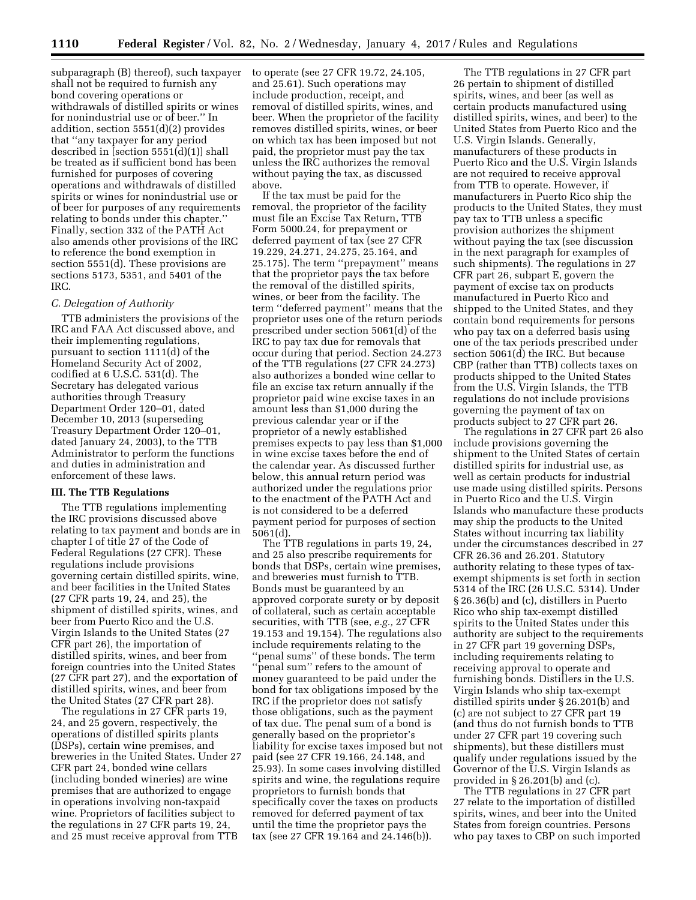subparagraph (B) thereof), such taxpayer shall not be required to furnish any bond covering operations or withdrawals of distilled spirits or wines for nonindustrial use or of beer.'' In addition, section 5551(d)(2) provides that ''any taxpayer for any period described in [section 5551(d)(1)] shall be treated as if sufficient bond has been furnished for purposes of covering operations and withdrawals of distilled spirits or wines for nonindustrial use or of beer for purposes of any requirements relating to bonds under this chapter.'' Finally, section 332 of the PATH Act also amends other provisions of the IRC to reference the bond exemption in section 5551(d). These provisions are sections 5173, 5351, and 5401 of the IRC.

### *C. Delegation of Authority*

TTB administers the provisions of the IRC and FAA Act discussed above, and their implementing regulations, pursuant to section 1111(d) of the Homeland Security Act of 2002, codified at 6 U.S.C. 531(d). The Secretary has delegated various authorities through Treasury Department Order 120–01, dated December 10, 2013 (superseding Treasury Department Order 120–01, dated January 24, 2003), to the TTB Administrator to perform the functions and duties in administration and enforcement of these laws.

## **III. The TTB Regulations**

The TTB regulations implementing the IRC provisions discussed above relating to tax payment and bonds are in chapter I of title 27 of the Code of Federal Regulations (27 CFR). These regulations include provisions governing certain distilled spirits, wine, and beer facilities in the United States (27 CFR parts 19, 24, and 25), the shipment of distilled spirits, wines, and beer from Puerto Rico and the U.S. Virgin Islands to the United States (27 CFR part 26), the importation of distilled spirits, wines, and beer from foreign countries into the United States (27 CFR part 27), and the exportation of distilled spirits, wines, and beer from the United States (27 CFR part 28).

The regulations in 27 CFR parts 19, 24, and 25 govern, respectively, the operations of distilled spirits plants (DSPs), certain wine premises, and breweries in the United States. Under 27 CFR part 24, bonded wine cellars (including bonded wineries) are wine premises that are authorized to engage in operations involving non-taxpaid wine. Proprietors of facilities subject to the regulations in 27 CFR parts 19, 24, and 25 must receive approval from TTB

to operate (see 27 CFR 19.72, 24.105, and 25.61). Such operations may include production, receipt, and removal of distilled spirits, wines, and beer. When the proprietor of the facility removes distilled spirits, wines, or beer on which tax has been imposed but not paid, the proprietor must pay the tax unless the IRC authorizes the removal without paying the tax, as discussed above.

If the tax must be paid for the removal, the proprietor of the facility must file an Excise Tax Return, TTB Form 5000.24, for prepayment or deferred payment of tax (see 27 CFR 19.229, 24.271, 24.275, 25.164, and 25.175). The term ''prepayment'' means that the proprietor pays the tax before the removal of the distilled spirits, wines, or beer from the facility. The term ''deferred payment'' means that the proprietor uses one of the return periods prescribed under section 5061(d) of the IRC to pay tax due for removals that occur during that period. Section 24.273 of the TTB regulations (27 CFR 24.273) also authorizes a bonded wine cellar to file an excise tax return annually if the proprietor paid wine excise taxes in an amount less than \$1,000 during the previous calendar year or if the proprietor of a newly established premises expects to pay less than \$1,000 in wine excise taxes before the end of the calendar year. As discussed further below, this annual return period was authorized under the regulations prior to the enactment of the PATH Act and is not considered to be a deferred payment period for purposes of section 5061(d).

The TTB regulations in parts 19, 24, and 25 also prescribe requirements for bonds that DSPs, certain wine premises, and breweries must furnish to TTB. Bonds must be guaranteed by an approved corporate surety or by deposit of collateral, such as certain acceptable securities, with TTB (see, *e.g.,* 27 CFR 19.153 and 19.154). The regulations also include requirements relating to the ''penal sums'' of these bonds. The term ''penal sum'' refers to the amount of money guaranteed to be paid under the bond for tax obligations imposed by the IRC if the proprietor does not satisfy those obligations, such as the payment of tax due. The penal sum of a bond is generally based on the proprietor's liability for excise taxes imposed but not paid (see 27 CFR 19.166, 24.148, and 25.93). In some cases involving distilled spirits and wine, the regulations require proprietors to furnish bonds that specifically cover the taxes on products removed for deferred payment of tax until the time the proprietor pays the tax (see 27 CFR 19.164 and 24.146(b)).

The TTB regulations in 27 CFR part 26 pertain to shipment of distilled spirits, wines, and beer (as well as certain products manufactured using distilled spirits, wines, and beer) to the United States from Puerto Rico and the U.S. Virgin Islands. Generally, manufacturers of these products in Puerto Rico and the U.S. Virgin Islands are not required to receive approval from TTB to operate. However, if manufacturers in Puerto Rico ship the products to the United States, they must pay tax to TTB unless a specific provision authorizes the shipment without paying the tax (see discussion in the next paragraph for examples of such shipments). The regulations in 27 CFR part 26, subpart E, govern the payment of excise tax on products manufactured in Puerto Rico and shipped to the United States, and they contain bond requirements for persons who pay tax on a deferred basis using one of the tax periods prescribed under section 5061(d) the IRC. But because CBP (rather than TTB) collects taxes on products shipped to the United States from the U.S. Virgin Islands, the TTB regulations do not include provisions governing the payment of tax on products subject to 27 CFR part 26.

The regulations in 27 CFR part 26 also include provisions governing the shipment to the United States of certain distilled spirits for industrial use, as well as certain products for industrial use made using distilled spirits. Persons in Puerto Rico and the U.S. Virgin Islands who manufacture these products may ship the products to the United States without incurring tax liability under the circumstances described in 27 CFR 26.36 and 26.201. Statutory authority relating to these types of taxexempt shipments is set forth in section 5314 of the IRC (26 U.S.C. 5314). Under § 26.36(b) and (c), distillers in Puerto Rico who ship tax-exempt distilled spirits to the United States under this authority are subject to the requirements in 27 CFR part 19 governing DSPs, including requirements relating to receiving approval to operate and furnishing bonds. Distillers in the U.S. Virgin Islands who ship tax-exempt distilled spirits under § 26.201(b) and (c) are not subject to 27 CFR part 19 (and thus do not furnish bonds to TTB under 27 CFR part 19 covering such shipments), but these distillers must qualify under regulations issued by the Governor of the U.S. Virgin Islands as provided in § 26.201(b) and (c).

The TTB regulations in 27 CFR part 27 relate to the importation of distilled spirits, wines, and beer into the United States from foreign countries. Persons who pay taxes to CBP on such imported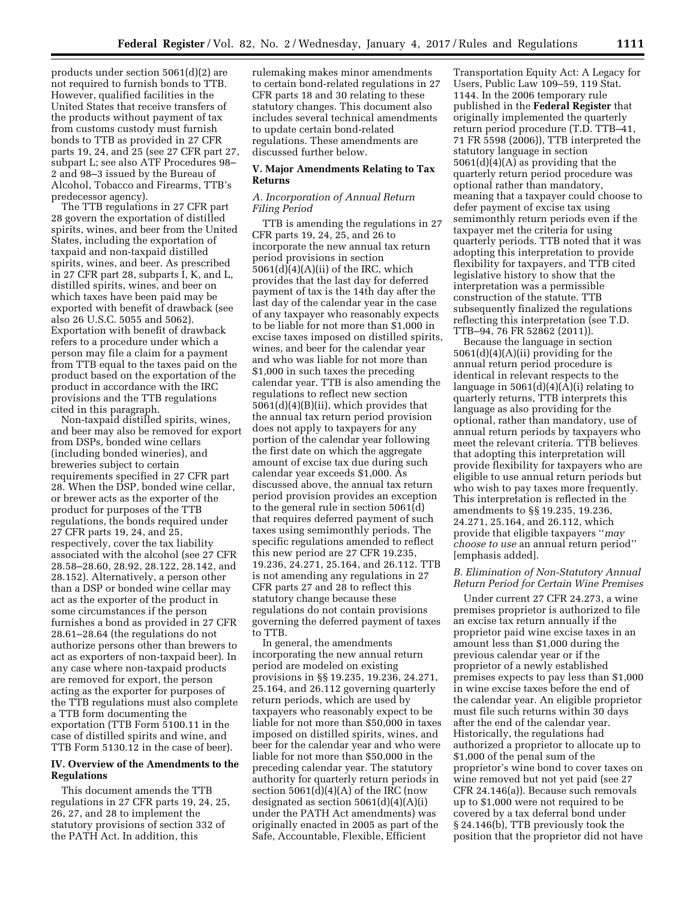products under section 5061(d)(2) are not required to furnish bonds to TTB. However, qualified facilities in the United States that receive transfers of the products without payment of tax from customs custody must furnish bonds to TTB as provided in 27 CFR parts 19, 24, and 25 (see 27 CFR part 27, subpart L; see also ATF Procedures 98– 2 and 98–3 issued by the Bureau of Alcohol, Tobacco and Firearms, TTB's predecessor agency).

The TTB regulations in 27 CFR part 28 govern the exportation of distilled spirits, wines, and beer from the United States, including the exportation of taxpaid and non-taxpaid distilled spirits, wines, and beer. As prescribed in 27 CFR part 28, subparts I, K, and L, distilled spirits, wines, and beer on which taxes have been paid may be exported with benefit of drawback (see also 26 U.S.C. 5055 and 5062). Exportation with benefit of drawback refers to a procedure under which a person may file a claim for a payment from TTB equal to the taxes paid on the product based on the exportation of the product in accordance with the IRC provisions and the TTB regulations cited in this paragraph.

Non-taxpaid distilled spirits, wines, and beer may also be removed for export from DSPs, bonded wine cellars (including bonded wineries), and breweries subject to certain requirements specified in 27 CFR part 28. When the DSP, bonded wine cellar, or brewer acts as the exporter of the product for purposes of the TTB regulations, the bonds required under 27 CFR parts 19, 24, and 25, respectively, cover the tax liability associated with the alcohol (see 27 CFR 28.58–28.60, 28.92, 28.122, 28.142, and 28.152). Alternatively, a person other than a DSP or bonded wine cellar may act as the exporter of the product in some circumstances if the person furnishes a bond as provided in 27 CFR 28.61–28.64 (the regulations do not authorize persons other than brewers to act as exporters of non-taxpaid beer). In any case where non-taxpaid products are removed for export, the person acting as the exporter for purposes of the TTB regulations must also complete a TTB form documenting the exportation (TTB Form 5100.11 in the case of distilled spirits and wine, and TTB Form 5130.12 in the case of beer).

### **IV. Overview of the Amendments to the Regulations**

This document amends the TTB regulations in 27 CFR parts 19, 24, 25, 26, 27, and 28 to implement the statutory provisions of section 332 of the PATH Act. In addition, this

rulemaking makes minor amendments to certain bond-related regulations in 27 CFR parts 18 and 30 relating to these statutory changes. This document also includes several technical amendments to update certain bond-related regulations. These amendments are discussed further below.

## **V. Major Amendments Relating to Tax Returns**

### *A. Incorporation of Annual Return Filing Period*

TTB is amending the regulations in 27 CFR parts 19, 24, 25, and 26 to incorporate the new annual tax return period provisions in section  $5061(d)(4)(A)(ii)$  of the IRC, which provides that the last day for deferred payment of tax is the 14th day after the last day of the calendar year in the case of any taxpayer who reasonably expects to be liable for not more than \$1,000 in excise taxes imposed on distilled spirits, wines, and beer for the calendar year and who was liable for not more than \$1,000 in such taxes the preceding calendar year. TTB is also amending the regulations to reflect new section 5061(d)(4)(B)(ii), which provides that the annual tax return period provision does not apply to taxpayers for any portion of the calendar year following the first date on which the aggregate amount of excise tax due during such calendar year exceeds \$1,000. As discussed above, the annual tax return period provision provides an exception to the general rule in section 5061(d) that requires deferred payment of such taxes using semimonthly periods. The specific regulations amended to reflect this new period are 27 CFR 19.235, 19.236, 24.271, 25.164, and 26.112. TTB is not amending any regulations in 27 CFR parts 27 and 28 to reflect this statutory change because these regulations do not contain provisions governing the deferred payment of taxes to TTB.

In general, the amendments incorporating the new annual return period are modeled on existing provisions in §§ 19.235, 19.236, 24.271, 25.164, and 26.112 governing quarterly return periods, which are used by taxpayers who reasonably expect to be liable for not more than \$50,000 in taxes imposed on distilled spirits, wines, and beer for the calendar year and who were liable for not more than \$50,000 in the preceding calendar year. The statutory authority for quarterly return periods in section  $5061(d)(4)(A)$  of the IRC (now designated as section  $5061(d)(4)(A)(i)$ under the PATH Act amendments) was originally enacted in 2005 as part of the Safe, Accountable, Flexible, Efficient

Transportation Equity Act: A Legacy for Users, Public Law 109–59, 119 Stat. 1144. In the 2006 temporary rule published in the **Federal Register** that originally implemented the quarterly return period procedure (T.D. TTB–41, 71 FR 5598 (2006)), TTB interpreted the statutory language in section 5061(d)(4)(A) as providing that the quarterly return period procedure was optional rather than mandatory, meaning that a taxpayer could choose to defer payment of excise tax using semimonthly return periods even if the taxpayer met the criteria for using quarterly periods. TTB noted that it was adopting this interpretation to provide flexibility for taxpayers, and TTB cited legislative history to show that the interpretation was a permissible construction of the statute. TTB subsequently finalized the regulations reflecting this interpretation (see T.D. TTB–94, 76 FR 52862 (2011)).

Because the language in section 5061(d)(4)(A)(ii) providing for the annual return period procedure is identical in relevant respects to the language in  $5061(d)(4)(A)(i)$  relating to quarterly returns, TTB interprets this language as also providing for the optional, rather than mandatory, use of annual return periods by taxpayers who meet the relevant criteria. TTB believes that adopting this interpretation will provide flexibility for taxpayers who are eligible to use annual return periods but who wish to pay taxes more frequently. This interpretation is reflected in the amendments to §§ 19.235, 19.236, 24.271, 25.164, and 26.112, which provide that eligible taxpayers ''*may choose to use* an annual return period'' [emphasis added].

## *B. Elimination of Non-Statutory Annual Return Period for Certain Wine Premises*

Under current 27 CFR 24.273, a wine premises proprietor is authorized to file an excise tax return annually if the proprietor paid wine excise taxes in an amount less than \$1,000 during the previous calendar year or if the proprietor of a newly established premises expects to pay less than \$1,000 in wine excise taxes before the end of the calendar year. An eligible proprietor must file such returns within 30 days after the end of the calendar year. Historically, the regulations had authorized a proprietor to allocate up to \$1,000 of the penal sum of the proprietor's wine bond to cover taxes on wine removed but not yet paid (see 27 CFR 24.146(a)). Because such removals up to \$1,000 were not required to be covered by a tax deferral bond under § 24.146(b), TTB previously took the position that the proprietor did not have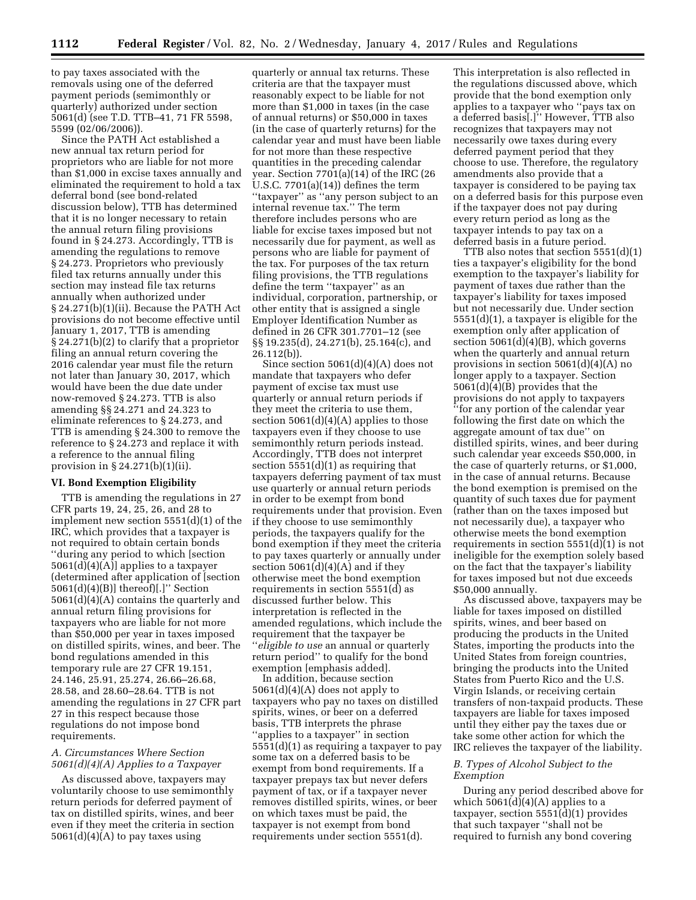to pay taxes associated with the removals using one of the deferred payment periods (semimonthly or quarterly) authorized under section 5061(d) (see T.D. TTB–41, 71 FR 5598, 5599 (02/06/2006)).

Since the PATH Act established a new annual tax return period for proprietors who are liable for not more than \$1,000 in excise taxes annually and eliminated the requirement to hold a tax deferral bond (see bond-related discussion below), TTB has determined that it is no longer necessary to retain the annual return filing provisions found in § 24.273. Accordingly, TTB is amending the regulations to remove § 24.273. Proprietors who previously filed tax returns annually under this section may instead file tax returns annually when authorized under § 24.271(b)(1)(ii). Because the PATH Act provisions do not become effective until January 1, 2017, TTB is amending § 24.271(b)(2) to clarify that a proprietor filing an annual return covering the 2016 calendar year must file the return not later than January 30, 2017, which would have been the due date under now-removed § 24.273. TTB is also amending §§ 24.271 and 24.323 to eliminate references to § 24.273, and TTB is amending § 24.300 to remove the reference to § 24.273 and replace it with a reference to the annual filing provision in § 24.271(b)(1)(ii).

### **VI. Bond Exemption Eligibility**

TTB is amending the regulations in 27 CFR parts 19, 24, 25, 26, and 28 to implement new section 5551(d)(1) of the IRC, which provides that a taxpayer is not required to obtain certain bonds ''during any period to which [section 5061(d)(4)(A)] applies to a taxpayer (determined after application of [section 5061(d)(4)(B)] thereof)[.]'' Section 5061(d)(4)(A) contains the quarterly and annual return filing provisions for taxpayers who are liable for not more than \$50,000 per year in taxes imposed on distilled spirits, wines, and beer. The bond regulations amended in this temporary rule are 27 CFR 19.151, 24.146, 25.91, 25.274, 26.66–26.68, 28.58, and 28.60–28.64. TTB is not amending the regulations in 27 CFR part 27 in this respect because those regulations do not impose bond requirements.

### *A. Circumstances Where Section 5061(d)(4)(A) Applies to a Taxpayer*

As discussed above, taxpayers may voluntarily choose to use semimonthly return periods for deferred payment of tax on distilled spirits, wines, and beer even if they meet the criteria in section  $5061(d)(4)(A)$  to pay taxes using

quarterly or annual tax returns. These criteria are that the taxpayer must reasonably expect to be liable for not more than \$1,000 in taxes (in the case of annual returns) or \$50,000 in taxes (in the case of quarterly returns) for the calendar year and must have been liable for not more than these respective quantities in the preceding calendar year. Section 7701(a)(14) of the IRC (26 U.S.C. 7701(a)(14)) defines the term ''taxpayer'' as ''any person subject to an internal revenue tax.'' The term therefore includes persons who are liable for excise taxes imposed but not necessarily due for payment, as well as persons who are liable for payment of the tax. For purposes of the tax return filing provisions, the TTB regulations define the term ''taxpayer'' as an individual, corporation, partnership, or other entity that is assigned a single Employer Identification Number as defined in 26 CFR 301.7701–12 (see §§ 19.235(d), 24.271(b), 25.164(c), and 26.112(b)).

Since section 5061(d)(4)(A) does not mandate that taxpayers who defer payment of excise tax must use quarterly or annual return periods if they meet the criteria to use them, section 5061(d)(4)(A) applies to those taxpayers even if they choose to use semimonthly return periods instead. Accordingly, TTB does not interpret section 5551(d)(1) as requiring that taxpayers deferring payment of tax must use quarterly or annual return periods in order to be exempt from bond requirements under that provision. Even if they choose to use semimonthly periods, the taxpayers qualify for the bond exemption if they meet the criteria to pay taxes quarterly or annually under section  $5061(d)(4)(A)$  and if they otherwise meet the bond exemption requirements in section 5551(d) as discussed further below. This interpretation is reflected in the amended regulations, which include the requirement that the taxpayer be ''*eligible to use* an annual or quarterly return period'' to qualify for the bond exemption [emphasis added].

In addition, because section 5061(d)(4)(A) does not apply to taxpayers who pay no taxes on distilled spirits, wines, or beer on a deferred basis, TTB interprets the phrase ''applies to a taxpayer'' in section 5551(d)(1) as requiring a taxpayer to pay some tax on a deferred basis to be exempt from bond requirements. If a taxpayer prepays tax but never defers payment of tax, or if a taxpayer never removes distilled spirits, wines, or beer on which taxes must be paid, the taxpayer is not exempt from bond requirements under section 5551(d).

This interpretation is also reflected in the regulations discussed above, which provide that the bond exemption only applies to a taxpayer who ''pays tax on a deferred basis[.]'' However, TTB also recognizes that taxpayers may not necessarily owe taxes during every deferred payment period that they choose to use. Therefore, the regulatory amendments also provide that a taxpayer is considered to be paying tax on a deferred basis for this purpose even if the taxpayer does not pay during every return period as long as the taxpayer intends to pay tax on a deferred basis in a future period.

TTB also notes that section 5551(d)(1) ties a taxpayer's eligibility for the bond exemption to the taxpayer's liability for payment of taxes due rather than the taxpayer's liability for taxes imposed but not necessarily due. Under section 5551(d)(1), a taxpayer is eligible for the exemption only after application of section  $5061(d)(4)(B)$ , which governs when the quarterly and annual return provisions in section 5061(d)(4)(A) no longer apply to a taxpayer. Section 5061(d)(4)(B) provides that the provisions do not apply to taxpayers ''for any portion of the calendar year following the first date on which the aggregate amount of tax due'' on distilled spirits, wines, and beer during such calendar year exceeds \$50,000, in the case of quarterly returns, or \$1,000, in the case of annual returns. Because the bond exemption is premised on the quantity of such taxes due for payment (rather than on the taxes imposed but not necessarily due), a taxpayer who otherwise meets the bond exemption requirements in section 5551(d)(1) is not ineligible for the exemption solely based on the fact that the taxpayer's liability for taxes imposed but not due exceeds \$50,000 annually.

As discussed above, taxpayers may be liable for taxes imposed on distilled spirits, wines, and beer based on producing the products in the United States, importing the products into the United States from foreign countries, bringing the products into the United States from Puerto Rico and the U.S. Virgin Islands, or receiving certain transfers of non-taxpaid products. These taxpayers are liable for taxes imposed until they either pay the taxes due or take some other action for which the IRC relieves the taxpayer of the liability.

### *B. Types of Alcohol Subject to the Exemption*

During any period described above for which  $5061(d)(4)(A)$  applies to a taxpayer, section 5551(d)(1) provides that such taxpayer ''shall not be required to furnish any bond covering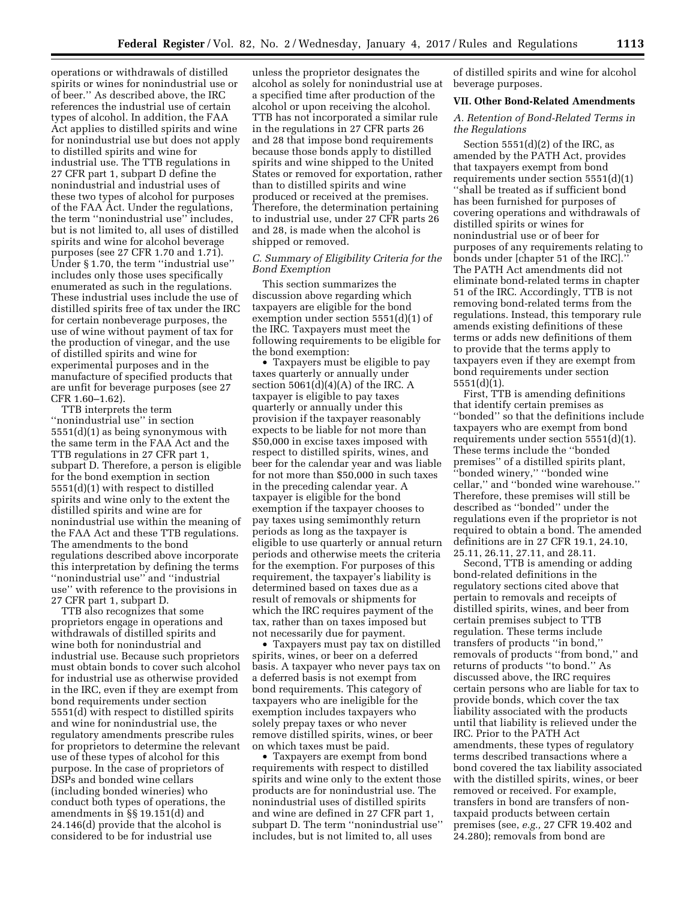operations or withdrawals of distilled spirits or wines for nonindustrial use or of beer.'' As described above, the IRC references the industrial use of certain types of alcohol. In addition, the FAA Act applies to distilled spirits and wine for nonindustrial use but does not apply to distilled spirits and wine for industrial use. The TTB regulations in 27 CFR part 1, subpart D define the nonindustrial and industrial uses of these two types of alcohol for purposes of the FAA Act. Under the regulations, the term ''nonindustrial use'' includes, but is not limited to, all uses of distilled spirits and wine for alcohol beverage purposes (see 27 CFR 1.70 and 1.71). Under § 1.70, the term ''industrial use'' includes only those uses specifically enumerated as such in the regulations. These industrial uses include the use of distilled spirits free of tax under the IRC for certain nonbeverage purposes, the use of wine without payment of tax for the production of vinegar, and the use of distilled spirits and wine for experimental purposes and in the manufacture of specified products that are unfit for beverage purposes (see 27 CFR 1.60–1.62).

TTB interprets the term ''nonindustrial use'' in section 5551(d)(1) as being synonymous with the same term in the FAA Act and the TTB regulations in 27 CFR part 1, subpart D. Therefore, a person is eligible for the bond exemption in section 5551(d)(1) with respect to distilled spirits and wine only to the extent the distilled spirits and wine are for nonindustrial use within the meaning of the FAA Act and these TTB regulations. The amendments to the bond regulations described above incorporate this interpretation by defining the terms ''nonindustrial use'' and ''industrial use'' with reference to the provisions in 27 CFR part 1, subpart D.

TTB also recognizes that some proprietors engage in operations and withdrawals of distilled spirits and wine both for nonindustrial and industrial use. Because such proprietors must obtain bonds to cover such alcohol for industrial use as otherwise provided in the IRC, even if they are exempt from bond requirements under section 5551(d) with respect to distilled spirits and wine for nonindustrial use, the regulatory amendments prescribe rules for proprietors to determine the relevant use of these types of alcohol for this purpose. In the case of proprietors of DSPs and bonded wine cellars (including bonded wineries) who conduct both types of operations, the amendments in §§ 19.151(d) and 24.146(d) provide that the alcohol is considered to be for industrial use

unless the proprietor designates the alcohol as solely for nonindustrial use at a specified time after production of the alcohol or upon receiving the alcohol. TTB has not incorporated a similar rule in the regulations in 27 CFR parts 26 and 28 that impose bond requirements because those bonds apply to distilled spirits and wine shipped to the United States or removed for exportation, rather than to distilled spirits and wine produced or received at the premises. Therefore, the determination pertaining to industrial use, under 27 CFR parts 26 and 28, is made when the alcohol is shipped or removed.

## *C. Summary of Eligibility Criteria for the Bond Exemption*

This section summarizes the discussion above regarding which taxpayers are eligible for the bond exemption under section 5551(d)(1) of the IRC. Taxpayers must meet the following requirements to be eligible for the bond exemption:

• Taxpayers must be eligible to pay taxes quarterly or annually under section  $5061(d)(4)(A)$  of the IRC. A taxpayer is eligible to pay taxes quarterly or annually under this provision if the taxpayer reasonably expects to be liable for not more than \$50,000 in excise taxes imposed with respect to distilled spirits, wines, and beer for the calendar year and was liable for not more than \$50,000 in such taxes in the preceding calendar year. A taxpayer is eligible for the bond exemption if the taxpayer chooses to pay taxes using semimonthly return periods as long as the taxpayer is eligible to use quarterly or annual return periods and otherwise meets the criteria for the exemption. For purposes of this requirement, the taxpayer's liability is determined based on taxes due as a result of removals or shipments for which the IRC requires payment of the tax, rather than on taxes imposed but not necessarily due for payment.

• Taxpayers must pay tax on distilled spirits, wines, or beer on a deferred basis. A taxpayer who never pays tax on a deferred basis is not exempt from bond requirements. This category of taxpayers who are ineligible for the exemption includes taxpayers who solely prepay taxes or who never remove distilled spirits, wines, or beer on which taxes must be paid.

• Taxpayers are exempt from bond requirements with respect to distilled spirits and wine only to the extent those products are for nonindustrial use. The nonindustrial uses of distilled spirits and wine are defined in 27 CFR part 1, subpart D. The term ''nonindustrial use'' includes, but is not limited to, all uses

of distilled spirits and wine for alcohol beverage purposes.

### **VII. Other Bond-Related Amendments**

*A. Retention of Bond-Related Terms in the Regulations* 

Section  $5551(d)(2)$  of the IRC, as amended by the PATH Act, provides that taxpayers exempt from bond requirements under section 5551(d)(1) ''shall be treated as if sufficient bond has been furnished for purposes of covering operations and withdrawals of distilled spirits or wines for nonindustrial use or of beer for purposes of any requirements relating to bonds under [chapter 51 of the IRC].'' The PATH Act amendments did not eliminate bond-related terms in chapter 51 of the IRC. Accordingly, TTB is not removing bond-related terms from the regulations. Instead, this temporary rule amends existing definitions of these terms or adds new definitions of them to provide that the terms apply to taxpayers even if they are exempt from bond requirements under section 5551(d)(1).

First, TTB is amending definitions that identify certain premises as ''bonded'' so that the definitions include taxpayers who are exempt from bond requirements under section 5551(d)(1). These terms include the ''bonded premises'' of a distilled spirits plant, ''bonded winery,'' ''bonded wine cellar,'' and ''bonded wine warehouse.'' Therefore, these premises will still be described as ''bonded'' under the regulations even if the proprietor is not required to obtain a bond. The amended definitions are in 27 CFR 19.1, 24.10, 25.11, 26.11, 27.11, and 28.11.

Second, TTB is amending or adding bond-related definitions in the regulatory sections cited above that pertain to removals and receipts of distilled spirits, wines, and beer from certain premises subject to TTB regulation. These terms include transfers of products ''in bond,'' removals of products ''from bond,'' and returns of products ''to bond.'' As discussed above, the IRC requires certain persons who are liable for tax to provide bonds, which cover the tax liability associated with the products until that liability is relieved under the IRC. Prior to the PATH Act amendments, these types of regulatory terms described transactions where a bond covered the tax liability associated with the distilled spirits, wines, or beer removed or received. For example, transfers in bond are transfers of nontaxpaid products between certain premises (see, *e.g.,* 27 CFR 19.402 and 24.280); removals from bond are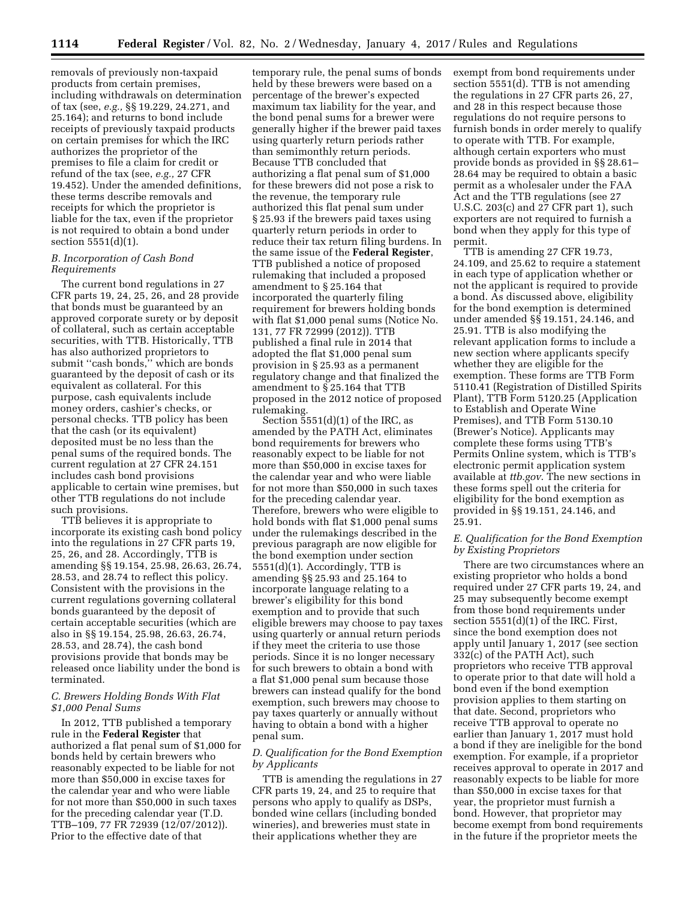removals of previously non-taxpaid products from certain premises, including withdrawals on determination of tax (see, *e.g.,* §§ 19.229, 24.271, and 25.164); and returns to bond include receipts of previously taxpaid products on certain premises for which the IRC authorizes the proprietor of the premises to file a claim for credit or refund of the tax (see, *e.g.,* 27 CFR 19.452). Under the amended definitions, these terms describe removals and receipts for which the proprietor is liable for the tax, even if the proprietor is not required to obtain a bond under section 5551(d)(1).

### *B. Incorporation of Cash Bond Requirements*

The current bond regulations in 27 CFR parts 19, 24, 25, 26, and 28 provide that bonds must be guaranteed by an approved corporate surety or by deposit of collateral, such as certain acceptable securities, with TTB. Historically, TTB has also authorized proprietors to submit ''cash bonds,'' which are bonds guaranteed by the deposit of cash or its equivalent as collateral. For this purpose, cash equivalents include money orders, cashier's checks, or personal checks. TTB policy has been that the cash (or its equivalent) deposited must be no less than the penal sums of the required bonds. The current regulation at 27 CFR 24.151 includes cash bond provisions applicable to certain wine premises, but other TTB regulations do not include such provisions.

TTB believes it is appropriate to incorporate its existing cash bond policy into the regulations in 27 CFR parts 19, 25, 26, and 28. Accordingly, TTB is amending §§ 19.154, 25.98, 26.63, 26.74, 28.53, and 28.74 to reflect this policy. Consistent with the provisions in the current regulations governing collateral bonds guaranteed by the deposit of certain acceptable securities (which are also in §§ 19.154, 25.98, 26.63, 26.74, 28.53, and 28.74), the cash bond provisions provide that bonds may be released once liability under the bond is terminated.

### *C. Brewers Holding Bonds With Flat \$1,000 Penal Sums*

In 2012, TTB published a temporary rule in the **Federal Register** that authorized a flat penal sum of \$1,000 for bonds held by certain brewers who reasonably expected to be liable for not more than \$50,000 in excise taxes for the calendar year and who were liable for not more than \$50,000 in such taxes for the preceding calendar year (T.D. TTB–109, 77 FR 72939 (12/07/2012)). Prior to the effective date of that

temporary rule, the penal sums of bonds held by these brewers were based on a percentage of the brewer's expected maximum tax liability for the year, and the bond penal sums for a brewer were generally higher if the brewer paid taxes using quarterly return periods rather than semimonthly return periods. Because TTB concluded that authorizing a flat penal sum of \$1,000 for these brewers did not pose a risk to the revenue, the temporary rule authorized this flat penal sum under § 25.93 if the brewers paid taxes using quarterly return periods in order to reduce their tax return filing burdens. In the same issue of the **Federal Register**, TTB published a notice of proposed rulemaking that included a proposed amendment to § 25.164 that incorporated the quarterly filing requirement for brewers holding bonds with flat \$1,000 penal sums (Notice No. 131, 77 FR 72999 (2012)). TTB published a final rule in 2014 that adopted the flat \$1,000 penal sum provision in § 25.93 as a permanent regulatory change and that finalized the amendment to § 25.164 that TTB proposed in the 2012 notice of proposed rulemaking.

Section  $5551(d)(1)$  of the IRC, as amended by the PATH Act, eliminates bond requirements for brewers who reasonably expect to be liable for not more than \$50,000 in excise taxes for the calendar year and who were liable for not more than \$50,000 in such taxes for the preceding calendar year. Therefore, brewers who were eligible to hold bonds with flat \$1,000 penal sums under the rulemakings described in the previous paragraph are now eligible for the bond exemption under section 5551(d)(1). Accordingly, TTB is amending §§ 25.93 and 25.164 to incorporate language relating to a brewer's eligibility for this bond exemption and to provide that such eligible brewers may choose to pay taxes using quarterly or annual return periods if they meet the criteria to use those periods. Since it is no longer necessary for such brewers to obtain a bond with a flat \$1,000 penal sum because those brewers can instead qualify for the bond exemption, such brewers may choose to pay taxes quarterly or annually without having to obtain a bond with a higher penal sum.

## *D. Qualification for the Bond Exemption by Applicants*

TTB is amending the regulations in 27 CFR parts 19, 24, and 25 to require that persons who apply to qualify as DSPs, bonded wine cellars (including bonded wineries), and breweries must state in their applications whether they are

exempt from bond requirements under section 5551(d). TTB is not amending the regulations in 27 CFR parts 26, 27, and 28 in this respect because those regulations do not require persons to furnish bonds in order merely to qualify to operate with TTB. For example, although certain exporters who must provide bonds as provided in §§ 28.61– 28.64 may be required to obtain a basic permit as a wholesaler under the FAA Act and the TTB regulations (see 27 U.S.C. 203(c) and 27 CFR part 1), such exporters are not required to furnish a bond when they apply for this type of permit.

TTB is amending 27 CFR 19.73, 24.109, and 25.62 to require a statement in each type of application whether or not the applicant is required to provide a bond. As discussed above, eligibility for the bond exemption is determined under amended §§ 19.151, 24.146, and 25.91. TTB is also modifying the relevant application forms to include a new section where applicants specify whether they are eligible for the exemption. These forms are TTB Form 5110.41 (Registration of Distilled Spirits Plant), TTB Form 5120.25 (Application to Establish and Operate Wine Premises), and TTB Form 5130.10 (Brewer's Notice). Applicants may complete these forms using TTB's Permits Online system, which is TTB's electronic permit application system available at *ttb.gov*. The new sections in these forms spell out the criteria for eligibility for the bond exemption as provided in §§ 19.151, 24.146, and 25.91.

## *E. Qualification for the Bond Exemption by Existing Proprietors*

There are two circumstances where an existing proprietor who holds a bond required under 27 CFR parts 19, 24, and 25 may subsequently become exempt from those bond requirements under section 5551(d)(1) of the IRC. First, since the bond exemption does not apply until January 1, 2017 (see section 332(c) of the PATH Act), such proprietors who receive TTB approval to operate prior to that date will hold a bond even if the bond exemption provision applies to them starting on that date. Second, proprietors who receive TTB approval to operate no earlier than January 1, 2017 must hold a bond if they are ineligible for the bond exemption. For example, if a proprietor receives approval to operate in 2017 and reasonably expects to be liable for more than \$50,000 in excise taxes for that year, the proprietor must furnish a bond. However, that proprietor may become exempt from bond requirements in the future if the proprietor meets the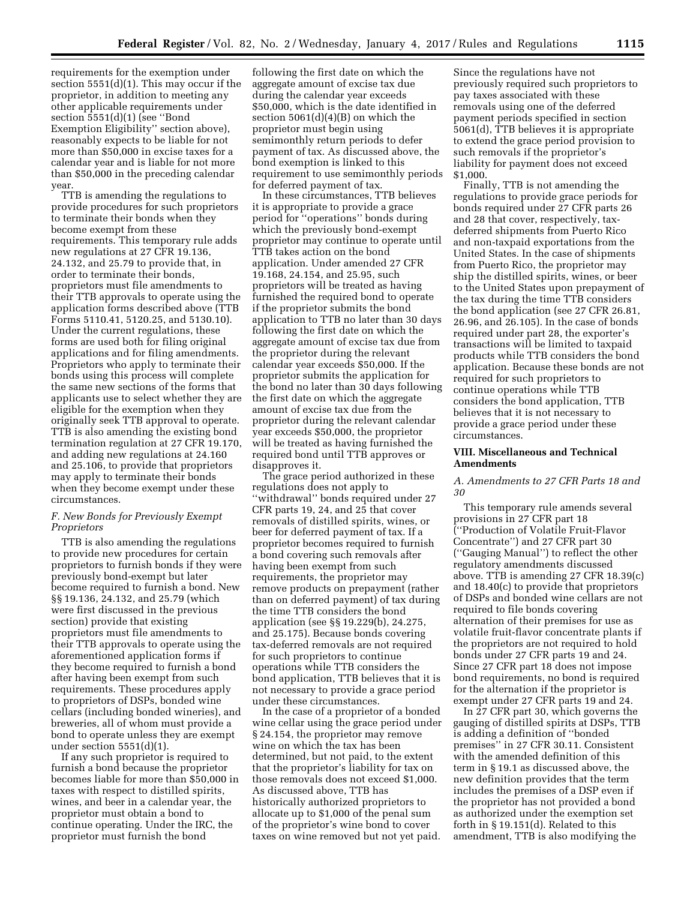requirements for the exemption under section 5551(d)(1). This may occur if the proprietor, in addition to meeting any other applicable requirements under section 5551(d)(1) (see "Bond Exemption Eligibility'' section above), reasonably expects to be liable for not more than \$50,000 in excise taxes for a calendar year and is liable for not more than \$50,000 in the preceding calendar year.

TTB is amending the regulations to provide procedures for such proprietors to terminate their bonds when they become exempt from these requirements. This temporary rule adds new regulations at 27 CFR 19.136, 24.132, and 25.79 to provide that, in order to terminate their bonds, proprietors must file amendments to their TTB approvals to operate using the application forms described above (TTB Forms 5110.41, 5120.25, and 5130.10). Under the current regulations, these forms are used both for filing original applications and for filing amendments. Proprietors who apply to terminate their bonds using this process will complete the same new sections of the forms that applicants use to select whether they are eligible for the exemption when they originally seek TTB approval to operate. TTB is also amending the existing bond termination regulation at 27 CFR 19.170, and adding new regulations at 24.160 and 25.106, to provide that proprietors may apply to terminate their bonds when they become exempt under these circumstances.

# *F. New Bonds for Previously Exempt Proprietors*

TTB is also amending the regulations to provide new procedures for certain proprietors to furnish bonds if they were previously bond-exempt but later become required to furnish a bond. New §§ 19.136, 24.132, and 25.79 (which were first discussed in the previous section) provide that existing proprietors must file amendments to their TTB approvals to operate using the aforementioned application forms if they become required to furnish a bond after having been exempt from such requirements. These procedures apply to proprietors of DSPs, bonded wine cellars (including bonded wineries), and breweries, all of whom must provide a bond to operate unless they are exempt under section  $5551(d)(1)$ .

If any such proprietor is required to furnish a bond because the proprietor becomes liable for more than \$50,000 in taxes with respect to distilled spirits, wines, and beer in a calendar year, the proprietor must obtain a bond to continue operating. Under the IRC, the proprietor must furnish the bond

following the first date on which the aggregate amount of excise tax due during the calendar year exceeds \$50,000, which is the date identified in section  $5061(d)(4)(B)$  on which the proprietor must begin using semimonthly return periods to defer payment of tax. As discussed above, the bond exemption is linked to this requirement to use semimonthly periods for deferred payment of tax.

In these circumstances, TTB believes it is appropriate to provide a grace period for ''operations'' bonds during which the previously bond-exempt proprietor may continue to operate until TTB takes action on the bond application. Under amended 27 CFR 19.168, 24.154, and 25.95, such proprietors will be treated as having furnished the required bond to operate if the proprietor submits the bond application to TTB no later than 30 days following the first date on which the aggregate amount of excise tax due from the proprietor during the relevant calendar year exceeds \$50,000. If the proprietor submits the application for the bond no later than 30 days following the first date on which the aggregate amount of excise tax due from the proprietor during the relevant calendar year exceeds \$50,000, the proprietor will be treated as having furnished the required bond until TTB approves or disapproves it.

The grace period authorized in these regulations does not apply to ''withdrawal'' bonds required under 27 CFR parts 19, 24, and 25 that cover removals of distilled spirits, wines, or beer for deferred payment of tax. If a proprietor becomes required to furnish a bond covering such removals after having been exempt from such requirements, the proprietor may remove products on prepayment (rather than on deferred payment) of tax during the time TTB considers the bond application (see §§ 19.229(b), 24.275, and 25.175). Because bonds covering tax-deferred removals are not required for such proprietors to continue operations while TTB considers the bond application, TTB believes that it is not necessary to provide a grace period under these circumstances.

In the case of a proprietor of a bonded wine cellar using the grace period under § 24.154, the proprietor may remove wine on which the tax has been determined, but not paid, to the extent that the proprietor's liability for tax on those removals does not exceed \$1,000. As discussed above, TTB has historically authorized proprietors to allocate up to \$1,000 of the penal sum of the proprietor's wine bond to cover taxes on wine removed but not yet paid.

Since the regulations have not previously required such proprietors to pay taxes associated with these removals using one of the deferred payment periods specified in section 5061(d), TTB believes it is appropriate to extend the grace period provision to such removals if the proprietor's liability for payment does not exceed \$1,000.

Finally, TTB is not amending the regulations to provide grace periods for bonds required under 27 CFR parts 26 and 28 that cover, respectively, taxdeferred shipments from Puerto Rico and non-taxpaid exportations from the United States. In the case of shipments from Puerto Rico, the proprietor may ship the distilled spirits, wines, or beer to the United States upon prepayment of the tax during the time TTB considers the bond application (see 27 CFR 26.81, 26.96, and 26.105). In the case of bonds required under part 28, the exporter's transactions will be limited to taxpaid products while TTB considers the bond application. Because these bonds are not required for such proprietors to continue operations while TTB considers the bond application, TTB believes that it is not necessary to provide a grace period under these circumstances.

### **VIII. Miscellaneous and Technical Amendments**

## *A. Amendments to 27 CFR Parts 18 and 30*

This temporary rule amends several provisions in 27 CFR part 18 (''Production of Volatile Fruit-Flavor Concentrate'') and 27 CFR part 30 (''Gauging Manual'') to reflect the other regulatory amendments discussed above. TTB is amending 27 CFR 18.39(c) and 18.40(c) to provide that proprietors of DSPs and bonded wine cellars are not required to file bonds covering alternation of their premises for use as volatile fruit-flavor concentrate plants if the proprietors are not required to hold bonds under 27 CFR parts 19 and 24. Since 27 CFR part 18 does not impose bond requirements, no bond is required for the alternation if the proprietor is exempt under 27 CFR parts 19 and 24.

In 27 CFR part 30, which governs the gauging of distilled spirits at DSPs, TTB is adding a definition of ''bonded premises'' in 27 CFR 30.11. Consistent with the amended definition of this term in § 19.1 as discussed above, the new definition provides that the term includes the premises of a DSP even if the proprietor has not provided a bond as authorized under the exemption set forth in § 19.151(d). Related to this amendment, TTB is also modifying the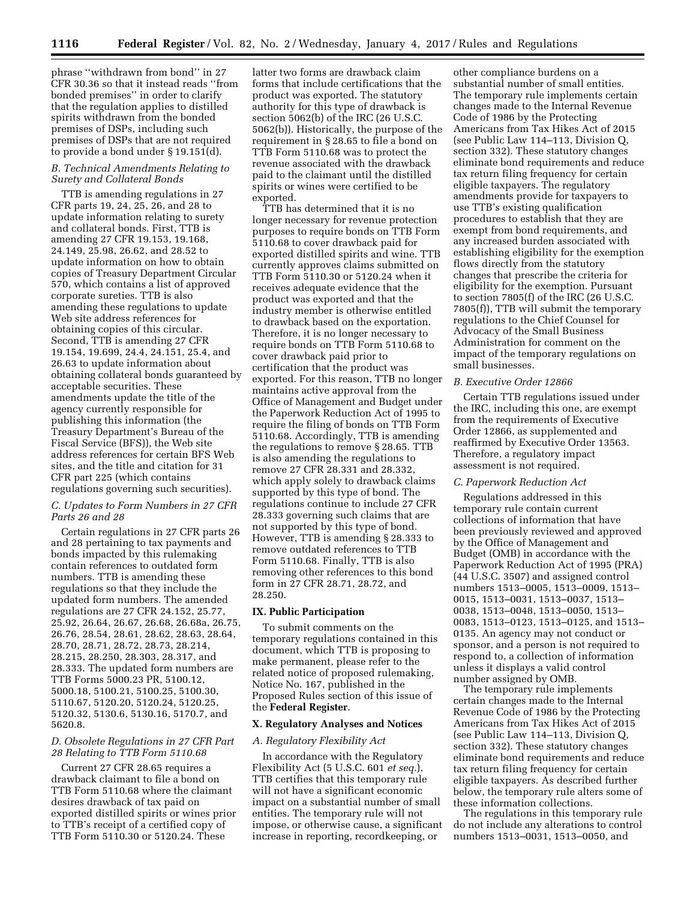phrase ''withdrawn from bond'' in 27 CFR 30.36 so that it instead reads ''from bonded premises'' in order to clarify that the regulation applies to distilled spirits withdrawn from the bonded premises of DSPs, including such premises of DSPs that are not required to provide a bond under § 19.151(d).

# *B. Technical Amendments Relating to Surety and Collateral Bonds*

TTB is amending regulations in 27 CFR parts 19, 24, 25, 26, and 28 to update information relating to surety and collateral bonds. First, TTB is amending 27 CFR 19.153, 19.168, 24.149, 25.98, 26.62, and 28.52 to update information on how to obtain copies of Treasury Department Circular 570, which contains a list of approved corporate sureties. TTB is also amending these regulations to update Web site address references for obtaining copies of this circular. Second, TTB is amending 27 CFR 19.154, 19.699, 24.4, 24.151, 25.4, and 26.63 to update information about obtaining collateral bonds guaranteed by acceptable securities. These amendments update the title of the agency currently responsible for publishing this information (the Treasury Department's Bureau of the Fiscal Service (BFS)), the Web site address references for certain BFS Web sites, and the title and citation for 31 CFR part 225 (which contains regulations governing such securities).

### *C. Updates to Form Numbers in 27 CFR Parts 26 and 28*

Certain regulations in 27 CFR parts 26 and 28 pertaining to tax payments and bonds impacted by this rulemaking contain references to outdated form numbers. TTB is amending these regulations so that they include the updated form numbers. The amended regulations are 27 CFR 24.152, 25.77, 25.92, 26.64, 26.67, 26.68, 26.68a, 26.75, 26.76, 28.54, 28.61, 28.62, 28.63, 28.64, 28.70, 28.71, 28.72, 28.73, 28.214, 28.215, 28.250, 28.303, 28.317, and 28.333. The updated form numbers are TTB Forms 5000.23 PR, 5100.12, 5000.18, 5100.21, 5100.25, 5100.30, 5110.67, 5120.20, 5120.24, 5120.25, 5120.32, 5130.6, 5130.16, 5170.7, and 5620.8.

## *D. Obsolete Regulations in 27 CFR Part 28 Relating to TTB Form 5110.68*

Current 27 CFR 28.65 requires a drawback claimant to file a bond on TTB Form 5110.68 where the claimant desires drawback of tax paid on exported distilled spirits or wines prior to TTB's receipt of a certified copy of TTB Form 5110.30 or 5120.24. These

latter two forms are drawback claim forms that include certifications that the product was exported. The statutory authority for this type of drawback is section 5062(b) of the IRC (26 U.S.C. 5062(b)). Historically, the purpose of the requirement in § 28.65 to file a bond on TTB Form 5110.68 was to protect the revenue associated with the drawback paid to the claimant until the distilled spirits or wines were certified to be exported.

TTB has determined that it is no longer necessary for revenue protection purposes to require bonds on TTB Form 5110.68 to cover drawback paid for exported distilled spirits and wine. TTB currently approves claims submitted on TTB Form 5110.30 or 5120.24 when it receives adequate evidence that the product was exported and that the industry member is otherwise entitled to drawback based on the exportation. Therefore, it is no longer necessary to require bonds on TTB Form 5110.68 to cover drawback paid prior to certification that the product was exported. For this reason, TTB no longer maintains active approval from the Office of Management and Budget under the Paperwork Reduction Act of 1995 to require the filing of bonds on TTB Form 5110.68. Accordingly, TTB is amending the regulations to remove § 28.65. TTB is also amending the regulations to remove 27 CFR 28.331 and 28.332, which apply solely to drawback claims supported by this type of bond. The regulations continue to include 27 CFR 28.333 governing such claims that are not supported by this type of bond. However, TTB is amending § 28.333 to remove outdated references to TTB Form 5110.68. Finally, TTB is also removing other references to this bond form in 27 CFR 28.71, 28.72, and 28.250.

### **IX. Public Participation**

To submit comments on the temporary regulations contained in this document, which TTB is proposing to make permanent, please refer to the related notice of proposed rulemaking, Notice No. 167, published in the Proposed Rules section of this issue of the **Federal Register**.

### **X. Regulatory Analyses and Notices**

### *A. Regulatory Flexibility Act*

In accordance with the Regulatory Flexibility Act (5 U.S.C. 601 *et seq.*), TTB certifies that this temporary rule will not have a significant economic impact on a substantial number of small entities. The temporary rule will not impose, or otherwise cause, a significant increase in reporting, recordkeeping, or

other compliance burdens on a substantial number of small entities. The temporary rule implements certain changes made to the Internal Revenue Code of 1986 by the Protecting Americans from Tax Hikes Act of 2015 (see Public Law 114–113, Division Q, section 332). These statutory changes eliminate bond requirements and reduce tax return filing frequency for certain eligible taxpayers. The regulatory amendments provide for taxpayers to use TTB's existing qualification procedures to establish that they are exempt from bond requirements, and any increased burden associated with establishing eligibility for the exemption flows directly from the statutory changes that prescribe the criteria for eligibility for the exemption. Pursuant to section 7805(f) of the IRC (26 U.S.C. 7805(f)), TTB will submit the temporary regulations to the Chief Counsel for Advocacy of the Small Business Administration for comment on the impact of the temporary regulations on small businesses.

### *B. Executive Order 12866*

Certain TTB regulations issued under the IRC, including this one, are exempt from the requirements of Executive Order 12866, as supplemented and reaffirmed by Executive Order 13563. Therefore, a regulatory impact assessment is not required.

## *C. Paperwork Reduction Act*

Regulations addressed in this temporary rule contain current collections of information that have been previously reviewed and approved by the Office of Management and Budget (OMB) in accordance with the Paperwork Reduction Act of 1995 (PRA) (44 U.S.C. 3507) and assigned control numbers 1513–0005, 1513–0009, 1513– 0015, 1513–0031, 1513–0037, 1513– 0038, 1513–0048, 1513–0050, 1513– 0083, 1513–0123, 1513–0125, and 1513– 0135. An agency may not conduct or sponsor, and a person is not required to respond to, a collection of information unless it displays a valid control number assigned by OMB.

The temporary rule implements certain changes made to the Internal Revenue Code of 1986 by the Protecting Americans from Tax Hikes Act of 2015 (see Public Law 114–113, Division Q, section 332). These statutory changes eliminate bond requirements and reduce tax return filing frequency for certain eligible taxpayers. As described further below, the temporary rule alters some of these information collections.

The regulations in this temporary rule do not include any alterations to control numbers 1513–0031, 1513–0050, and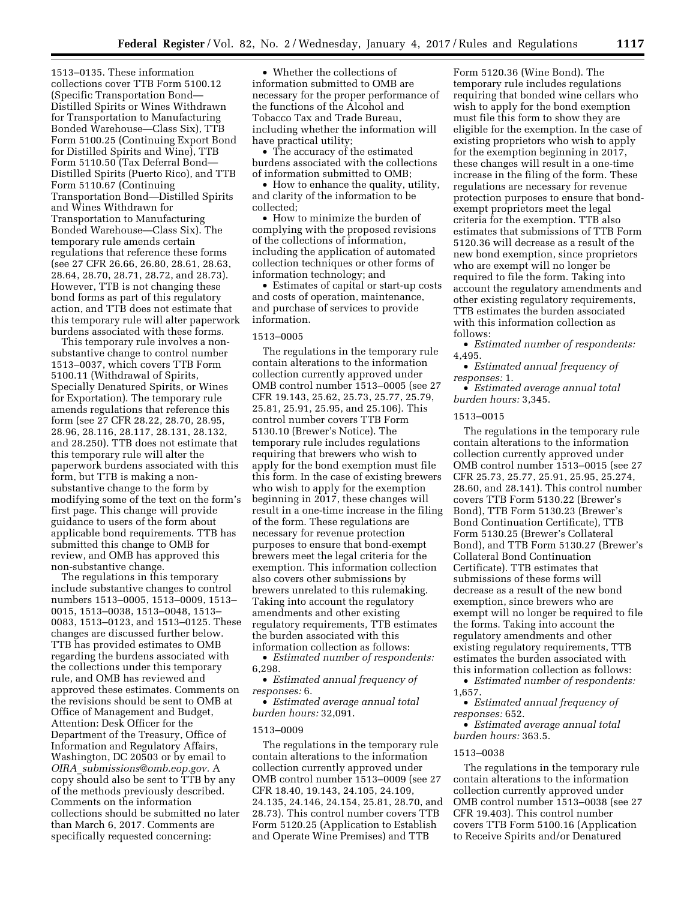1513–0135. These information collections cover TTB Form 5100.12 (Specific Transportation Bond— Distilled Spirits or Wines Withdrawn for Transportation to Manufacturing Bonded Warehouse—Class Six), TTB Form 5100.25 (Continuing Export Bond for Distilled Spirits and Wine), TTB Form 5110.50 (Tax Deferral Bond— Distilled Spirits (Puerto Rico), and TTB Form 5110.67 (Continuing Transportation Bond—Distilled Spirits and Wines Withdrawn for Transportation to Manufacturing Bonded Warehouse—Class Six). The temporary rule amends certain regulations that reference these forms (see 27 CFR 26.66, 26.80, 28.61, 28.63, 28.64, 28.70, 28.71, 28.72, and 28.73). However, TTB is not changing these bond forms as part of this regulatory action, and TTB does not estimate that this temporary rule will alter paperwork burdens associated with these forms.

This temporary rule involves a nonsubstantive change to control number 1513–0037, which covers TTB Form 5100.11 (Withdrawal of Spirits, Specially Denatured Spirits, or Wines for Exportation). The temporary rule amends regulations that reference this form (see 27 CFR 28.22, 28.70, 28.95, 28.96, 28.116, 28.117, 28.131, 28.132, and 28.250). TTB does not estimate that this temporary rule will alter the paperwork burdens associated with this form, but TTB is making a nonsubstantive change to the form by modifying some of the text on the form's first page. This change will provide guidance to users of the form about applicable bond requirements. TTB has submitted this change to OMB for review, and OMB has approved this non-substantive change.

The regulations in this temporary include substantive changes to control numbers 1513–0005, 1513–0009, 1513– 0015, 1513–0038, 1513–0048, 1513– 0083, 1513–0123, and 1513–0125. These changes are discussed further below. TTB has provided estimates to OMB regarding the burdens associated with the collections under this temporary rule, and OMB has reviewed and approved these estimates. Comments on the revisions should be sent to OMB at Office of Management and Budget, Attention: Desk Officer for the Department of the Treasury, Office of Information and Regulatory Affairs, Washington, DC 20503 or by email to *OIRA*\_*[submissions@omb.eop.gov.](mailto:OIRA_submissions@omb.eop.gov)* A  $\overline{copy}$  should also be sent to  $\overline{TT}B$  by any of the methods previously described. Comments on the information collections should be submitted no later than March 6, 2017. Comments are specifically requested concerning:

• Whether the collections of information submitted to OMB are necessary for the proper performance of the functions of the Alcohol and Tobacco Tax and Trade Bureau, including whether the information will have practical utility;

• The accuracy of the estimated burdens associated with the collections of information submitted to OMB;

• How to enhance the quality, utility, and clarity of the information to be collected;

• How to minimize the burden of complying with the proposed revisions of the collections of information, including the application of automated collection techniques or other forms of information technology; and

• Estimates of capital or start-up costs and costs of operation, maintenance, and purchase of services to provide information.

### 1513–0005

The regulations in the temporary rule contain alterations to the information collection currently approved under OMB control number 1513–0005 (see 27 CFR 19.143, 25.62, 25.73, 25.77, 25.79, 25.81, 25.91, 25.95, and 25.106). This control number covers TTB Form 5130.10 (Brewer's Notice). The temporary rule includes regulations requiring that brewers who wish to apply for the bond exemption must file this form. In the case of existing brewers who wish to apply for the exemption beginning in 2017, these changes will result in a one-time increase in the filing of the form. These regulations are necessary for revenue protection purposes to ensure that bond-exempt brewers meet the legal criteria for the exemption. This information collection also covers other submissions by brewers unrelated to this rulemaking. Taking into account the regulatory amendments and other existing regulatory requirements, TTB estimates the burden associated with this information collection as follows:

• *Estimated number of respondents:*  6,298.

• *Estimated annual frequency of responses:* 6.

• *Estimated average annual total burden hours:* 32,091.

### 1513–0009

The regulations in the temporary rule contain alterations to the information collection currently approved under OMB control number 1513–0009 (see 27 CFR 18.40, 19.143, 24.105, 24.109, 24.135, 24.146, 24.154, 25.81, 28.70, and 28.73). This control number covers TTB Form 5120.25 (Application to Establish and Operate Wine Premises) and TTB

Form 5120.36 (Wine Bond). The temporary rule includes regulations requiring that bonded wine cellars who wish to apply for the bond exemption must file this form to show they are eligible for the exemption. In the case of existing proprietors who wish to apply for the exemption beginning in 2017, these changes will result in a one-time increase in the filing of the form. These regulations are necessary for revenue protection purposes to ensure that bondexempt proprietors meet the legal criteria for the exemption. TTB also estimates that submissions of TTB Form 5120.36 will decrease as a result of the new bond exemption, since proprietors who are exempt will no longer be required to file the form. Taking into account the regulatory amendments and other existing regulatory requirements, TTB estimates the burden associated with this information collection as follows:

• *Estimated number of respondents:*  4,495.

• *Estimated annual frequency of responses:* 1.

• *Estimated average annual total burden hours:* 3,345.

## 1513–0015

The regulations in the temporary rule contain alterations to the information collection currently approved under OMB control number 1513–0015 (see 27 CFR 25.73, 25.77, 25.91, 25.95, 25.274, 28.60, and 28.141). This control number covers TTB Form 5130.22 (Brewer's Bond), TTB Form 5130.23 (Brewer's Bond Continuation Certificate), TTB Form 5130.25 (Brewer's Collateral Bond), and TTB Form 5130.27 (Brewer's Collateral Bond Continuation Certificate). TTB estimates that submissions of these forms will decrease as a result of the new bond exemption, since brewers who are exempt will no longer be required to file the forms. Taking into account the regulatory amendments and other existing regulatory requirements, TTB estimates the burden associated with this information collection as follows:

• *Estimated number of respondents:*  1,657.

• *Estimated annual frequency of responses:* 652.

• *Estimated average annual total burden hours:* 363.5.

### 1513–0038

The regulations in the temporary rule contain alterations to the information collection currently approved under OMB control number 1513–0038 (see 27 CFR 19.403). This control number covers TTB Form 5100.16 (Application to Receive Spirits and/or Denatured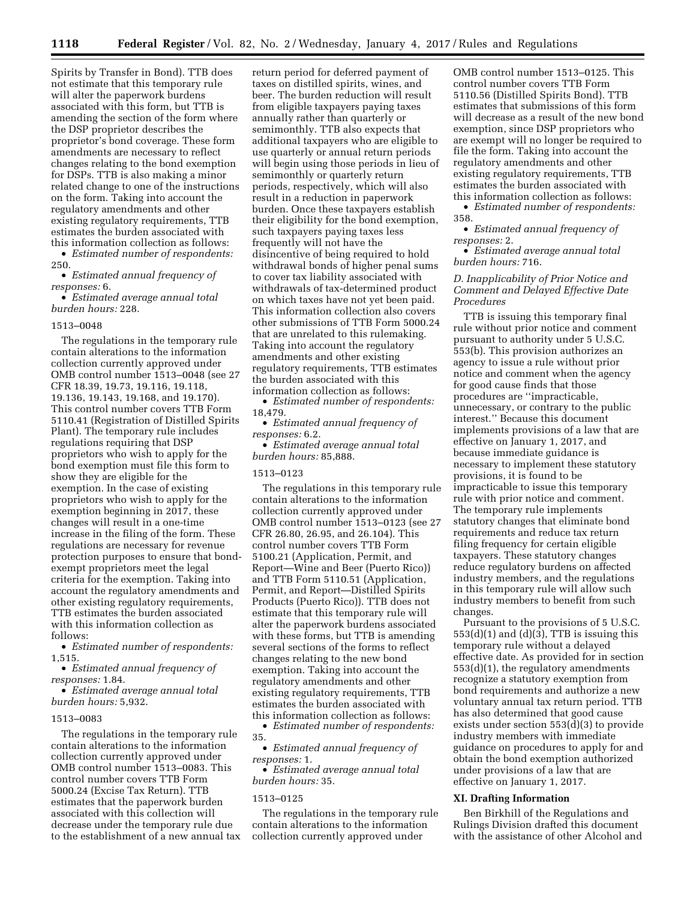Spirits by Transfer in Bond). TTB does not estimate that this temporary rule will alter the paperwork burdens associated with this form, but TTB is amending the section of the form where the DSP proprietor describes the proprietor's bond coverage. These form amendments are necessary to reflect changes relating to the bond exemption for DSPs. TTB is also making a minor related change to one of the instructions on the form. Taking into account the regulatory amendments and other existing regulatory requirements, TTB estimates the burden associated with this information collection as follows:

• *Estimated number of respondents:*  250.

• *Estimated annual frequency of responses:* 6.

• *Estimated average annual total burden hours:* 228.

#### 1513–0048

The regulations in the temporary rule contain alterations to the information collection currently approved under OMB control number 1513–0048 (see 27 CFR 18.39, 19.73, 19.116, 19.118, 19.136, 19.143, 19.168, and 19.170). This control number covers TTB Form 5110.41 (Registration of Distilled Spirits Plant). The temporary rule includes regulations requiring that DSP proprietors who wish to apply for the bond exemption must file this form to show they are eligible for the exemption. In the case of existing proprietors who wish to apply for the exemption beginning in 2017, these changes will result in a one-time increase in the filing of the form. These regulations are necessary for revenue protection purposes to ensure that bondexempt proprietors meet the legal criteria for the exemption. Taking into account the regulatory amendments and other existing regulatory requirements, TTB estimates the burden associated with this information collection as follows:

• *Estimated number of respondents:*  1,515.

• *Estimated annual frequency of responses:* 1.84.

• *Estimated average annual total burden hours:* 5,932.

#### 1513–0083

The regulations in the temporary rule contain alterations to the information collection currently approved under OMB control number 1513–0083. This control number covers TTB Form 5000.24 (Excise Tax Return). TTB estimates that the paperwork burden associated with this collection will decrease under the temporary rule due to the establishment of a new annual tax return period for deferred payment of taxes on distilled spirits, wines, and beer. The burden reduction will result from eligible taxpayers paying taxes annually rather than quarterly or semimonthly. TTB also expects that additional taxpayers who are eligible to use quarterly or annual return periods will begin using those periods in lieu of semimonthly or quarterly return periods, respectively, which will also result in a reduction in paperwork burden. Once these taxpayers establish their eligibility for the bond exemption, such taxpayers paying taxes less frequently will not have the disincentive of being required to hold withdrawal bonds of higher penal sums to cover tax liability associated with withdrawals of tax-determined product on which taxes have not yet been paid. This information collection also covers other submissions of TTB Form 5000.24 that are unrelated to this rulemaking. Taking into account the regulatory amendments and other existing regulatory requirements, TTB estimates the burden associated with this information collection as follows:

• *Estimated number of respondents:*  18,479.

• *Estimated annual frequency of responses:* 6.2.

• *Estimated average annual total burden hours:* 85,888.

## 1513–0123

The regulations in this temporary rule contain alterations to the information collection currently approved under OMB control number 1513–0123 (see 27 CFR 26.80, 26.95, and 26.104). This control number covers TTB Form 5100.21 (Application, Permit, and Report—Wine and Beer (Puerto Rico)) and TTB Form 5110.51 (Application, Permit, and Report—Distilled Spirits Products (Puerto Rico)). TTB does not estimate that this temporary rule will alter the paperwork burdens associated with these forms, but TTB is amending several sections of the forms to reflect changes relating to the new bond exemption. Taking into account the regulatory amendments and other existing regulatory requirements, TTB estimates the burden associated with this information collection as follows:

• *Estimated number of respondents:*  35.

• *Estimated annual frequency of responses:* 1.

• *Estimated average annual total burden hours:* 35.

## 1513–0125

The regulations in the temporary rule contain alterations to the information collection currently approved under

OMB control number 1513–0125. This control number covers TTB Form 5110.56 (Distilled Spirits Bond). TTB estimates that submissions of this form will decrease as a result of the new bond exemption, since DSP proprietors who are exempt will no longer be required to file the form. Taking into account the regulatory amendments and other existing regulatory requirements, TTB estimates the burden associated with this information collection as follows:

• *Estimated number of respondents:*  358.

• *Estimated annual frequency of responses:* 2.

• *Estimated average annual total burden hours:* 716.

## *D. Inapplicability of Prior Notice and Comment and Delayed Effective Date Procedures*

TTB is issuing this temporary final rule without prior notice and comment pursuant to authority under 5 U.S.C. 553(b). This provision authorizes an agency to issue a rule without prior notice and comment when the agency for good cause finds that those procedures are ''impracticable, unnecessary, or contrary to the public interest.'' Because this document implements provisions of a law that are effective on January 1, 2017, and because immediate guidance is necessary to implement these statutory provisions, it is found to be impracticable to issue this temporary rule with prior notice and comment. The temporary rule implements statutory changes that eliminate bond requirements and reduce tax return filing frequency for certain eligible taxpayers. These statutory changes reduce regulatory burdens on affected industry members, and the regulations in this temporary rule will allow such industry members to benefit from such changes.

Pursuant to the provisions of 5 U.S.C.  $553(d)(1)$  and  $(d)(3)$ , TTB is issuing this temporary rule without a delayed effective date. As provided for in section 553(d)(1), the regulatory amendments recognize a statutory exemption from bond requirements and authorize a new voluntary annual tax return period. TTB has also determined that good cause exists under section 553(d)(3) to provide industry members with immediate guidance on procedures to apply for and obtain the bond exemption authorized under provisions of a law that are effective on January 1, 2017.

#### **XI. Drafting Information**

Ben Birkhill of the Regulations and Rulings Division drafted this document with the assistance of other Alcohol and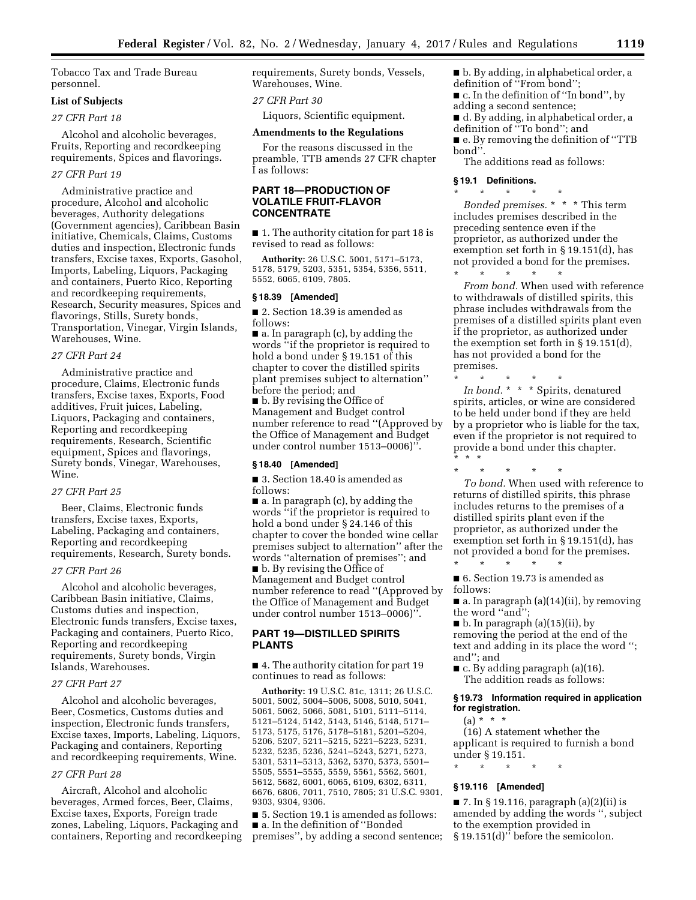Tobacco Tax and Trade Bureau personnel.

## **List of Subjects**

*27 CFR Part 18* 

Alcohol and alcoholic beverages, Fruits, Reporting and recordkeeping requirements, Spices and flavorings.

### *27 CFR Part 19*

Administrative practice and procedure, Alcohol and alcoholic beverages, Authority delegations (Government agencies), Caribbean Basin initiative, Chemicals, Claims, Customs duties and inspection, Electronic funds transfers, Excise taxes, Exports, Gasohol, Imports, Labeling, Liquors, Packaging and containers, Puerto Rico, Reporting and recordkeeping requirements, Research, Security measures, Spices and flavorings, Stills, Surety bonds, Transportation, Vinegar, Virgin Islands, Warehouses, Wine.

### *27 CFR Part 24*

Administrative practice and procedure, Claims, Electronic funds transfers, Excise taxes, Exports, Food additives, Fruit juices, Labeling, Liquors, Packaging and containers, Reporting and recordkeeping requirements, Research, Scientific equipment, Spices and flavorings, Surety bonds, Vinegar, Warehouses, Wine.

### *27 CFR Part 25*

Beer, Claims, Electronic funds transfers, Excise taxes, Exports, Labeling, Packaging and containers, Reporting and recordkeeping requirements, Research, Surety bonds.

### *27 CFR Part 26*

Alcohol and alcoholic beverages, Caribbean Basin initiative, Claims, Customs duties and inspection, Electronic funds transfers, Excise taxes, Packaging and containers, Puerto Rico, Reporting and recordkeeping requirements, Surety bonds, Virgin Islands, Warehouses.

### *27 CFR Part 27*

Alcohol and alcoholic beverages, Beer, Cosmetics, Customs duties and inspection, Electronic funds transfers, Excise taxes, Imports, Labeling, Liquors, Packaging and containers, Reporting and recordkeeping requirements, Wine.

### *27 CFR Part 28*

Aircraft, Alcohol and alcoholic beverages, Armed forces, Beer, Claims, Excise taxes, Exports, Foreign trade zones, Labeling, Liquors, Packaging and containers, Reporting and recordkeeping requirements, Surety bonds, Vessels, Warehouses, Wine.

*27 CFR Part 30* 

Liquors, Scientific equipment.

#### **Amendments to the Regulations**

For the reasons discussed in the preamble, TTB amends 27 CFR chapter I as follows:

## **PART 18—PRODUCTION OF VOLATILE FRUIT-FLAVOR CONCENTRATE**

■ 1. The authority citation for part 18 is revised to read as follows:

**Authority:** 26 U.S.C. 5001, 5171–5173, 5178, 5179, 5203, 5351, 5354, 5356, 5511, 5552, 6065, 6109, 7805.

#### **§ 18.39 [Amended]**

■ 2. Section 18.39 is amended as follows:

 $\blacksquare$  a. In paragraph (c), by adding the words ''if the proprietor is required to hold a bond under § 19.151 of this chapter to cover the distilled spirits plant premises subject to alternation'' before the period; and

■ b. By revising the Office of Management and Budget control number reference to read ''(Approved by the Office of Management and Budget under control number 1513–0006)''.

## **§ 18.40 [Amended]**

■ 3. Section 18.40 is amended as follows:

■ a. In paragraph (c), by adding the words ''if the proprietor is required to hold a bond under § 24.146 of this chapter to cover the bonded wine cellar premises subject to alternation'' after the words ''alternation of premises''; and

■ b. By revising the Office of Management and Budget control number reference to read ''(Approved by the Office of Management and Budget under control number 1513–0006)''.

## **PART 19—DISTILLED SPIRITS PLANTS**

■ 4. The authority citation for part 19 continues to read as follows:

**Authority:** 19 U.S.C. 81c, 1311; 26 U.S.C. 5001, 5002, 5004–5006, 5008, 5010, 5041, 5061, 5062, 5066, 5081, 5101, 5111–5114, 5121–5124, 5142, 5143, 5146, 5148, 5171– 5173, 5175, 5176, 5178–5181, 5201–5204, 5206, 5207, 5211–5215, 5221–5223, 5231, 5232, 5235, 5236, 5241–5243, 5271, 5273, 5301, 5311–5313, 5362, 5370, 5373, 5501– 5505, 5551–5555, 5559, 5561, 5562, 5601, 5612, 5682, 6001, 6065, 6109, 6302, 6311, 6676, 6806, 7011, 7510, 7805; 31 U.S.C. 9301, 9303, 9304, 9306.

■ 5. Section 19.1 is amended as follows: ■ a. In the definition of "Bonded premises'', by adding a second sentence; ■ b. By adding, in alphabetical order, a definition of ''From bond'';

■ c. In the definition of "In bond", by

- adding a second sentence;
- d. By adding, in alphabetical order, a
- definition of ''To bond''; and ■ e. By removing the definition of "TTB
- bond''.

The additions read as follows:

## **§ 19.1 Definitions.**

\* \* \* \* \* *Bonded premises.* \* \* \* This term includes premises described in the preceding sentence even if the proprietor, as authorized under the exemption set forth in § 19.151(d), has not provided a bond for the premises. \* \* \* \* \*

*From bond.* When used with reference to withdrawals of distilled spirits, this phrase includes withdrawals from the premises of a distilled spirits plant even if the proprietor, as authorized under the exemption set forth in § 19.151(d), has not provided a bond for the premises.

\* \* \* \* \* *In bond.* \* \* \* Spirits, denatured spirits, articles, or wine are considered to be held under bond if they are held by a proprietor who is liable for the tax, even if the proprietor is not required to provide a bond under this chapter. \* \* \*

\* \* \* \* \*

*To bond.* When used with reference to returns of distilled spirits, this phrase includes returns to the premises of a distilled spirits plant even if the proprietor, as authorized under the exemption set forth in § 19.151(d), has not provided a bond for the premises.

■ 6. Section 19.73 is amended as follows:

\* \* \* \* \*

■ a. In paragraph (a)(14)(ii), by removing the word ''and'';

 $\blacksquare$  b. In paragraph (a)(15)(ii), by removing the period at the end of the text and adding in its place the word ''; and''; and

 $\blacksquare$  c. By adding paragraph (a)(16). The addition reads as follows:

## **§ 19.73 Information required in application for registration.**

 $(a) * * * *$ 

(16) A statement whether the applicant is required to furnish a bond under § 19.151.

## **§ 19.116 [Amended]**

\* \* \* \* \*

 $\blacksquare$  7. In § 19.116, paragraph (a)(2)(ii) is amended by adding the words '', subject to the exemption provided in § 19.151(d)'' before the semicolon.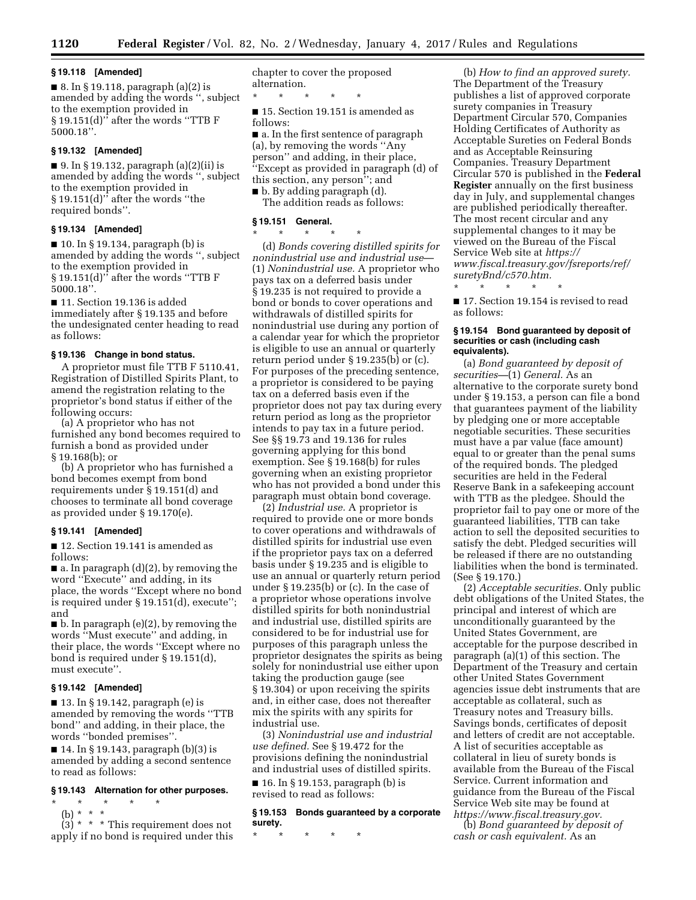## **§ 19.118 [Amended]**

■ 8. In § 19.118, paragraph (a)(2) is amended by adding the words '', subject to the exemption provided in § 19.151(d)'' after the words ''TTB F 5000.18''.

## **§ 19.132 [Amended]**

 $\blacksquare$  9. In § 19.132, paragraph (a)(2)(ii) is amended by adding the words '', subject to the exemption provided in § 19.151(d)'' after the words ''the required bonds''.

#### **§ 19.134 [Amended]**

■ 10. In § 19.134, paragraph (b) is amended by adding the words '', subject to the exemption provided in § 19.151(d)'' after the words ''TTB F 5000.18''.

■ 11. Section 19.136 is added immediately after § 19.135 and before the undesignated center heading to read as follows:

### **§ 19.136 Change in bond status.**

A proprietor must file TTB F 5110.41, Registration of Distilled Spirits Plant, to amend the registration relating to the proprietor's bond status if either of the following occurs:

(a) A proprietor who has not furnished any bond becomes required to furnish a bond as provided under § 19.168(b); or

(b) A proprietor who has furnished a bond becomes exempt from bond requirements under § 19.151(d) and chooses to terminate all bond coverage as provided under § 19.170(e).

## **§ 19.141 [Amended]**

■ 12. Section 19.141 is amended as follows:

■ a. In paragraph (d)(2), by removing the word ''Execute'' and adding, in its place, the words ''Except where no bond is required under § 19.151(d), execute''; and

■ b. In paragraph (e)(2), by removing the words ''Must execute'' and adding, in their place, the words ''Except where no bond is required under § 19.151(d), must execute''.

## **§ 19.142 [Amended]**

 $\blacksquare$  13. In § 19.142, paragraph (e) is amended by removing the words ''TTB bond'' and adding, in their place, the words ''bonded premises''.

■ 14. In § 19.143, paragraph (b)(3) is amended by adding a second sentence to read as follows:

### **§ 19.143 Alternation for other purposes.**

\* \* \* \* \*

(b) \* \* \*

 $(3) * * *$  This requirement does not apply if no bond is required under this chapter to cover the proposed alternation.

\* \* \* \* \* ■ 15. Section 19.151 is amended as follows:

■ a. In the first sentence of paragraph (a), by removing the words ''Any person'' and adding, in their place, ''Except as provided in paragraph (d) of this section, any person''; and

■ b. By adding paragraph (d). The addition reads as follows:

#### **§ 19.151 General.**

\* \* \* \* \* (d) *Bonds covering distilled spirits for nonindustrial use and industrial use*— (1) *Nonindustrial use.* A proprietor who pays tax on a deferred basis under § 19.235 is not required to provide a bond or bonds to cover operations and withdrawals of distilled spirits for nonindustrial use during any portion of a calendar year for which the proprietor is eligible to use an annual or quarterly return period under § 19.235(b) or (c). For purposes of the preceding sentence, a proprietor is considered to be paying tax on a deferred basis even if the proprietor does not pay tax during every return period as long as the proprietor intends to pay tax in a future period. See §§ 19.73 and 19.136 for rules governing applying for this bond exemption. See § 19.168(b) for rules governing when an existing proprietor who has not provided a bond under this paragraph must obtain bond coverage.

(2) *Industrial use.* A proprietor is required to provide one or more bonds to cover operations and withdrawals of distilled spirits for industrial use even if the proprietor pays tax on a deferred basis under § 19.235 and is eligible to use an annual or quarterly return period under § 19.235(b) or (c). In the case of a proprietor whose operations involve distilled spirits for both nonindustrial and industrial use, distilled spirits are considered to be for industrial use for purposes of this paragraph unless the proprietor designates the spirits as being solely for nonindustrial use either upon taking the production gauge (see § 19.304) or upon receiving the spirits and, in either case, does not thereafter mix the spirits with any spirits for industrial use.

(3) *Nonindustrial use and industrial use defined.* See § 19.472 for the provisions defining the nonindustrial and industrial uses of distilled spirits.

■ 16. In § 19.153, paragraph (b) is revised to read as follows:

### **§ 19.153 Bonds guaranteed by a corporate surety.**

\* \* \* \* \*

(b) *How to find an approved surety.*  The Department of the Treasury publishes a list of approved corporate surety companies in Treasury Department Circular 570, Companies Holding Certificates of Authority as Acceptable Sureties on Federal Bonds and as Acceptable Reinsuring Companies. Treasury Department Circular 570 is published in the **Federal Register** annually on the first business day in July, and supplemental changes are published periodically thereafter. The most recent circular and any supplemental changes to it may be viewed on the Bureau of the Fiscal Service Web site at *[https://](https://www.fiscal.treasury.gov/fsreports/ref/suretyBnd/c570.htm) [www.fiscal.treasury.gov/fsreports/ref/](https://www.fiscal.treasury.gov/fsreports/ref/suretyBnd/c570.htm)  [suretyBnd/c570.htm.](https://www.fiscal.treasury.gov/fsreports/ref/suretyBnd/c570.htm)* 

■ 17. Section 19.154 is revised to read as follows:

\* \* \* \* \*

### **§ 19.154 Bond guaranteed by deposit of securities or cash (including cash equivalents).**

(a) *Bond guaranteed by deposit of securities—*(1) *General.* As an alternative to the corporate surety bond under § 19.153, a person can file a bond that guarantees payment of the liability by pledging one or more acceptable negotiable securities. These securities must have a par value (face amount) equal to or greater than the penal sums of the required bonds. The pledged securities are held in the Federal Reserve Bank in a safekeeping account with TTB as the pledgee. Should the proprietor fail to pay one or more of the guaranteed liabilities, TTB can take action to sell the deposited securities to satisfy the debt. Pledged securities will be released if there are no outstanding liabilities when the bond is terminated. (See § 19.170.)

(2) *Acceptable securities.* Only public debt obligations of the United States, the principal and interest of which are unconditionally guaranteed by the United States Government, are acceptable for the purpose described in paragraph (a)(1) of this section. The Department of the Treasury and certain other United States Government agencies issue debt instruments that are acceptable as collateral, such as Treasury notes and Treasury bills. Savings bonds, certificates of deposit and letters of credit are not acceptable. A list of securities acceptable as collateral in lieu of surety bonds is available from the Bureau of the Fiscal Service. Current information and guidance from the Bureau of the Fiscal Service Web site may be found at *[https://www.fiscal.treasury.gov.](https://www.fiscal.treasury.gov)*  (b) *Bond guaranteed by deposit of* 

*cash or cash equivalent.* As an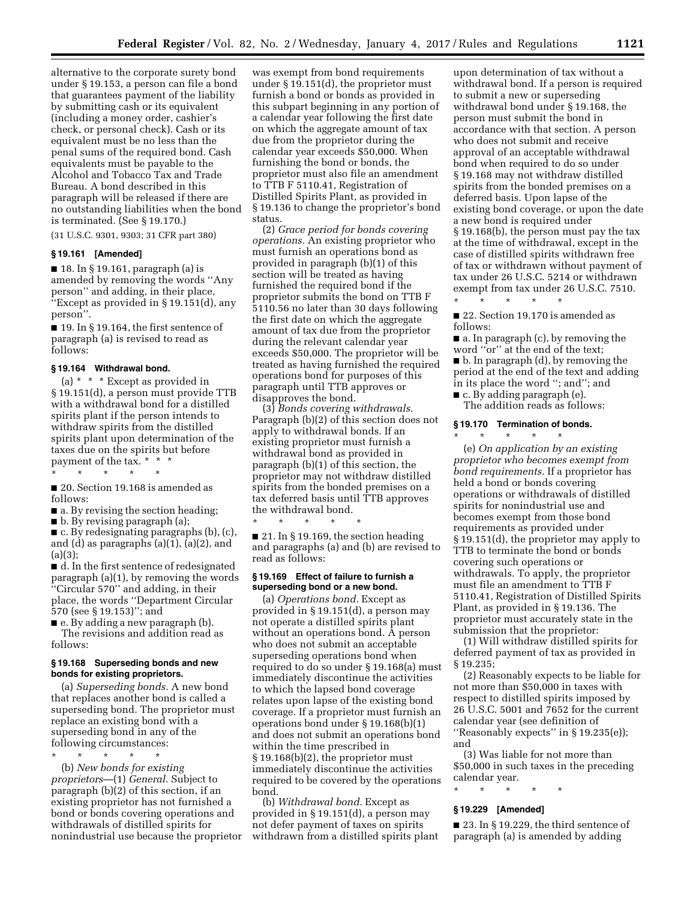alternative to the corporate surety bond under § 19.153, a person can file a bond that guarantees payment of the liability by submitting cash or its equivalent (including a money order, cashier's check, or personal check). Cash or its equivalent must be no less than the penal sums of the required bond. Cash equivalents must be payable to the Alcohol and Tobacco Tax and Trade Bureau. A bond described in this paragraph will be released if there are no outstanding liabilities when the bond is terminated. (See § 19.170.)

(31 U.S.C. 9301, 9303; 31 CFR part 380)

#### **§ 19.161 [Amended]**

■ 18. In § 19.161, paragraph (a) is amended by removing the words ''Any person'' and adding, in their place, ''Except as provided in § 19.151(d), any person''.

■ 19. In § 19.164, the first sentence of paragraph (a) is revised to read as follows:

### **§ 19.164 Withdrawal bond.**

(a) \* \* \* Except as provided in § 19.151(d), a person must provide TTB with a withdrawal bond for a distilled spirits plant if the person intends to withdraw spirits from the distilled spirits plant upon determination of the taxes due on the spirits but before payment of the tax. \* \* \*

\* \* \* \* \*

■ 20. Section 19.168 is amended as follows:

■ a. By revising the section heading;

■ b. By revising paragraph (a);

■ c. By redesignating paragraphs (b), (c), and (d) as paragraphs (a)(1), (a)(2), and  $(a)(3)$ ;

■ d. In the first sentence of redesignated paragraph (a)(1), by removing the words ''Circular 570'' and adding, in their place, the words ''Department Circular 570 (see § 19.153)''; and

■ e. By adding a new paragraph (b). The revisions and addition read as follows:

### **§ 19.168 Superseding bonds and new bonds for existing proprietors.**

(a) *Superseding bonds.* A new bond that replaces another bond is called a superseding bond. The proprietor must replace an existing bond with a superseding bond in any of the following circumstances:

\* \* \* \* \*

(b) *New bonds for existing proprietors*—(1) *General.* Subject to paragraph (b)(2) of this section, if an existing proprietor has not furnished a bond or bonds covering operations and withdrawals of distilled spirits for nonindustrial use because the proprietor

was exempt from bond requirements under § 19.151(d), the proprietor must furnish a bond or bonds as provided in this subpart beginning in any portion of a calendar year following the first date on which the aggregate amount of tax due from the proprietor during the calendar year exceeds \$50,000. When furnishing the bond or bonds, the proprietor must also file an amendment to TTB F 5110.41, Registration of Distilled Spirits Plant, as provided in § 19.136 to change the proprietor's bond status.

(2) *Grace period for bonds covering operations.* An existing proprietor who must furnish an operations bond as provided in paragraph (b)(1) of this section will be treated as having furnished the required bond if the proprietor submits the bond on TTB F 5110.56 no later than 30 days following the first date on which the aggregate amount of tax due from the proprietor during the relevant calendar year exceeds \$50,000. The proprietor will be treated as having furnished the required operations bond for purposes of this paragraph until TTB approves or disapproves the bond.

(3) *Bonds covering withdrawals.*  Paragraph (b)(2) of this section does not apply to withdrawal bonds. If an existing proprietor must furnish a withdrawal bond as provided in paragraph (b)(1) of this section, the proprietor may not withdraw distilled spirits from the bonded premises on a tax deferred basis until TTB approves the withdrawal bond.

\* \* \* \* \*  $\blacksquare$  21. In § 19.169, the section heading and paragraphs (a) and (b) are revised to read as follows:

### **§ 19.169 Effect of failure to furnish a superseding bond or a new bond.**

(a) *Operations bond.* Except as provided in § 19.151(d), a person may not operate a distilled spirits plant without an operations bond. A person who does not submit an acceptable superseding operations bond when required to do so under § 19.168(a) must immediately discontinue the activities to which the lapsed bond coverage relates upon lapse of the existing bond coverage. If a proprietor must furnish an operations bond under § 19.168(b)(1) and does not submit an operations bond within the time prescribed in § 19.168(b)(2), the proprietor must immediately discontinue the activities required to be covered by the operations bond.

(b) *Withdrawal bond.* Except as provided in § 19.151(d), a person may not defer payment of taxes on spirits withdrawn from a distilled spirits plant

upon determination of tax without a withdrawal bond. If a person is required to submit a new or superseding withdrawal bond under § 19.168, the person must submit the bond in accordance with that section. A person who does not submit and receive approval of an acceptable withdrawal bond when required to do so under § 19.168 may not withdraw distilled spirits from the bonded premises on a deferred basis. Upon lapse of the existing bond coverage, or upon the date a new bond is required under § 19.168(b), the person must pay the tax at the time of withdrawal, except in the case of distilled spirits withdrawn free of tax or withdrawn without payment of tax under 26 U.S.C. 5214 or withdrawn exempt from tax under 26 U.S.C. 7510.

■ 22. Section 19.170 is amended as follows:

\* \* \* \* \*

■ a. In paragraph (c), by removing the word ''or'' at the end of the text; ■ b. In paragraph (d), by removing the period at the end of the text and adding in its place the word ''; and''; and ■ c. By adding paragraph (e).

The addition reads as follows:

## **§ 19.170 Termination of bonds.**

\* \* \* \* \*

(e) *On application by an existing proprietor who becomes exempt from bond requirements.* If a proprietor has held a bond or bonds covering operations or withdrawals of distilled spirits for nonindustrial use and becomes exempt from those bond requirements as provided under § 19.151(d), the proprietor may apply to TTB to terminate the bond or bonds covering such operations or withdrawals. To apply, the proprietor must file an amendment to TTB F 5110.41, Registration of Distilled Spirits Plant, as provided in § 19.136. The proprietor must accurately state in the submission that the proprietor:

(1) Will withdraw distilled spirits for deferred payment of tax as provided in § 19.235;

(2) Reasonably expects to be liable for not more than \$50,000 in taxes with respect to distilled spirits imposed by 26 U.S.C. 5001 and 7652 for the current calendar year (see definition of ''Reasonably expects'' in § 19.235(e)); and

(3) Was liable for not more than \$50,000 in such taxes in the preceding calendar year.

\* \* \* \* \*

### **§ 19.229 [Amended]**

■ 23. In § 19.229, the third sentence of paragraph (a) is amended by adding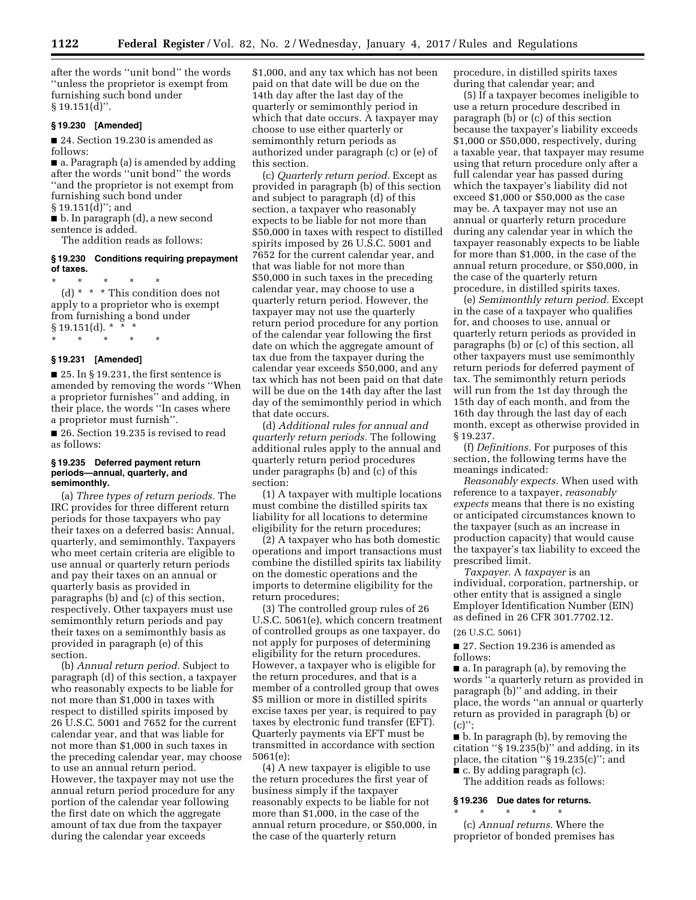after the words ''unit bond'' the words ''unless the proprietor is exempt from furnishing such bond under § 19.151(d)''.

### **§ 19.230 [Amended]**

■ 24. Section 19.230 is amended as follows:

■ a. Paragraph (a) is amended by adding after the words ''unit bond'' the words ''and the proprietor is not exempt from furnishing such bond under

 $§ 19.151(\bar{d})$ "; and

■ b. In paragraph (d), a new second sentence is added.

The addition reads as follows:

## **§ 19.230 Conditions requiring prepayment of taxes.**

\* \* \* \* \* (d) \* \* \* This condition does not apply to a proprietor who is exempt from furnishing a bond under  $§ 19.151(d).$  \*

#### **§ 19.231 [Amended]**

\* \* \* \* \*

 $\blacksquare$  25. In § 19.231, the first sentence is amended by removing the words ''When a proprietor furnishes'' and adding, in their place, the words ''In cases where a proprietor must furnish''.

■ 26. Section 19.235 is revised to read as follows:

#### **§ 19.235 Deferred payment return periods—annual, quarterly, and semimonthly.**

(a) *Three types of return periods.* The IRC provides for three different return periods for those taxpayers who pay their taxes on a deferred basis: Annual, quarterly, and semimonthly. Taxpayers who meet certain criteria are eligible to use annual or quarterly return periods and pay their taxes on an annual or quarterly basis as provided in paragraphs (b) and (c) of this section, respectively. Other taxpayers must use semimonthly return periods and pay their taxes on a semimonthly basis as provided in paragraph (e) of this section.

(b) *Annual return period.* Subject to paragraph (d) of this section, a taxpayer who reasonably expects to be liable for not more than \$1,000 in taxes with respect to distilled spirits imposed by 26 U.S.C. 5001 and 7652 for the current calendar year, and that was liable for not more than \$1,000 in such taxes in the preceding calendar year, may choose to use an annual return period. However, the taxpayer may not use the annual return period procedure for any portion of the calendar year following the first date on which the aggregate amount of tax due from the taxpayer during the calendar year exceeds

\$1,000, and any tax which has not been paid on that date will be due on the 14th day after the last day of the quarterly or semimonthly period in which that date occurs. A taxpayer may choose to use either quarterly or semimonthly return periods as authorized under paragraph (c) or (e) of this section.

(c) *Quarterly return period.* Except as provided in paragraph (b) of this section and subject to paragraph (d) of this section, a taxpayer who reasonably expects to be liable for not more than \$50,000 in taxes with respect to distilled spirits imposed by 26 U.S.C. 5001 and 7652 for the current calendar year, and that was liable for not more than \$50,000 in such taxes in the preceding calendar year, may choose to use a quarterly return period. However, the taxpayer may not use the quarterly return period procedure for any portion of the calendar year following the first date on which the aggregate amount of tax due from the taxpayer during the calendar year exceeds \$50,000, and any tax which has not been paid on that date will be due on the 14th day after the last day of the semimonthly period in which that date occurs.

(d) *Additional rules for annual and quarterly return periods.* The following additional rules apply to the annual and quarterly return period procedures under paragraphs (b) and (c) of this section:

(1) A taxpayer with multiple locations must combine the distilled spirits tax liability for all locations to determine eligibility for the return procedures;

(2) A taxpayer who has both domestic operations and import transactions must combine the distilled spirits tax liability on the domestic operations and the imports to determine eligibility for the return procedures;

(3) The controlled group rules of 26 U.S.C. 5061(e), which concern treatment of controlled groups as one taxpayer, do not apply for purposes of determining eligibility for the return procedures. However, a taxpayer who is eligible for the return procedures, and that is a member of a controlled group that owes \$5 million or more in distilled spirits excise taxes per year, is required to pay taxes by electronic fund transfer (EFT). Quarterly payments via EFT must be transmitted in accordance with section 5061(e);

(4) A new taxpayer is eligible to use the return procedures the first year of business simply if the taxpayer reasonably expects to be liable for not more than \$1,000, in the case of the annual return procedure, or \$50,000, in the case of the quarterly return

procedure, in distilled spirits taxes during that calendar year; and

(5) If a taxpayer becomes ineligible to use a return procedure described in paragraph (b) or (c) of this section because the taxpayer's liability exceeds \$1,000 or \$50,000, respectively, during a taxable year, that taxpayer may resume using that return procedure only after a full calendar year has passed during which the taxpayer's liability did not exceed \$1,000 or \$50,000 as the case may be. A taxpayer may not use an annual or quarterly return procedure during any calendar year in which the taxpayer reasonably expects to be liable for more than \$1,000, in the case of the annual return procedure, or \$50,000, in the case of the quarterly return procedure, in distilled spirits taxes.

(e) *Semimonthly return period.* Except in the case of a taxpayer who qualifies for, and chooses to use, annual or quarterly return periods as provided in paragraphs (b) or (c) of this section, all other taxpayers must use semimonthly return periods for deferred payment of tax. The semimonthly return periods will run from the 1st day through the 15th day of each month, and from the 16th day through the last day of each month, except as otherwise provided in § 19.237.

(f) *Definitions.* For purposes of this section, the following terms have the meanings indicated:

*Reasonably expects.* When used with reference to a taxpayer, *reasonably expects* means that there is no existing or anticipated circumstances known to the taxpayer (such as an increase in production capacity) that would cause the taxpayer's tax liability to exceed the prescribed limit.

*Taxpayer.* A *taxpayer* is an individual, corporation, partnership, or other entity that is assigned a single Employer Identification Number (EIN) as defined in 26 CFR 301.7702.12.

#### (26 U.S.C. 5061)

■ 27. Section 19.236 is amended as follows:

■ a. In paragraph (a), by removing the words ''a quarterly return as provided in paragraph (b)'' and adding, in their place, the words ''an annual or quarterly return as provided in paragraph (b) or  $(c)$ ":

■ b. In paragraph (b), by removing the citation ''§ 19.235(b)'' and adding, in its place, the citation ''§ 19.235(c)''; and  $\blacksquare$  c. By adding paragraph (c).

The addition reads as follows:

### **§ 19.236 Due dates for returns.**

\* \* \* \* \* (c) *Annual returns.* Where the proprietor of bonded premises has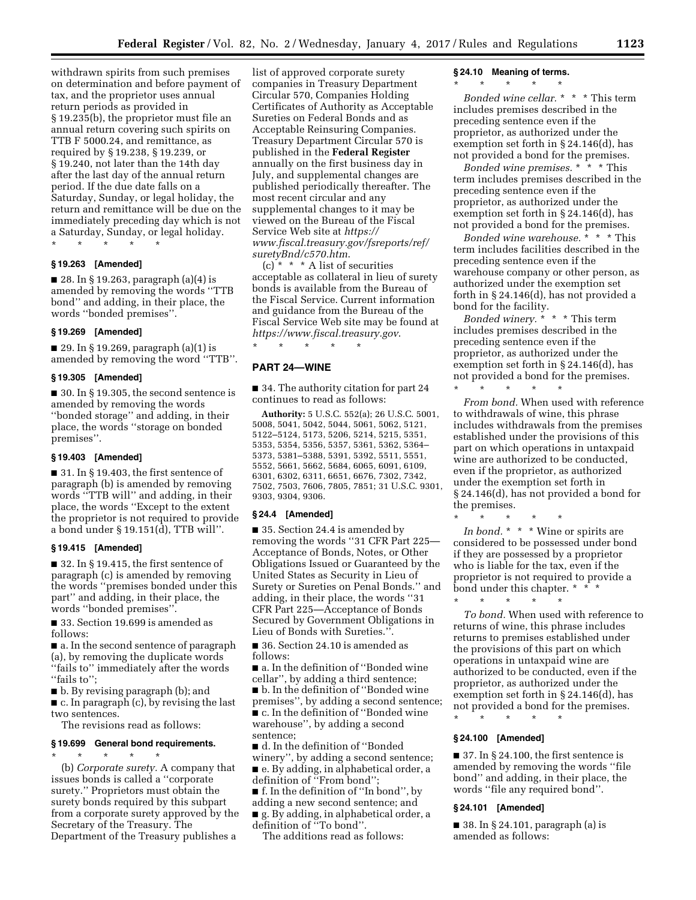withdrawn spirits from such premises on determination and before payment of tax, and the proprietor uses annual return periods as provided in § 19.235(b), the proprietor must file an annual return covering such spirits on TTB F 5000.24, and remittance, as required by § 19.238, § 19.239, or § 19.240, not later than the 14th day after the last day of the annual return period. If the due date falls on a Saturday, Sunday, or legal holiday, the return and remittance will be due on the immediately preceding day which is not a Saturday, Sunday, or legal holiday.

\* \* \* \* \*

## **§ 19.263 [Amended]**

■ 28. In § 19.263, paragraph (a)(4) is amended by removing the words ''TTB bond'' and adding, in their place, the words ''bonded premises''.

#### **§ 19.269 [Amended]**

■ 29. In § 19.269, paragraph (a)(1) is amended by removing the word ''TTB''.

#### **§ 19.305 [Amended]**

 $\blacksquare$  30. In § 19.305, the second sentence is amended by removing the words ''bonded storage'' and adding, in their place, the words ''storage on bonded premises''.

#### **§ 19.403 [Amended]**

■ 31. In § 19.403, the first sentence of paragraph (b) is amended by removing words ''TTB will'' and adding, in their place, the words ''Except to the extent the proprietor is not required to provide a bond under § 19.151(d), TTB will''.

## **§ 19.415 [Amended]**

■ 32. In § 19.415, the first sentence of paragraph (c) is amended by removing the words ''premises bonded under this part'' and adding, in their place, the words ''bonded premises''.

■ 33. Section 19.699 is amended as follows:

■ a. In the second sentence of paragraph (a), by removing the duplicate words ''fails to'' immediately after the words "fails to";

■ b. By revising paragraph (b); and

■ c. In paragraph (c), by revising the last two sentences.

The revisions read as follows:

### **§ 19.699 General bond requirements.**

\* \* \* \* \* (b) *Corporate surety.* A company that issues bonds is called a ''corporate surety.'' Proprietors must obtain the surety bonds required by this subpart from a corporate surety approved by the Secretary of the Treasury. The Department of the Treasury publishes a

list of approved corporate surety companies in Treasury Department Circular 570, Companies Holding Certificates of Authority as Acceptable Sureties on Federal Bonds and as Acceptable Reinsuring Companies. Treasury Department Circular 570 is published in the **Federal Register**  annually on the first business day in July, and supplemental changes are published periodically thereafter. The most recent circular and any supplemental changes to it may be viewed on the Bureau of the Fiscal Service Web site at *[https://](https://www.fiscal.treasury.gov/fsreports/ref/suretyBnd/c570.htm) [www.fiscal.treasury.gov/fsreports/ref/](https://www.fiscal.treasury.gov/fsreports/ref/suretyBnd/c570.htm)  [suretyBnd/c570.htm](https://www.fiscal.treasury.gov/fsreports/ref/suretyBnd/c570.htm)*.

(c)  $*$   $*$   $*$  A list of securities acceptable as collateral in lieu of surety bonds is available from the Bureau of the Fiscal Service. Current information and guidance from the Bureau of the Fiscal Service Web site may be found at *<https://www.fiscal.treasury.gov>*.

**PART 24—WINE** 

\* \* \* \* \*

■ 34. The authority citation for part 24 continues to read as follows:

**Authority:** 5 U.S.C. 552(a); 26 U.S.C. 5001, 5008, 5041, 5042, 5044, 5061, 5062, 5121, 5122–5124, 5173, 5206, 5214, 5215, 5351, 5353, 5354, 5356, 5357, 5361, 5362, 5364– 5373, 5381–5388, 5391, 5392, 5511, 5551, 5552, 5661, 5662, 5684, 6065, 6091, 6109, 6301, 6302, 6311, 6651, 6676, 7302, 7342, 7502, 7503, 7606, 7805, 7851; 31 U.S.C. 9301, 9303, 9304, 9306.

#### **§ 24.4 [Amended]**

■ 35. Section 24.4 is amended by removing the words ''31 CFR Part 225— Acceptance of Bonds, Notes, or Other Obligations Issued or Guaranteed by the United States as Security in Lieu of Surety or Sureties on Penal Bonds.'' and adding, in their place, the words ''31 CFR Part 225—Acceptance of Bonds Secured by Government Obligations in Lieu of Bonds with Sureties.''.

■ 36. Section 24.10 is amended as follows:

■ a. In the definition of "Bonded wine cellar'', by adding a third sentence; ■ b. In the definition of ''Bonded wine premises'', by adding a second sentence; ■ c. In the definition of ''Bonded wine warehouse'', by adding a second sentence;

■ d. In the definition of ''Bonded winery'', by adding a second sentence; ■ e. By adding, in alphabetical order, a definition of ''From bond'';

■ f. In the definition of "In bond", by adding a new second sentence; and ■ g. By adding, in alphabetical order, a definition of ''To bond''.

The additions read as follows:

#### **§ 24.10 Meaning of terms.**

# \* \* \* \* \*

*Bonded wine cellar.* \* \* \* This term includes premises described in the preceding sentence even if the proprietor, as authorized under the exemption set forth in § 24.146(d), has not provided a bond for the premises.

*Bonded wine premises.* \* \* \* This term includes premises described in the preceding sentence even if the proprietor, as authorized under the exemption set forth in § 24.146(d), has not provided a bond for the premises.

*Bonded wine warehouse.* \* \* \* This term includes facilities described in the preceding sentence even if the warehouse company or other person, as authorized under the exemption set forth in § 24.146(d), has not provided a bond for the facility.

*Bonded winery.* \* \* \* This term includes premises described in the preceding sentence even if the proprietor, as authorized under the exemption set forth in § 24.146(d), has not provided a bond for the premises.

\* \* \* \* \*

\* \* \* \* \*

*From bond.* When used with reference to withdrawals of wine, this phrase includes withdrawals from the premises established under the provisions of this part on which operations in untaxpaid wine are authorized to be conducted, even if the proprietor, as authorized under the exemption set forth in § 24.146(d), has not provided a bond for the premises.

*In bond.* \* \* \* Wine or spirits are considered to be possessed under bond if they are possessed by a proprietor who is liable for the tax, even if the proprietor is not required to provide a bond under this chapter. \* \* \* \* \* \* \*

*To bond.* When used with reference to returns of wine, this phrase includes returns to premises established under the provisions of this part on which operations in untaxpaid wine are authorized to be conducted, even if the proprietor, as authorized under the exemption set forth in § 24.146(d), has not provided a bond for the premises.

### \* \* \* \* \*

## **§ 24.100 [Amended]**

■ 37. In § 24.100, the first sentence is amended by removing the words ''file bond'' and adding, in their place, the words ''file any required bond''.

### **§ 24.101 [Amended]**

■ 38. In § 24.101, paragraph (a) is amended as follows: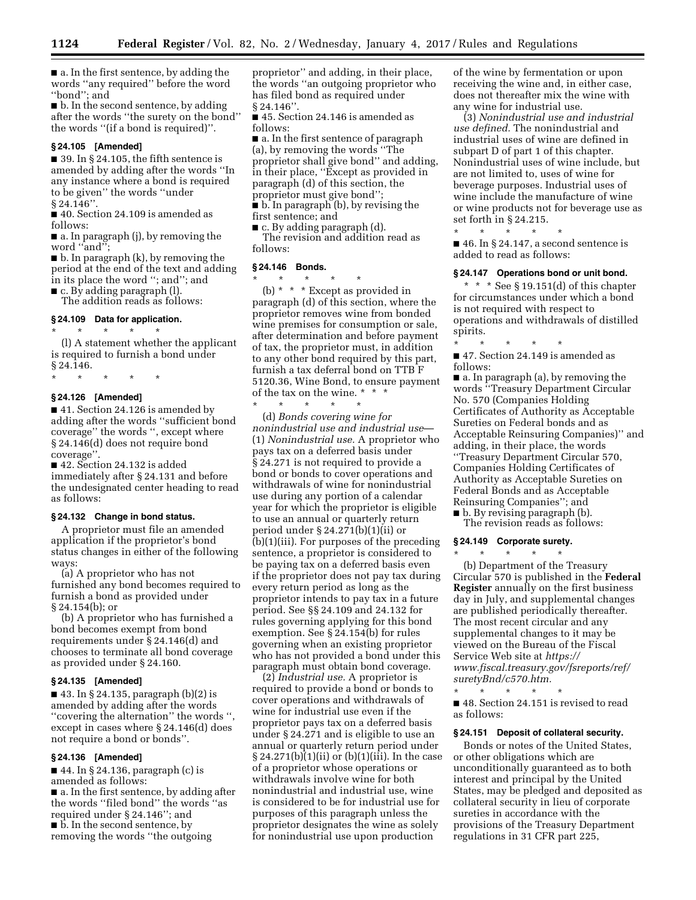■ a. In the first sentence, by adding the words ''any required'' before the word ''bond''; and

■ b. In the second sentence, by adding after the words ''the surety on the bond'' the words ''(if a bond is required)''.

#### **§ 24.105 [Amended]**

 $\blacksquare$  39. In § 24.105, the fifth sentence is amended by adding after the words ''In any instance where a bond is required to be given'' the words ''under § 24.146''.

■ 40. Section 24.109 is amended as follows:

■ a. In paragraph (j), by removing the word ''and'';

■ b. In paragraph (k), by removing the period at the end of the text and adding in its place the word ''; and''; and

■ c. By adding paragraph (1).

The addition reads as follows:

# **§ 24.109 Data for application.**

\* \* \* \* \* (l) A statement whether the applicant is required to furnish a bond under § 24.146.

\* \* \* \* \*

### **§ 24.126 [Amended]**

■ 41. Section 24.126 is amended by adding after the words ''sufficient bond coverage'' the words '', except where § 24.146(d) does not require bond coverage''.

■ 42. Section 24.132 is added immediately after § 24.131 and before the undesignated center heading to read as follows:

### **§ 24.132 Change in bond status.**

A proprietor must file an amended application if the proprietor's bond status changes in either of the following ways:

(a) A proprietor who has not furnished any bond becomes required to furnish a bond as provided under § 24.154(b); or

(b) A proprietor who has furnished a bond becomes exempt from bond requirements under § 24.146(d) and chooses to terminate all bond coverage as provided under § 24.160.

### **§ 24.135 [Amended]**

■ 43. In § 24.135, paragraph (b)(2) is amended by adding after the words ''covering the alternation'' the words '', except in cases where § 24.146(d) does not require a bond or bonds''.

#### **§ 24.136 [Amended]**

■ 44. In § 24.136, paragraph (c) is amended as follows: ■ a. In the first sentence, by adding after the words ''filed bond'' the words ''as required under § 24.146''; and ■ b. In the second sentence, by removing the words ''the outgoing

proprietor'' and adding, in their place, the words ''an outgoing proprietor who has filed bond as required under § 24.146''.

■ 45. Section 24.146 is amended as follows:

■ a. In the first sentence of paragraph (a), by removing the words ''The proprietor shall give bond'' and adding, in their place, ''Except as provided in paragraph (d) of this section, the proprietor must give bond'';

■ b. In paragraph (b), by revising the first sentence; and

 $\blacksquare$  c. By adding paragraph (d).

The revision and addition read as follows:

#### **§ 24.146 Bonds.**

\* \* \* \* \* (b) \* \* \* Except as provided in paragraph (d) of this section, where the proprietor removes wine from bonded wine premises for consumption or sale, after determination and before payment of tax, the proprietor must, in addition to any other bond required by this part, furnish a tax deferral bond on TTB F 5120.36, Wine Bond, to ensure payment % of the tax on the wine. \* \* \* \* \*

\* \* \* \* \* (d) *Bonds covering wine for nonindustrial use and industrial use*— (1) *Nonindustrial use.* A proprietor who pays tax on a deferred basis under § 24.271 is not required to provide a bond or bonds to cover operations and withdrawals of wine for nonindustrial use during any portion of a calendar year for which the proprietor is eligible to use an annual or quarterly return period under § 24.271(b)(1)(ii) or (b)(1)(iii). For purposes of the preceding sentence, a proprietor is considered to be paying tax on a deferred basis even if the proprietor does not pay tax during every return period as long as the proprietor intends to pay tax in a future period. See §§ 24.109 and 24.132 for rules governing applying for this bond exemption. See § 24.154(b) for rules governing when an existing proprietor who has not provided a bond under this paragraph must obtain bond coverage.

(2) *Industrial use.* A proprietor is required to provide a bond or bonds to cover operations and withdrawals of wine for industrial use even if the proprietor pays tax on a deferred basis under § 24.271 and is eligible to use an annual or quarterly return period under § 24.271(b)(1)(ii) or (b)(1)(iii). In the case of a proprietor whose operations or withdrawals involve wine for both nonindustrial and industrial use, wine is considered to be for industrial use for purposes of this paragraph unless the proprietor designates the wine as solely for nonindustrial use upon production

of the wine by fermentation or upon receiving the wine and, in either case, does not thereafter mix the wine with any wine for industrial use.

(3) *Nonindustrial use and industrial use defined.* The nonindustrial and industrial uses of wine are defined in subpart D of part 1 of this chapter. Nonindustrial uses of wine include, but are not limited to, uses of wine for beverage purposes. Industrial uses of wine include the manufacture of wine or wine products not for beverage use as set forth in § 24.215.

\* \* \* \* \*

■ 46. In § 24.147, a second sentence is added to read as follows:

## **§ 24.147 Operations bond or unit bond.**

\* \* \* See § 19.151(d) of this chapter for circumstances under which a bond is not required with respect to operations and withdrawals of distilled spirits.

\* \* \* \* \* ■ 47. Section 24.149 is amended as follows:

■ a. In paragraph (a), by removing the words ''Treasury Department Circular No. 570 (Companies Holding Certificates of Authority as Acceptable Sureties on Federal bonds and as Acceptable Reinsuring Companies)'' and adding, in their place, the words ''Treasury Department Circular 570, Companies Holding Certificates of Authority as Acceptable Sureties on Federal Bonds and as Acceptable Reinsuring Companies''; and

■ b. By revising paragraph (b). The revision reads as follows:

#### **§ 24.149 Corporate surety.**  \* \* \* \* \*

(b) Department of the Treasury Circular 570 is published in the **Federal Register** annually on the first business day in July, and supplemental changes are published periodically thereafter. The most recent circular and any supplemental changes to it may be viewed on the Bureau of the Fiscal Service Web site at *[https://](https://www.fiscal.treasury.gov/fsreports/ref/suretyBnd/c570.htm) [www.fiscal.treasury.gov/fsreports/ref/](https://www.fiscal.treasury.gov/fsreports/ref/suretyBnd/c570.htm)  [suretyBnd/c570.htm.](https://www.fiscal.treasury.gov/fsreports/ref/suretyBnd/c570.htm)* 

\* \* \* \* \*

■ 48. Section 24.151 is revised to read as follows:

## **§ 24.151 Deposit of collateral security.**

Bonds or notes of the United States, or other obligations which are unconditionally guaranteed as to both interest and principal by the United States, may be pledged and deposited as collateral security in lieu of corporate sureties in accordance with the provisions of the Treasury Department regulations in 31 CFR part 225,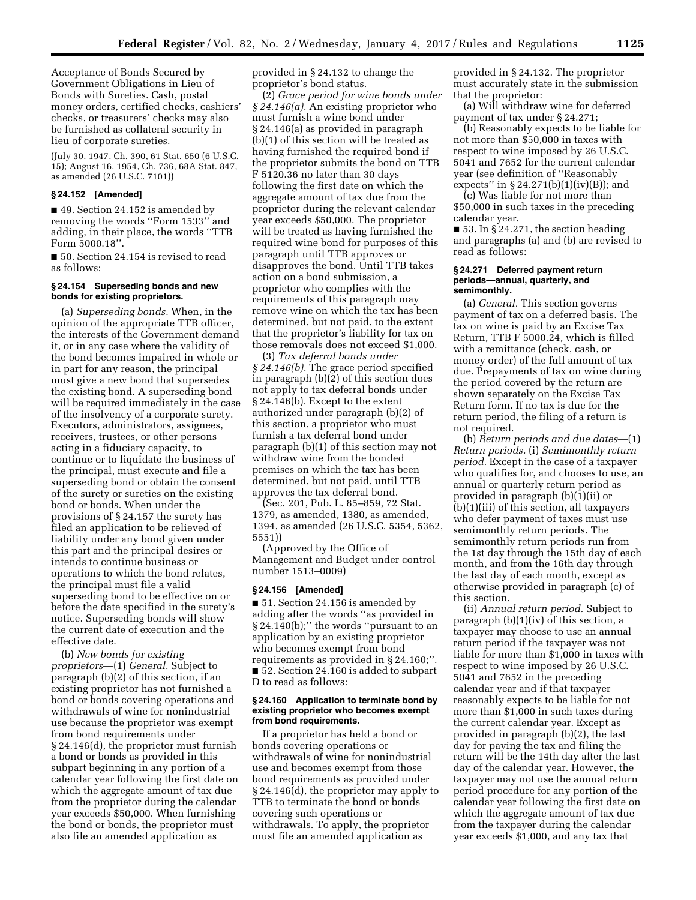Acceptance of Bonds Secured by Government Obligations in Lieu of Bonds with Sureties. Cash, postal money orders, certified checks, cashiers' checks, or treasurers' checks may also be furnished as collateral security in lieu of corporate sureties.

(July 30, 1947, Ch. 390, 61 Stat. 650 (6 U.S.C. 15); August 16, 1954, Ch. 736, 68A Stat. 847, as amended (26 U.S.C. 7101))

#### **§ 24.152 [Amended]**

■ 49. Section 24.152 is amended by removing the words ''Form 1533'' and adding, in their place, the words ''TTB Form 5000.18''.

■ 50. Section 24.154 is revised to read as follows:

### **§ 24.154 Superseding bonds and new bonds for existing proprietors.**

(a) *Superseding bonds.* When, in the opinion of the appropriate TTB officer, the interests of the Government demand it, or in any case where the validity of the bond becomes impaired in whole or in part for any reason, the principal must give a new bond that supersedes the existing bond. A superseding bond will be required immediately in the case of the insolvency of a corporate surety. Executors, administrators, assignees, receivers, trustees, or other persons acting in a fiduciary capacity, to continue or to liquidate the business of the principal, must execute and file a superseding bond or obtain the consent of the surety or sureties on the existing bond or bonds. When under the provisions of § 24.157 the surety has filed an application to be relieved of liability under any bond given under this part and the principal desires or intends to continue business or operations to which the bond relates, the principal must file a valid superseding bond to be effective on or before the date specified in the surety's notice. Superseding bonds will show the current date of execution and the effective date.

(b) *New bonds for existing proprietors*—(1) *General.* Subject to paragraph (b)(2) of this section, if an existing proprietor has not furnished a bond or bonds covering operations and withdrawals of wine for nonindustrial use because the proprietor was exempt from bond requirements under § 24.146(d), the proprietor must furnish a bond or bonds as provided in this subpart beginning in any portion of a calendar year following the first date on which the aggregate amount of tax due from the proprietor during the calendar year exceeds \$50,000. When furnishing the bond or bonds, the proprietor must also file an amended application as

provided in § 24.132 to change the proprietor's bond status.

(2) *Grace period for wine bonds under § 24.146(a).* An existing proprietor who must furnish a wine bond under § 24.146(a) as provided in paragraph (b)(1) of this section will be treated as having furnished the required bond if the proprietor submits the bond on TTB F 5120.36 no later than 30 days following the first date on which the aggregate amount of tax due from the proprietor during the relevant calendar year exceeds \$50,000. The proprietor will be treated as having furnished the required wine bond for purposes of this paragraph until TTB approves or disapproves the bond. Until TTB takes action on a bond submission, a proprietor who complies with the requirements of this paragraph may remove wine on which the tax has been determined, but not paid, to the extent that the proprietor's liability for tax on those removals does not exceed \$1,000.

(3) *Tax deferral bonds under § 24.146(b).* The grace period specified in paragraph (b)(2) of this section does not apply to tax deferral bonds under § 24.146(b). Except to the extent authorized under paragraph (b)(2) of this section, a proprietor who must furnish a tax deferral bond under paragraph (b)(1) of this section may not withdraw wine from the bonded premises on which the tax has been determined, but not paid, until TTB approves the tax deferral bond.

(Sec. 201, Pub. L. 85–859, 72 Stat. 1379, as amended, 1380, as amended, 1394, as amended (26 U.S.C. 5354, 5362, 5551))

(Approved by the Office of Management and Budget under control number 1513–0009)

#### **§ 24.156 [Amended]**

■ 51. Section 24.156 is amended by adding after the words ''as provided in § 24.140(b);'' the words ''pursuant to an application by an existing proprietor who becomes exempt from bond requirements as provided in § 24.160;''. ■ 52. Section 24.160 is added to subpart D to read as follows:

#### **§ 24.160 Application to terminate bond by existing proprietor who becomes exempt from bond requirements.**

If a proprietor has held a bond or bonds covering operations or withdrawals of wine for nonindustrial use and becomes exempt from those bond requirements as provided under § 24.146(d), the proprietor may apply to TTB to terminate the bond or bonds covering such operations or withdrawals. To apply, the proprietor must file an amended application as

provided in § 24.132. The proprietor must accurately state in the submission that the proprietor:

(a) Will withdraw wine for deferred payment of tax under § 24.271;

(b) Reasonably expects to be liable for not more than \$50,000 in taxes with respect to wine imposed by 26 U.S.C. 5041 and 7652 for the current calendar year (see definition of ''Reasonably expects'' in  $\S 24.271(b)(1)(iv)(B)$ ; and

(c) Was liable for not more than \$50,000 in such taxes in the preceding calendar year.

 $\blacksquare$  53. In § 24.271, the section heading and paragraphs (a) and (b) are revised to read as follows:

#### **§ 24.271 Deferred payment return periods—annual, quarterly, and semimonthly.**

(a) *General.* This section governs payment of tax on a deferred basis. The tax on wine is paid by an Excise Tax Return, TTB F 5000.24, which is filled with a remittance (check, cash, or money order) of the full amount of tax due. Prepayments of tax on wine during the period covered by the return are shown separately on the Excise Tax Return form. If no tax is due for the return period, the filing of a return is not required.

(b) *Return periods and due dates*—(1) *Return periods.* (i) *Semimonthly return period.* Except in the case of a taxpayer who qualifies for, and chooses to use, an annual or quarterly return period as provided in paragraph (b)(1)(ii) or (b)(1)(iii) of this section, all taxpayers who defer payment of taxes must use semimonthly return periods. The semimonthly return periods run from the 1st day through the 15th day of each month, and from the 16th day through the last day of each month, except as otherwise provided in paragraph (c) of this section.

(ii) *Annual return period.* Subject to paragraph (b)(1)(iv) of this section, a taxpayer may choose to use an annual return period if the taxpayer was not liable for more than \$1,000 in taxes with respect to wine imposed by 26 U.S.C. 5041 and 7652 in the preceding calendar year and if that taxpayer reasonably expects to be liable for not more than \$1,000 in such taxes during the current calendar year. Except as provided in paragraph (b)(2), the last day for paying the tax and filing the return will be the 14th day after the last day of the calendar year. However, the taxpayer may not use the annual return period procedure for any portion of the calendar year following the first date on which the aggregate amount of tax due from the taxpayer during the calendar year exceeds \$1,000, and any tax that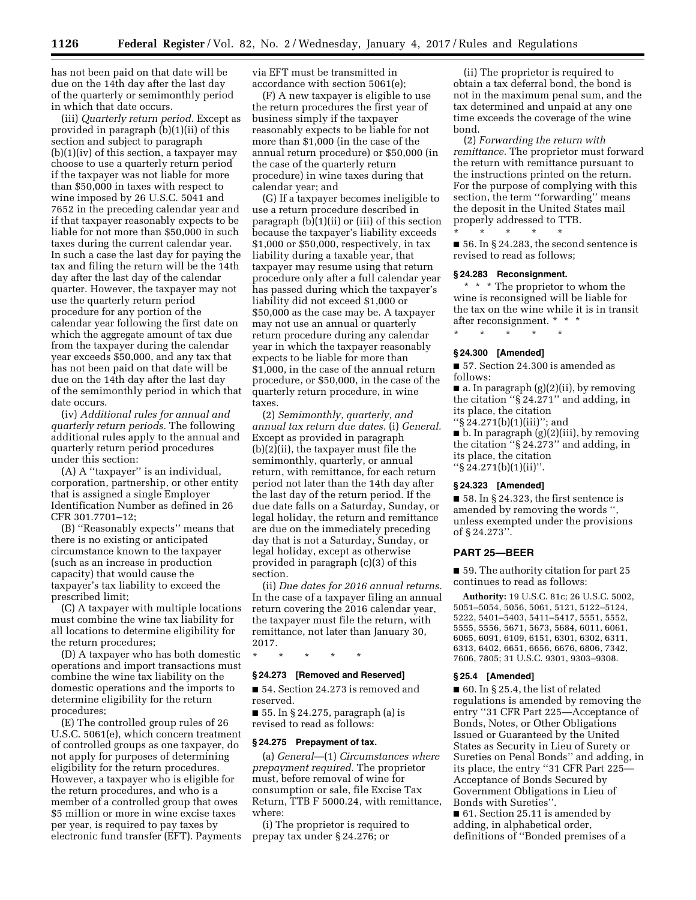has not been paid on that date will be due on the 14th day after the last day of the quarterly or semimonthly period in which that date occurs.

(iii) *Quarterly return period.* Except as provided in paragraph (b)(1)(ii) of this section and subject to paragraph  $(b)(1)(iv)$  of this section, a taxpayer may choose to use a quarterly return period if the taxpayer was not liable for more than \$50,000 in taxes with respect to wine imposed by 26 U.S.C. 5041 and 7652 in the preceding calendar year and if that taxpayer reasonably expects to be liable for not more than \$50,000 in such taxes during the current calendar year. In such a case the last day for paying the tax and filing the return will be the 14th day after the last day of the calendar quarter. However, the taxpayer may not use the quarterly return period procedure for any portion of the calendar year following the first date on which the aggregate amount of tax due from the taxpayer during the calendar year exceeds \$50,000, and any tax that has not been paid on that date will be due on the 14th day after the last day of the semimonthly period in which that date occurs.

(iv) *Additional rules for annual and quarterly return periods.* The following additional rules apply to the annual and quarterly return period procedures under this section:

(A) A ''taxpayer'' is an individual, corporation, partnership, or other entity that is assigned a single Employer Identification Number as defined in 26 CFR 301.7701–12;

(B) ''Reasonably expects'' means that there is no existing or anticipated circumstance known to the taxpayer (such as an increase in production capacity) that would cause the taxpayer's tax liability to exceed the prescribed limit;

(C) A taxpayer with multiple locations must combine the wine tax liability for all locations to determine eligibility for the return procedures;

(D) A taxpayer who has both domestic operations and import transactions must combine the wine tax liability on the domestic operations and the imports to determine eligibility for the return procedures;

(E) The controlled group rules of 26 U.S.C. 5061(e), which concern treatment of controlled groups as one taxpayer, do not apply for purposes of determining eligibility for the return procedures. However, a taxpayer who is eligible for the return procedures, and who is a member of a controlled group that owes \$5 million or more in wine excise taxes per year, is required to pay taxes by electronic fund transfer (EFT). Payments

via EFT must be transmitted in accordance with section 5061(e);

(F) A new taxpayer is eligible to use the return procedures the first year of business simply if the taxpayer reasonably expects to be liable for not more than \$1,000 (in the case of the annual return procedure) or \$50,000 (in the case of the quarterly return procedure) in wine taxes during that calendar year; and

(G) If a taxpayer becomes ineligible to use a return procedure described in paragraph (b)(1)(ii) or (iii) of this section because the taxpayer's liability exceeds \$1,000 or \$50,000, respectively, in tax liability during a taxable year, that taxpayer may resume using that return procedure only after a full calendar year has passed during which the taxpayer's liability did not exceed \$1,000 or \$50,000 as the case may be. A taxpayer may not use an annual or quarterly return procedure during any calendar year in which the taxpayer reasonably expects to be liable for more than \$1,000, in the case of the annual return procedure, or \$50,000, in the case of the quarterly return procedure, in wine taxes.

(2) *Semimonthly, quarterly, and annual tax return due dates.* (i) *General.*  Except as provided in paragraph (b)(2)(ii), the taxpayer must file the semimonthly, quarterly, or annual return, with remittance, for each return period not later than the 14th day after the last day of the return period. If the due date falls on a Saturday, Sunday, or legal holiday, the return and remittance are due on the immediately preceding day that is not a Saturday, Sunday, or legal holiday, except as otherwise provided in paragraph (c)(3) of this section.

(ii) *Due dates for 2016 annual returns.*  In the case of a taxpayer filing an annual return covering the 2016 calendar year, the taxpayer must file the return, with remittance, not later than January 30, 2017.

\* \* \* \* \*

### **§ 24.273 [Removed and Reserved]**

■ 54. Section 24.273 is removed and reserved.

■ 55. In § 24.275, paragraph (a) is revised to read as follows:

### **§ 24.275 Prepayment of tax.**

(a) *General*—(1) *Circumstances where prepayment required.* The proprietor must, before removal of wine for consumption or sale, file Excise Tax Return, TTB F 5000.24, with remittance, where:

(i) The proprietor is required to prepay tax under § 24.276; or

(ii) The proprietor is required to obtain a tax deferral bond, the bond is not in the maximum penal sum, and the tax determined and unpaid at any one time exceeds the coverage of the wine bond.

(2) *Forwarding the return with remittance.* The proprietor must forward the return with remittance pursuant to the instructions printed on the return. For the purpose of complying with this section, the term "forwarding" means the deposit in the United States mail properly addressed to TTB.

\* \* \* \* \* ■ 56. In § 24.283, the second sentence is revised to read as follows;

## **§ 24.283 Reconsignment.**

\* \* \* The proprietor to whom the wine is reconsigned will be liable for the tax on the wine while it is in transit after reconsignment. \* \* \*

\* \* \* \* \*

### **§ 24.300 [Amended]**

■ 57. Section 24.300 is amended as follows:

■ a. In paragraph (g)(2)(ii), by removing the citation " $\S$  24.271" and adding, in its place, the citation ''§ 24.271(b)(1)(iii)''; and

 $\blacksquare$  b. In paragraph (g)(2)(iii), by removing the citation ''§ 24.273'' and adding, in its place, the citation ''§ 24.271(b)(1)(ii)''.

### **§ 24.323 [Amended]**

 $\blacksquare$  58. In § 24.323, the first sentence is amended by removing the words " unless exempted under the provisions of § 24.273''.

#### **PART 25—BEER**

■ 59. The authority citation for part 25 continues to read as follows:

**Authority:** 19 U.S.C. 81c; 26 U.S.C. 5002, 5051–5054, 5056, 5061, 5121, 5122–5124, 5222, 5401–5403, 5411–5417, 5551, 5552, 5555, 5556, 5671, 5673, 5684, 6011, 6061, 6065, 6091, 6109, 6151, 6301, 6302, 6311, 6313, 6402, 6651, 6656, 6676, 6806, 7342, 7606, 7805; 31 U.S.C. 9301, 9303–9308.

#### **§ 25.4 [Amended]**

 $\blacksquare$  60. In § 25.4, the list of related regulations is amended by removing the entry ''31 CFR Part 225—Acceptance of Bonds, Notes, or Other Obligations Issued or Guaranteed by the United States as Security in Lieu of Surety or Sureties on Penal Bonds'' and adding, in its place, the entry ''31 CFR Part 225— Acceptance of Bonds Secured by Government Obligations in Lieu of Bonds with Sureties''.

■ 61. Section 25.11 is amended by adding, in alphabetical order, definitions of ''Bonded premises of a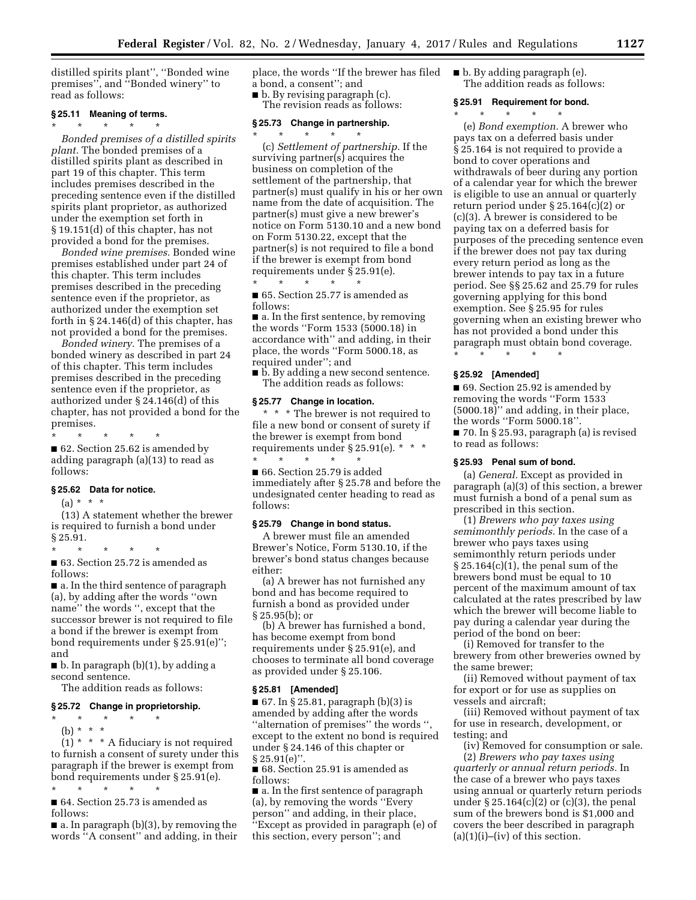distilled spirits plant'', ''Bonded wine premises'', and ''Bonded winery'' to read as follows:

### **§ 25.11 Meaning of terms.**

\* \* \* \* \* *Bonded premises of a distilled spirits plant.* The bonded premises of a distilled spirits plant as described in part 19 of this chapter. This term includes premises described in the preceding sentence even if the distilled spirits plant proprietor, as authorized under the exemption set forth in § 19.151(d) of this chapter, has not provided a bond for the premises.

*Bonded wine premises.* Bonded wine premises established under part 24 of this chapter. This term includes premises described in the preceding sentence even if the proprietor, as authorized under the exemption set forth in § 24.146(d) of this chapter, has not provided a bond for the premises.

*Bonded winery.* The premises of a bonded winery as described in part 24 of this chapter. This term includes premises described in the preceding sentence even if the proprietor, as authorized under § 24.146(d) of this chapter, has not provided a bond for the premises.

\* \* \* \* \* ■ 62. Section 25.62 is amended by adding paragraph (a)(13) to read as follows:

## **§ 25.62 Data for notice.**

(a) \* \* \*

(13) A statement whether the brewer is required to furnish a bond under § 25.91.

\* \* \* \* \* ■ 63. Section 25.72 is amended as follows:

■ a. In the third sentence of paragraph (a), by adding after the words ''own name'' the words '', except that the successor brewer is not required to file a bond if the brewer is exempt from bond requirements under § 25.91(e)''; and

■ b. In paragraph (b)(1), by adding a second sentence.

The addition reads as follows:

### **§ 25.72 Change in proprietorship.**

\* \* \* \* \* (b) \* \* \*

 $(1)$  \* \* \* A fiduciary is not required to furnish a consent of surety under this paragraph if the brewer is exempt from bond requirements under § 25.91(e).

\* \* \* \* \* ■ 64. Section 25.73 is amended as follows:

■ a. In paragraph (b)(3), by removing the words ''A consent'' and adding, in their place, the words ''If the brewer has filed a bond, a consent''; and

■ b. By revising paragraph (c).

The revision reads as follows:

## **§ 25.73 Change in partnership.**

\* \* \* \* \* (c) *Settlement of partnership.* If the surviving partner(s) acquires the business on completion of the settlement of the partnership, that partner(s) must qualify in his or her own name from the date of acquisition. The partner(s) must give a new brewer's notice on Form 5130.10 and a new bond on Form 5130.22, except that the partner(s) is not required to file a bond if the brewer is exempt from bond requirements under § 25.91(e). \* \* \* \* \*

■ 65. Section 25.77 is amended as follows:

■ a. In the first sentence, by removing the words ''Form 1533 (5000.18) in accordance with'' and adding, in their place, the words ''Form 5000.18, as required under''; and

■ **b**. By adding a new second sentence. The addition reads as follows:

#### **§ 25.77 Change in location.**

\* \* \* The brewer is not required to file a new bond or consent of surety if the brewer is exempt from bond requirements under § 25.91(e). \* \* \* \* \* \* \* \*

■ 66. Section 25.79 is added immediately after § 25.78 and before the undesignated center heading to read as follows:

## **§ 25.79 Change in bond status.**

A brewer must file an amended Brewer's Notice, Form 5130.10, if the brewer's bond status changes because either:

(a) A brewer has not furnished any bond and has become required to furnish a bond as provided under § 25.95(b); or

(b) A brewer has furnished a bond, has become exempt from bond requirements under § 25.91(e), and chooses to terminate all bond coverage as provided under § 25.106.

#### **§ 25.81 [Amended]**

 $\blacksquare$  67. In § 25.81, paragraph (b)(3) is amended by adding after the words ''alternation of premises'' the words '', except to the extent no bond is required under § 24.146 of this chapter or  $§ 25.91(e)$ ".

■ 68. Section 25.91 is amended as follows:

■ a. In the first sentence of paragraph (a), by removing the words ''Every person'' and adding, in their place, ''Except as provided in paragraph (e) of this section, every person''; and

■ b. By adding paragraph (e). The addition reads as follows:

## **§ 25.91 Requirement for bond.**

\* \* \* \* \*

(e) *Bond exemption.* A brewer who pays tax on a deferred basis under § 25.164 is not required to provide a bond to cover operations and withdrawals of beer during any portion of a calendar year for which the brewer is eligible to use an annual or quarterly return period under § 25.164(c)(2) or (c)(3). A brewer is considered to be paying tax on a deferred basis for purposes of the preceding sentence even if the brewer does not pay tax during every return period as long as the brewer intends to pay tax in a future period. See §§ 25.62 and 25.79 for rules governing applying for this bond exemption. See § 25.95 for rules governing when an existing brewer who has not provided a bond under this paragraph must obtain bond coverage. \* \* \* \* \*

### **§ 25.92 [Amended]**

■ 69. Section 25.92 is amended by removing the words ''Form 1533 (5000.18)'' and adding, in their place, the words ''Form 5000.18''. ■ 70. In § 25.93, paragraph (a) is revised to read as follows:

#### **§ 25.93 Penal sum of bond.**

(a) *General.* Except as provided in paragraph (a)(3) of this section, a brewer must furnish a bond of a penal sum as prescribed in this section.

(1) *Brewers who pay taxes using semimonthly periods.* In the case of a brewer who pays taxes using semimonthly return periods under § 25.164(c)(1), the penal sum of the brewers bond must be equal to 10 percent of the maximum amount of tax calculated at the rates prescribed by law which the brewer will become liable to pay during a calendar year during the period of the bond on beer:

(i) Removed for transfer to the brewery from other breweries owned by the same brewer;

(ii) Removed without payment of tax for export or for use as supplies on vessels and aircraft;

(iii) Removed without payment of tax for use in research, development, or testing; and

(iv) Removed for consumption or sale.

(2) *Brewers who pay taxes using quarterly or annual return periods.* In the case of a brewer who pays taxes using annual or quarterly return periods under  $\S 25.164(c)(2)$  or (c)(3), the penal sum of the brewers bond is \$1,000 and covers the beer described in paragraph  $(a)(1)(i)$ – $(iv)$  of this section.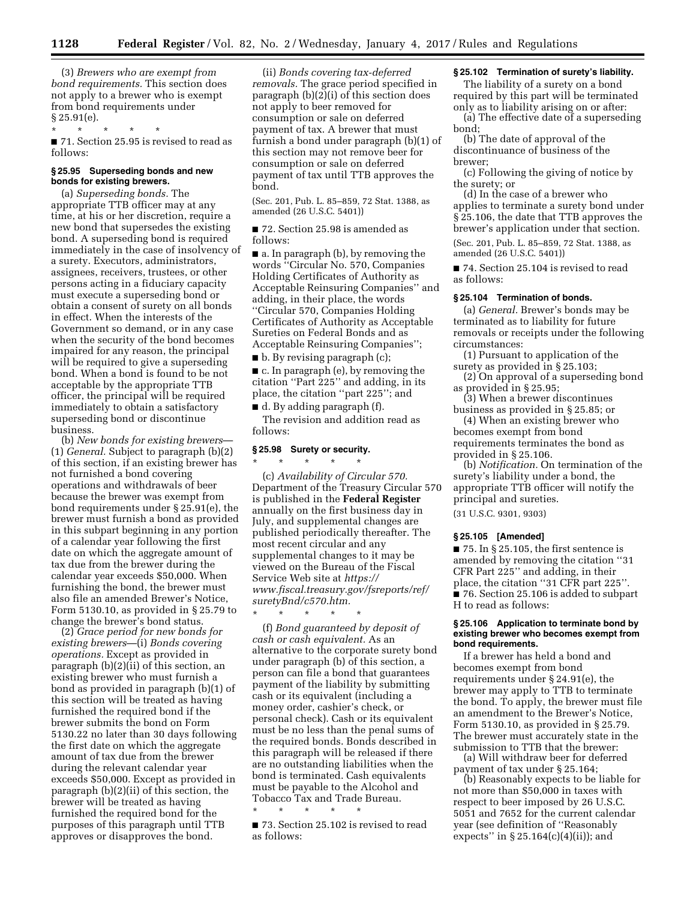(3) *Brewers who are exempt from bond requirements.* This section does not apply to a brewer who is exempt from bond requirements under  $\frac{6}{2}$  25.91(e).

\* \* \* \* \* ■ 71. Section 25.95 is revised to read as follows:

### **§ 25.95 Superseding bonds and new bonds for existing brewers.**

(a) *Superseding bonds.* The appropriate TTB officer may at any time, at his or her discretion, require a new bond that supersedes the existing bond. A superseding bond is required immediately in the case of insolvency of a surety. Executors, administrators, assignees, receivers, trustees, or other persons acting in a fiduciary capacity must execute a superseding bond or obtain a consent of surety on all bonds in effect. When the interests of the Government so demand, or in any case when the security of the bond becomes impaired for any reason, the principal will be required to give a superseding bond. When a bond is found to be not acceptable by the appropriate TTB officer, the principal will be required immediately to obtain a satisfactory superseding bond or discontinue business.

(b) *New bonds for existing brewers*— (1) *General.* Subject to paragraph (b)(2) of this section, if an existing brewer has not furnished a bond covering operations and withdrawals of beer because the brewer was exempt from bond requirements under § 25.91(e), the brewer must furnish a bond as provided in this subpart beginning in any portion of a calendar year following the first date on which the aggregate amount of tax due from the brewer during the calendar year exceeds \$50,000. When furnishing the bond, the brewer must also file an amended Brewer's Notice, Form 5130.10, as provided in § 25.79 to change the brewer's bond status.

(2) *Grace period for new bonds for existing brewers*—(i) *Bonds covering operations.* Except as provided in paragraph (b)(2)(ii) of this section, an existing brewer who must furnish a bond as provided in paragraph (b)(1) of this section will be treated as having furnished the required bond if the brewer submits the bond on Form 5130.22 no later than 30 days following the first date on which the aggregate amount of tax due from the brewer during the relevant calendar year exceeds \$50,000. Except as provided in paragraph (b)(2)(ii) of this section, the brewer will be treated as having furnished the required bond for the purposes of this paragraph until TTB approves or disapproves the bond.

(ii) *Bonds covering tax-deferred removals.* The grace period specified in paragraph (b)(2)(i) of this section does not apply to beer removed for consumption or sale on deferred payment of tax. A brewer that must furnish a bond under paragraph (b)(1) of this section may not remove beer for consumption or sale on deferred payment of tax until TTB approves the bond.

(Sec. 201, Pub. L. 85–859, 72 Stat. 1388, as amended (26 U.S.C. 5401))

■ 72. Section 25.98 is amended as follows:

■ a. In paragraph (b), by removing the words ''Circular No. 570, Companies Holding Certificates of Authority as Acceptable Reinsuring Companies'' and adding, in their place, the words ''Circular 570, Companies Holding Certificates of Authority as Acceptable Sureties on Federal Bonds and as Acceptable Reinsuring Companies'';

■ b. By revising paragraph (c);

■ c. In paragraph (e), by removing the citation ''Part 225'' and adding, in its place, the citation ''part 225''; and ■ d. By adding paragraph (f).

The revision and addition read as follows:

# **§ 25.98 Surety or security.**

\* \* \* \* \*

(c) *Availability of Circular 570.*  Department of the Treasury Circular 570 is published in the **Federal Register**  annually on the first business day in July, and supplemental changes are published periodically thereafter. The most recent circular and any supplemental changes to it may be viewed on the Bureau of the Fiscal Service Web site at *[https://](https://www.fiscal.treasury.gov/fsreports/ref/suretyBnd/c570.htm) [www.fiscal.treasury.gov/fsreports/ref/](https://www.fiscal.treasury.gov/fsreports/ref/suretyBnd/c570.htm)  [suretyBnd/c570.htm.](https://www.fiscal.treasury.gov/fsreports/ref/suretyBnd/c570.htm)* 

\* \* \* \* \* (f) *Bond guaranteed by deposit of cash or cash equivalent.* As an alternative to the corporate surety bond under paragraph (b) of this section, a person can file a bond that guarantees payment of the liability by submitting cash or its equivalent (including a money order, cashier's check, or personal check). Cash or its equivalent must be no less than the penal sums of the required bonds. Bonds described in this paragraph will be released if there are no outstanding liabilities when the bond is terminated. Cash equivalents must be payable to the Alcohol and Tobacco Tax and Trade Bureau.

■ 73. Section 25.102 is revised to read as follows:

\* \* \* \* \*

## **§ 25.102 Termination of surety's liability.**

The liability of a surety on a bond required by this part will be terminated only as to liability arising on or after:

(a) The effective date of a superseding bond;

(b) The date of approval of the discontinuance of business of the brewer;

(c) Following the giving of notice by the surety; or

(d) In the case of a brewer who applies to terminate a surety bond under § 25.106, the date that TTB approves the brewer's application under that section. (Sec. 201, Pub. L. 85–859, 72 Stat. 1388, as amended (26 U.S.C. 5401))

■ 74. Section 25.104 is revised to read as follows:

## **§ 25.104 Termination of bonds.**

(a) *General.* Brewer's bonds may be terminated as to liability for future removals or receipts under the following circumstances:

(1) Pursuant to application of the surety as provided in § 25.103;

(2) On approval of a superseding bond as provided in § 25.95;

(3) When a brewer discontinues business as provided in § 25.85; or

(4) When an existing brewer who becomes exempt from bond requirements terminates the bond as provided in § 25.106.

(b) *Notification.* On termination of the surety's liability under a bond, the appropriate TTB officer will notify the principal and sureties.

(31 U.S.C. 9301, 9303)

### **§ 25.105 [Amended]**

■ 75. In § 25.105, the first sentence is amended by removing the citation ''31 CFR Part 225'' and adding, in their place, the citation ''31 CFR part 225''. ■ 76. Section 25.106 is added to subpart H to read as follows:

### **§ 25.106 Application to terminate bond by existing brewer who becomes exempt from bond requirements.**

If a brewer has held a bond and becomes exempt from bond requirements under § 24.91(e), the brewer may apply to TTB to terminate the bond. To apply, the brewer must file an amendment to the Brewer's Notice, Form 5130.10, as provided in § 25.79. The brewer must accurately state in the submission to TTB that the brewer:

(a) Will withdraw beer for deferred payment of tax under § 25.164;

(b) Reasonably expects to be liable for not more than \$50,000 in taxes with respect to beer imposed by 26 U.S.C. 5051 and 7652 for the current calendar year (see definition of ''Reasonably expects" in  $\S 25.164(c)(4)(ii)$ ; and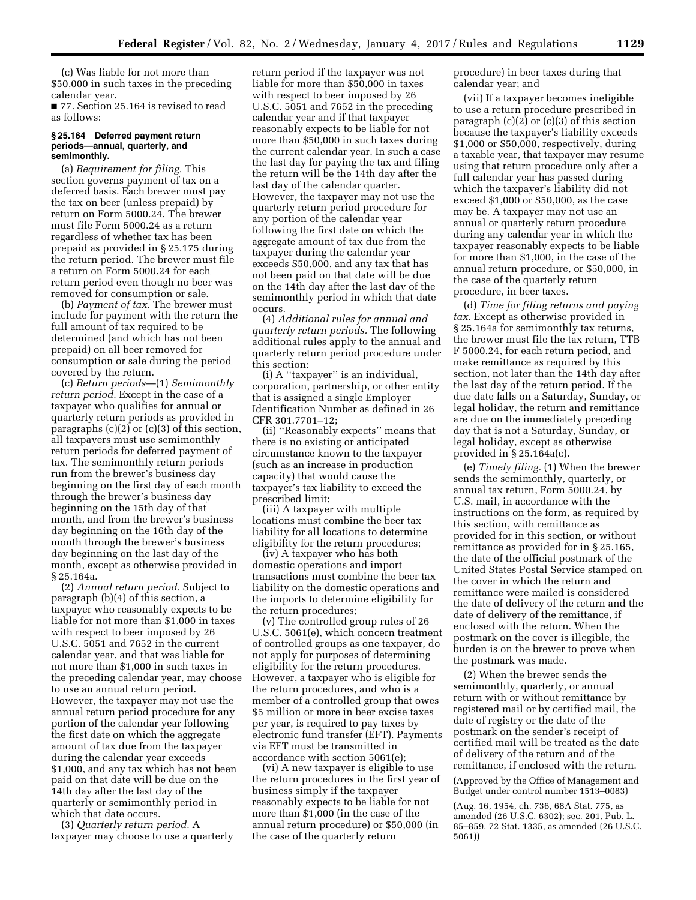(c) Was liable for not more than \$50,000 in such taxes in the preceding calendar year.

■ 77. Section 25.164 is revised to read as follows:

### **§ 25.164 Deferred payment return periods—annual, quarterly, and semimonthly.**

(a) *Requirement for filing.* This section governs payment of tax on a deferred basis. Each brewer must pay the tax on beer (unless prepaid) by return on Form 5000.24. The brewer must file Form 5000.24 as a return regardless of whether tax has been prepaid as provided in § 25.175 during the return period. The brewer must file a return on Form 5000.24 for each return period even though no beer was removed for consumption or sale.

(b) *Payment of tax.* The brewer must include for payment with the return the full amount of tax required to be determined (and which has not been prepaid) on all beer removed for consumption or sale during the period covered by the return.

(c) *Return periods*—(1) *Semimonthly return period.* Except in the case of a taxpayer who qualifies for annual or quarterly return periods as provided in paragraphs (c)(2) or (c)(3) of this section, all taxpayers must use semimonthly return periods for deferred payment of tax. The semimonthly return periods run from the brewer's business day beginning on the first day of each month through the brewer's business day beginning on the 15th day of that month, and from the brewer's business day beginning on the 16th day of the month through the brewer's business day beginning on the last day of the month, except as otherwise provided in § 25.164a.

(2) *Annual return period.* Subject to paragraph (b)(4) of this section, a taxpayer who reasonably expects to be liable for not more than \$1,000 in taxes with respect to beer imposed by 26 U.S.C. 5051 and 7652 in the current calendar year, and that was liable for not more than \$1,000 in such taxes in the preceding calendar year, may choose to use an annual return period. However, the taxpayer may not use the annual return period procedure for any portion of the calendar year following the first date on which the aggregate amount of tax due from the taxpayer during the calendar year exceeds \$1,000, and any tax which has not been paid on that date will be due on the 14th day after the last day of the quarterly or semimonthly period in which that date occurs.

(3) *Quarterly return period.* A taxpayer may choose to use a quarterly

return period if the taxpayer was not liable for more than \$50,000 in taxes with respect to beer imposed by 26 U.S.C. 5051 and 7652 in the preceding calendar year and if that taxpayer reasonably expects to be liable for not more than \$50,000 in such taxes during the current calendar year. In such a case the last day for paying the tax and filing the return will be the 14th day after the last day of the calendar quarter. However, the taxpayer may not use the quarterly return period procedure for any portion of the calendar year following the first date on which the aggregate amount of tax due from the taxpayer during the calendar year exceeds \$50,000, and any tax that has not been paid on that date will be due on the 14th day after the last day of the semimonthly period in which that date occurs.

(4) *Additional rules for annual and quarterly return periods.* The following additional rules apply to the annual and quarterly return period procedure under this section:

(i) A ''taxpayer'' is an individual, corporation, partnership, or other entity that is assigned a single Employer Identification Number as defined in 26 CFR 301.7701–12;

(ii) ''Reasonably expects'' means that there is no existing or anticipated circumstance known to the taxpayer (such as an increase in production capacity) that would cause the taxpayer's tax liability to exceed the prescribed limit;

(iii) A taxpayer with multiple locations must combine the beer tax liability for all locations to determine eligibility for the return procedures;

(iv) A taxpayer who has both domestic operations and import transactions must combine the beer tax liability on the domestic operations and the imports to determine eligibility for the return procedures;

(v) The controlled group rules of 26 U.S.C. 5061(e), which concern treatment of controlled groups as one taxpayer, do not apply for purposes of determining eligibility for the return procedures. However, a taxpayer who is eligible for the return procedures, and who is a member of a controlled group that owes \$5 million or more in beer excise taxes per year, is required to pay taxes by electronic fund transfer (EFT). Payments via EFT must be transmitted in accordance with section 5061(e);

(vi) A new taxpayer is eligible to use the return procedures in the first year of business simply if the taxpayer reasonably expects to be liable for not more than \$1,000 (in the case of the annual return procedure) or \$50,000 (in the case of the quarterly return

procedure) in beer taxes during that calendar year; and

(vii) If a taxpayer becomes ineligible to use a return procedure prescribed in paragraph (c)(2) or (c)(3) of this section because the taxpayer's liability exceeds \$1,000 or \$50,000, respectively, during a taxable year, that taxpayer may resume using that return procedure only after a full calendar year has passed during which the taxpayer's liability did not exceed \$1,000 or \$50,000, as the case may be. A taxpayer may not use an annual or quarterly return procedure during any calendar year in which the taxpayer reasonably expects to be liable for more than \$1,000, in the case of the annual return procedure, or \$50,000, in the case of the quarterly return procedure, in beer taxes.

(d) *Time for filing returns and paying tax.* Except as otherwise provided in § 25.164a for semimonthly tax returns, the brewer must file the tax return, TTB F 5000.24, for each return period, and make remittance as required by this section, not later than the 14th day after the last day of the return period. If the due date falls on a Saturday, Sunday, or legal holiday, the return and remittance are due on the immediately preceding day that is not a Saturday, Sunday, or legal holiday, except as otherwise provided in § 25.164a(c).

(e) *Timely filing.* (1) When the brewer sends the semimonthly, quarterly, or annual tax return, Form 5000.24, by U.S. mail, in accordance with the instructions on the form, as required by this section, with remittance as provided for in this section, or without remittance as provided for in § 25.165, the date of the official postmark of the United States Postal Service stamped on the cover in which the return and remittance were mailed is considered the date of delivery of the return and the date of delivery of the remittance, if enclosed with the return. When the postmark on the cover is illegible, the burden is on the brewer to prove when the postmark was made.

(2) When the brewer sends the semimonthly, quarterly, or annual return with or without remittance by registered mail or by certified mail, the date of registry or the date of the postmark on the sender's receipt of certified mail will be treated as the date of delivery of the return and of the remittance, if enclosed with the return.

(Approved by the Office of Management and Budget under control number 1513–0083)

(Aug. 16, 1954, ch. 736, 68A Stat. 775, as amended (26 U.S.C. 6302); sec. 201, Pub. L. 85–859, 72 Stat. 1335, as amended (26 U.S.C. 5061))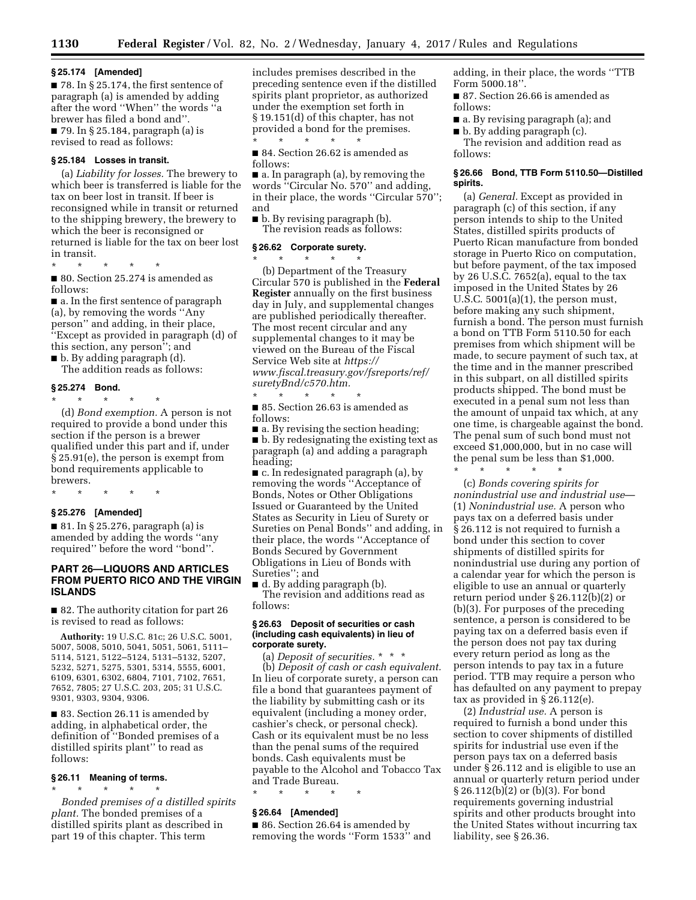#### **§ 25.174 [Amended]**

■ 78. In § 25.174, the first sentence of paragraph (a) is amended by adding after the word ''When'' the words ''a brewer has filed a bond and''. ■ 79. In § 25.184, paragraph (a) is revised to read as follows:

#### **§ 25.184 Losses in transit.**

(a) *Liability for losses.* The brewery to which beer is transferred is liable for the tax on beer lost in transit. If beer is reconsigned while in transit or returned to the shipping brewery, the brewery to which the beer is reconsigned or returned is liable for the tax on beer lost in transit.

\* \* \* \* \* ■ 80. Section 25.274 is amended as follows:

■ a. In the first sentence of paragraph (a), by removing the words ''Any person'' and adding, in their place, ''Except as provided in paragraph (d) of this section, any person''; and

■ b. By adding paragraph (d).

The addition reads as follows:

### **§ 25.274 Bond.**

\* \* \* \* \*

(d) *Bond exemption.* A person is not required to provide a bond under this section if the person is a brewer qualified under this part and if, under § 25.91(e), the person is exempt from bond requirements applicable to brewers.

\* \* \* \* \*

### **§ 25.276 [Amended]**

■ 81. In § 25.276, paragraph (a) is amended by adding the words ''any required'' before the word ''bond''.

## **PART 26—LIQUORS AND ARTICLES FROM PUERTO RICO AND THE VIRGIN ISLANDS**

■ 82. The authority citation for part 26 is revised to read as follows:

**Authority:** 19 U.S.C. 81c; 26 U.S.C. 5001, 5007, 5008, 5010, 5041, 5051, 5061, 5111– 5114, 5121, 5122–5124, 5131–5132, 5207, 5232, 5271, 5275, 5301, 5314, 5555, 6001, 6109, 6301, 6302, 6804, 7101, 7102, 7651, 7652, 7805; 27 U.S.C. 203, 205; 31 U.S.C. 9301, 9303, 9304, 9306.

■ 83. Section 26.11 is amended by adding, in alphabetical order, the definition of ''Bonded premises of a distilled spirits plant'' to read as follows:

## **§ 26.11 Meaning of terms.**  \* \* \* \* \*

*Bonded premises of a distilled spirits plant.* The bonded premises of a distilled spirits plant as described in part 19 of this chapter. This term

includes premises described in the preceding sentence even if the distilled spirits plant proprietor, as authorized under the exemption set forth in § 19.151(d) of this chapter, has not provided a bond for the premises.

\* \* \* \* \* ■ 84. Section 26.62 is amended as follows:

■ a. In paragraph (a), by removing the words ''Circular No. 570'' and adding, in their place, the words "Circular 570"; and

■ b. By revising paragraph (b). The revision reads as follows:

#### **§ 26.62 Corporate surety.**

\* \* \* \* \* (b) Department of the Treasury Circular 570 is published in the **Federal Register** annually on the first business day in July, and supplemental changes are published periodically thereafter. The most recent circular and any supplemental changes to it may be viewed on the Bureau of the Fiscal Service Web site at *[https://](https://www.fiscal.treasury.gov/fsreports/ref/suretyBnd/c570.htm) [www.fiscal.treasury.gov/fsreports/ref/](https://www.fiscal.treasury.gov/fsreports/ref/suretyBnd/c570.htm)  [suretyBnd/c570.htm.](https://www.fiscal.treasury.gov/fsreports/ref/suretyBnd/c570.htm)* 

\* \* \* \* \* ■ 85. Section 26.63 is amended as follows:

 $\blacksquare$  a. By revising the section heading; ■ b. By redesignating the existing text as paragraph (a) and adding a paragraph heading;

■ c. In redesignated paragraph (a), by removing the words ''Acceptance of Bonds, Notes or Other Obligations Issued or Guaranteed by the United States as Security in Lieu of Surety or Sureties on Penal Bonds'' and adding, in their place, the words ''Acceptance of Bonds Secured by Government Obligations in Lieu of Bonds with Sureties''; and

■ d. By adding paragraph (b). The revision and additions read as follows:

### **§ 26.63 Deposit of securities or cash (including cash equivalents) in lieu of corporate surety.**

(a) *Deposit of securities.* \* \* \* (b) *Deposit of cash or cash equivalent.*  In lieu of corporate surety, a person can file a bond that guarantees payment of the liability by submitting cash or its equivalent (including a money order, cashier's check, or personal check). Cash or its equivalent must be no less than the penal sums of the required bonds. Cash equivalents must be payable to the Alcohol and Tobacco Tax and Trade Bureau.

\* \* \* \* \*

### **§ 26.64 [Amended]**

■ 86. Section 26.64 is amended by removing the words ''Form 1533'' and adding, in their place, the words ''TTB Form 5000.18''.

■ 87. Section 26.66 is amended as follows:

■ a. By revising paragraph (a); and ■ b. By adding paragraph (c).

The revision and addition read as follows:

### **§ 26.66 Bond, TTB Form 5110.50—Distilled spirits.**

(a) *General.* Except as provided in paragraph (c) of this section, if any person intends to ship to the United States, distilled spirits products of Puerto Rican manufacture from bonded storage in Puerto Rico on computation, but before payment, of the tax imposed by 26 U.S.C. 7652(a), equal to the tax imposed in the United States by 26 U.S.C. 5001(a)(1), the person must, before making any such shipment, furnish a bond. The person must furnish a bond on TTB Form 5110.50 for each premises from which shipment will be made, to secure payment of such tax, at the time and in the manner prescribed in this subpart, on all distilled spirits products shipped. The bond must be executed in a penal sum not less than the amount of unpaid tax which, at any one time, is chargeable against the bond. The penal sum of such bond must not exceed \$1,000,000, but in no case will the penal sum be less than \$1,000. \* \* \* \* \*

(c) *Bonds covering spirits for nonindustrial use and industrial use*— (1) *Nonindustrial use.* A person who pays tax on a deferred basis under § 26.112 is not required to furnish a bond under this section to cover shipments of distilled spirits for nonindustrial use during any portion of a calendar year for which the person is eligible to use an annual or quarterly return period under § 26.112(b)(2) or (b)(3). For purposes of the preceding sentence, a person is considered to be paying tax on a deferred basis even if the person does not pay tax during every return period as long as the person intends to pay tax in a future period. TTB may require a person who has defaulted on any payment to prepay tax as provided in § 26.112(e).

(2) *Industrial use.* A person is required to furnish a bond under this section to cover shipments of distilled spirits for industrial use even if the person pays tax on a deferred basis under § 26.112 and is eligible to use an annual or quarterly return period under § 26.112(b)(2) or (b)(3). For bond requirements governing industrial spirits and other products brought into the United States without incurring tax liability, see § 26.36.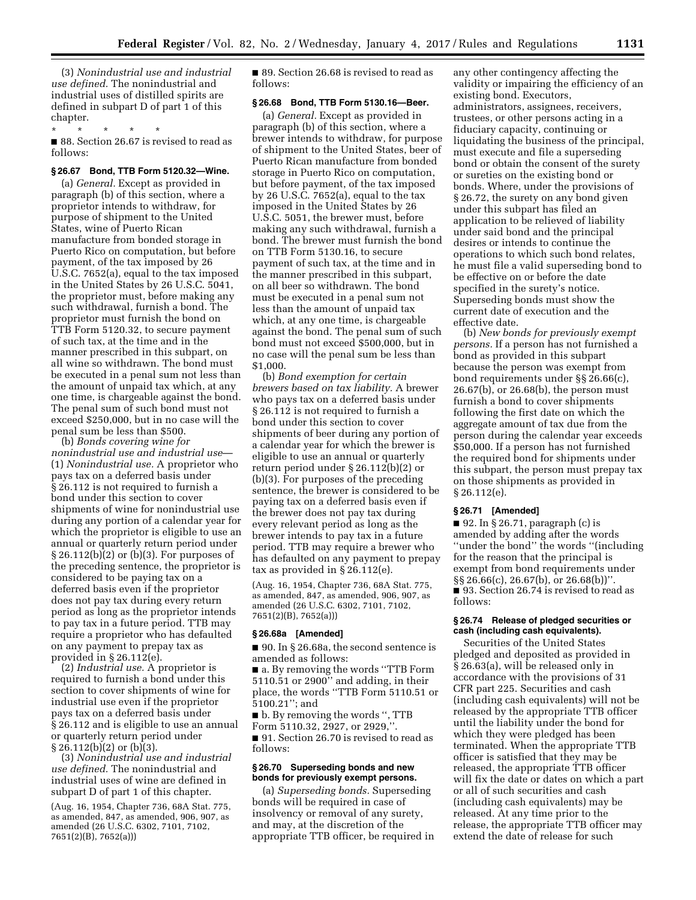(3) *Nonindustrial use and industrial use defined.* The nonindustrial and industrial uses of distilled spirits are defined in subpart D of part 1 of this chapter.

\* \* \* \* \* ■ 88. Section 26.67 is revised to read as follows:

### **§ 26.67 Bond, TTB Form 5120.32—Wine.**

(a) *General.* Except as provided in paragraph (b) of this section, where a proprietor intends to withdraw, for purpose of shipment to the United States, wine of Puerto Rican manufacture from bonded storage in Puerto Rico on computation, but before payment, of the tax imposed by 26 U.S.C. 7652(a), equal to the tax imposed in the United States by 26 U.S.C. 5041, the proprietor must, before making any such withdrawal, furnish a bond. The proprietor must furnish the bond on TTB Form 5120.32, to secure payment of such tax, at the time and in the manner prescribed in this subpart, on all wine so withdrawn. The bond must be executed in a penal sum not less than the amount of unpaid tax which, at any one time, is chargeable against the bond. The penal sum of such bond must not exceed \$250,000, but in no case will the penal sum be less than \$500.

(b) *Bonds covering wine for nonindustrial use and industrial use*— (1) *Nonindustrial use.* A proprietor who pays tax on a deferred basis under § 26.112 is not required to furnish a bond under this section to cover shipments of wine for nonindustrial use during any portion of a calendar year for which the proprietor is eligible to use an annual or quarterly return period under § 26.112(b)(2) or (b)(3). For purposes of the preceding sentence, the proprietor is considered to be paying tax on a deferred basis even if the proprietor does not pay tax during every return period as long as the proprietor intends to pay tax in a future period. TTB may require a proprietor who has defaulted on any payment to prepay tax as provided in § 26.112(e).

(2) *Industrial use.* A proprietor is required to furnish a bond under this section to cover shipments of wine for industrial use even if the proprietor pays tax on a deferred basis under § 26.112 and is eligible to use an annual or quarterly return period under  $§ 26.112(b)(2)$  or  $(b)(3)$ .

(3) *Nonindustrial use and industrial use defined.* The nonindustrial and industrial uses of wine are defined in subpart D of part 1 of this chapter.

(Aug. 16, 1954, Chapter 736, 68A Stat. 775, as amended, 847, as amended, 906, 907, as amended (26 U.S.C. 6302, 7101, 7102, 7651(2)(B), 7652(a)))

■ 89. Section 26.68 is revised to read as follows:

## **§ 26.68 Bond, TTB Form 5130.16—Beer.**

(a) *General.* Except as provided in paragraph (b) of this section, where a brewer intends to withdraw, for purpose of shipment to the United States, beer of Puerto Rican manufacture from bonded storage in Puerto Rico on computation, but before payment, of the tax imposed by 26 U.S.C. 7652(a), equal to the tax imposed in the United States by 26 U.S.C. 5051, the brewer must, before making any such withdrawal, furnish a bond. The brewer must furnish the bond on TTB Form 5130.16, to secure payment of such tax, at the time and in the manner prescribed in this subpart, on all beer so withdrawn. The bond must be executed in a penal sum not less than the amount of unpaid tax which, at any one time, is chargeable against the bond. The penal sum of such bond must not exceed \$500,000, but in no case will the penal sum be less than \$1,000.

(b) *Bond exemption for certain brewers based on tax liability.* A brewer who pays tax on a deferred basis under § 26.112 is not required to furnish a bond under this section to cover shipments of beer during any portion of a calendar year for which the brewer is eligible to use an annual or quarterly return period under § 26.112(b)(2) or (b)(3). For purposes of the preceding sentence, the brewer is considered to be paying tax on a deferred basis even if the brewer does not pay tax during every relevant period as long as the brewer intends to pay tax in a future period. TTB may require a brewer who has defaulted on any payment to prepay tax as provided in § 26.112(e).

(Aug. 16, 1954, Chapter 736, 68A Stat. 775, as amended, 847, as amended, 906, 907, as amended (26 U.S.C. 6302, 7101, 7102, 7651(2)(B), 7652(a)))

### **§ 26.68a [Amended]**

■ 90. In § 26.68a, the second sentence is amended as follows:

■ a. By removing the words ''TTB Form 5110.51 or 2900'' and adding, in their place, the words ''TTB Form 5110.51 or 5100.21''; and

■ b. By removing the words ", TTB Form 5110.32, 2927, or 2929,''. ■ 91. Section 26.70 is revised to read as

follows:

## **§ 26.70 Superseding bonds and new bonds for previously exempt persons.**

(a) *Superseding bonds.* Superseding bonds will be required in case of insolvency or removal of any surety, and may, at the discretion of the appropriate TTB officer, be required in any other contingency affecting the validity or impairing the efficiency of an existing bond. Executors, administrators, assignees, receivers, trustees, or other persons acting in a fiduciary capacity, continuing or liquidating the business of the principal, must execute and file a superseding bond or obtain the consent of the surety or sureties on the existing bond or bonds. Where, under the provisions of § 26.72, the surety on any bond given under this subpart has filed an application to be relieved of liability under said bond and the principal desires or intends to continue the operations to which such bond relates, he must file a valid superseding bond to be effective on or before the date specified in the surety's notice. Superseding bonds must show the current date of execution and the effective date.

(b) *New bonds for previously exempt persons.* If a person has not furnished a bond as provided in this subpart because the person was exempt from bond requirements under §§ 26.66(c), 26.67(b), or 26.68(b), the person must furnish a bond to cover shipments following the first date on which the aggregate amount of tax due from the person during the calendar year exceeds \$50,000. If a person has not furnished the required bond for shipments under this subpart, the person must prepay tax on those shipments as provided in § 26.112(e).

## **§ 26.71 [Amended]**

 $\blacksquare$  92. In § 26.71, paragraph (c) is amended by adding after the words ''under the bond'' the words ''(including for the reason that the principal is exempt from bond requirements under §§ 26.66(c), 26.67(b), or 26.68(b))''. ■ 93. Section 26.74 is revised to read as follows:

### **§ 26.74 Release of pledged securities or cash (including cash equivalents).**

Securities of the United States pledged and deposited as provided in § 26.63(a), will be released only in accordance with the provisions of 31 CFR part 225. Securities and cash (including cash equivalents) will not be released by the appropriate TTB officer until the liability under the bond for which they were pledged has been terminated. When the appropriate TTB officer is satisfied that they may be released, the appropriate TTB officer will fix the date or dates on which a part or all of such securities and cash (including cash equivalents) may be released. At any time prior to the release, the appropriate TTB officer may extend the date of release for such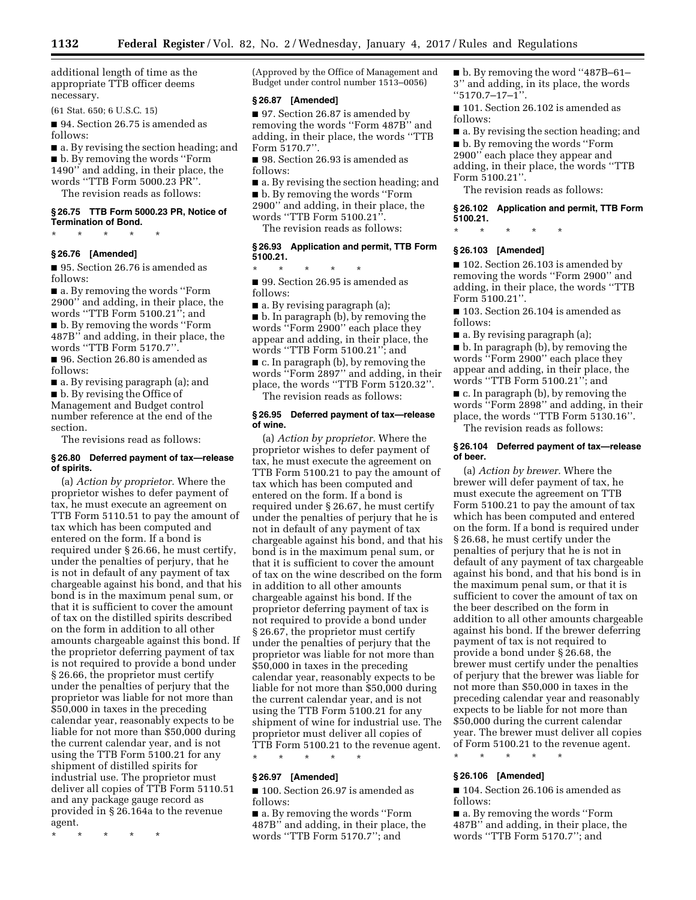additional length of time as the appropriate TTB officer deems necessary.

(61 Stat. 650; 6 U.S.C. 15)

■ 94. Section 26.75 is amended as follows:

■ a. By revising the section heading; and ■ b. By removing the words "Form 1490'' and adding, in their place, the words ''TTB Form 5000.23 PR''. The revision reads as follows:

**§ 26.75 TTB Form 5000.23 PR, Notice of Termination of Bond.** 

\* \* \* \* \*

## **§ 26.76 [Amended]**

■ 95. Section 26.76 is amended as follows:

■ a. By removing the words "Form 2900'' and adding, in their place, the words ''TTB Form 5100.21''; and ■ b. By removing the words "Form 487B'' and adding, in their place, the

words ''TTB Form 5170.7''. ■ 96. Section 26.80 is amended as

follows:

■ a. By revising paragraph (a); and ■ b. By revising the Office of

Management and Budget control number reference at the end of the section.

The revisions read as follows:

#### **§ 26.80 Deferred payment of tax—release of spirits.**

(a) *Action by proprietor.* Where the proprietor wishes to defer payment of tax, he must execute an agreement on TTB Form 5110.51 to pay the amount of tax which has been computed and entered on the form. If a bond is required under § 26.66, he must certify, under the penalties of perjury, that he is not in default of any payment of tax chargeable against his bond, and that his bond is in the maximum penal sum, or that it is sufficient to cover the amount of tax on the distilled spirits described on the form in addition to all other amounts chargeable against this bond. If the proprietor deferring payment of tax is not required to provide a bond under § 26.66, the proprietor must certify under the penalties of perjury that the proprietor was liable for not more than \$50,000 in taxes in the preceding calendar year, reasonably expects to be liable for not more than \$50,000 during the current calendar year, and is not using the TTB Form 5100.21 for any shipment of distilled spirits for industrial use. The proprietor must deliver all copies of TTB Form 5110.51 and any package gauge record as provided in § 26.164a to the revenue agent.

\* \* \* \* \*

(Approved by the Office of Management and Budget under control number 1513–0056)

### **§ 26.87 [Amended]**

■ 97. Section 26.87 is amended by removing the words ''Form 487B'' and adding, in their place, the words ''TTB Form 5170.7''.

■ 98. Section 26.93 is amended as follows:

■ a. By revising the section heading; and ■ b. By removing the words "Form 2900'' and adding, in their place, the words ''TTB Form 5100.21''. The revision reads as follows:

### **§ 26.93 Application and permit, TTB Form 5100.21.**

\* \* \* \* \*

■ 99. Section 26.95 is amended as follows:

■ a. By revising paragraph (a); ■ b. In paragraph (b), by removing the words ''Form 2900'' each place they appear and adding, in their place, the words ''TTB Form 5100.21''; and ■ c. In paragraph (b), by removing the words ''Form 2897'' and adding, in their place, the words ''TTB Form 5120.32''. The revision reads as follows:

### **§ 26.95 Deferred payment of tax—release of wine.**

(a) *Action by proprietor.* Where the proprietor wishes to defer payment of tax, he must execute the agreement on TTB Form 5100.21 to pay the amount of tax which has been computed and entered on the form. If a bond is required under § 26.67, he must certify under the penalties of perjury that he is not in default of any payment of tax chargeable against his bond, and that his bond is in the maximum penal sum, or that it is sufficient to cover the amount of tax on the wine described on the form in addition to all other amounts chargeable against his bond. If the proprietor deferring payment of tax is not required to provide a bond under § 26.67, the proprietor must certify under the penalties of perjury that the proprietor was liable for not more than \$50,000 in taxes in the preceding calendar year, reasonably expects to be liable for not more than \$50,000 during the current calendar year, and is not using the TTB Form 5100.21 for any shipment of wine for industrial use. The proprietor must deliver all copies of TTB Form 5100.21 to the revenue agent.

\* \* \* \* \*

## **§ 26.97 [Amended]**

■ 100. Section 26.97 is amended as follows:

■ a. By removing the words ''Form 487B'' and adding, in their place, the words ''TTB Form 5170.7''; and

■ b. By removing the word "487B–61– 3'' and adding, in its place, the words ''5170.7–17–1''.

■ 101. Section 26.102 is amended as follows:

■ a. By revising the section heading; and ■ b. By removing the words "Form 2900'' each place they appear and adding, in their place, the words ''TTB

Form 5100.21''.

The revision reads as follows:

**§ 26.102 Application and permit, TTB Form 5100.21.** 

\* \* \* \* \*

#### **§ 26.103 [Amended]**

■ 102. Section 26.103 is amended by removing the words ''Form 2900'' and adding, in their place, the words ''TTB Form 5100.21''.

■ 103. Section 26.104 is amended as follows:

■ a. By revising paragraph (a);

■ b. In paragraph (b), by removing the words ''Form 2900'' each place they appear and adding, in their place, the words ''TTB Form 5100.21''; and

■ c. In paragraph (b), by removing the words ''Form 2898'' and adding, in their place, the words ''TTB Form 5130.16''.

The revision reads as follows:

### **§ 26.104 Deferred payment of tax—release of beer.**

(a) *Action by brewer.* Where the brewer will defer payment of tax, he must execute the agreement on TTB Form 5100.21 to pay the amount of tax which has been computed and entered on the form. If a bond is required under § 26.68, he must certify under the penalties of perjury that he is not in default of any payment of tax chargeable against his bond, and that his bond is in the maximum penal sum, or that it is sufficient to cover the amount of tax on the beer described on the form in addition to all other amounts chargeable against his bond. If the brewer deferring payment of tax is not required to provide a bond under § 26.68, the brewer must certify under the penalties of perjury that the brewer was liable for not more than \$50,000 in taxes in the preceding calendar year and reasonably expects to be liable for not more than \$50,000 during the current calendar year. The brewer must deliver all copies of Form 5100.21 to the revenue agent.

#### **§ 26.106 [Amended]**

\* \* \* \* \*

■ 104. Section 26.106 is amended as follows:

■ a. By removing the words "Form 487B'' and adding, in their place, the words ''TTB Form 5170.7''; and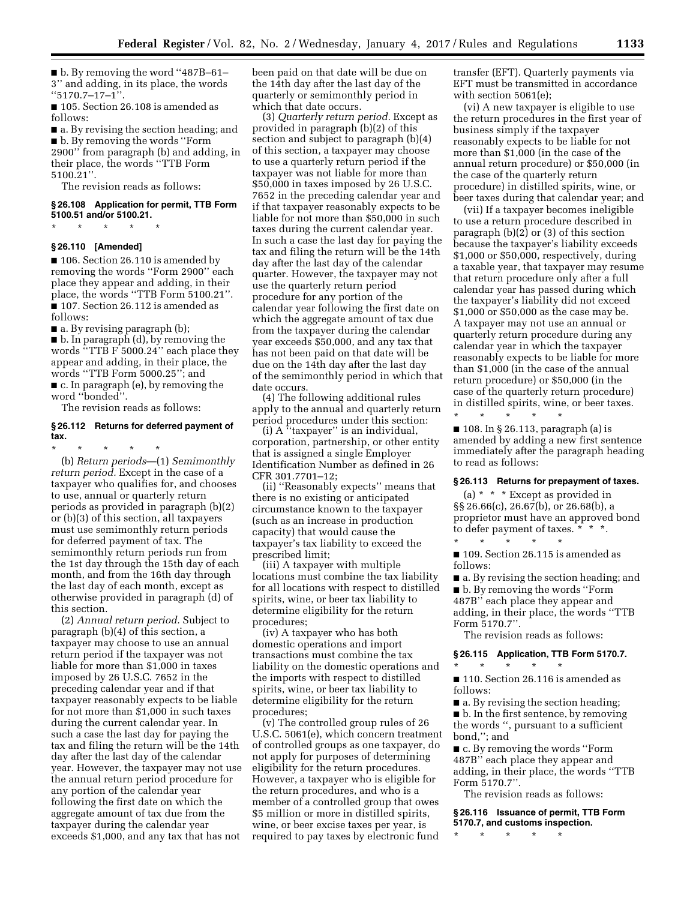■ b. By removing the word "487B-61-3'' and adding, in its place, the words  $``5170.7-17-1"$ 

■ 105. Section 26.108 is amended as follows:

■ a. By revising the section heading; and ■ b. By removing the words "Form 2900'' from paragraph (b) and adding, in their place, the words ''TTB Form 5100.21''.

The revision reads as follows:

## **§ 26.108 Application for permit, TTB Form 5100.51 and/or 5100.21.**

\* \* \* \* \*

## **§ 26.110 [Amended]**

■ 106. Section 26.110 is amended by removing the words ''Form 2900'' each place they appear and adding, in their place, the words ''TTB Form 5100.21''. ■ 107. Section 26.112 is amended as follows:

■ a. By revising paragraph (b);

■ b. In paragraph (d), by removing the words ''TTB F 5000.24'' each place they appear and adding, in their place, the words ''TTB Form 5000.25''; and ■ c. In paragraph (e), by removing the word ''bonded''.

The revision reads as follows:

### **§ 26.112 Returns for deferred payment of tax.**

\* \* \* \* \*

(b) *Return periods*—(1) *Semimonthly return period.* Except in the case of a taxpayer who qualifies for, and chooses to use, annual or quarterly return periods as provided in paragraph (b)(2) or (b)(3) of this section, all taxpayers must use semimonthly return periods for deferred payment of tax. The semimonthly return periods run from the 1st day through the 15th day of each month, and from the 16th day through the last day of each month, except as otherwise provided in paragraph (d) of this section.

(2) *Annual return period.* Subject to paragraph (b)(4) of this section, a taxpayer may choose to use an annual return period if the taxpayer was not liable for more than \$1,000 in taxes imposed by 26 U.S.C. 7652 in the preceding calendar year and if that taxpayer reasonably expects to be liable for not more than \$1,000 in such taxes during the current calendar year. In such a case the last day for paying the tax and filing the return will be the 14th day after the last day of the calendar year. However, the taxpayer may not use the annual return period procedure for any portion of the calendar year following the first date on which the aggregate amount of tax due from the taxpayer during the calendar year exceeds \$1,000, and any tax that has not

been paid on that date will be due on the 14th day after the last day of the quarterly or semimonthly period in which that date occurs.

(3) *Quarterly return period.* Except as provided in paragraph (b)(2) of this section and subject to paragraph (b)(4) of this section, a taxpayer may choose to use a quarterly return period if the taxpayer was not liable for more than \$50,000 in taxes imposed by 26 U.S.C. 7652 in the preceding calendar year and if that taxpayer reasonably expects to be liable for not more than \$50,000 in such taxes during the current calendar year. In such a case the last day for paying the tax and filing the return will be the 14th day after the last day of the calendar quarter. However, the taxpayer may not use the quarterly return period procedure for any portion of the calendar year following the first date on which the aggregate amount of tax due from the taxpayer during the calendar year exceeds \$50,000, and any tax that has not been paid on that date will be due on the 14th day after the last day of the semimonthly period in which that date occurs.

(4) The following additional rules apply to the annual and quarterly return period procedures under this section:

(i)  $A^T$  taxpayer" is an individual, corporation, partnership, or other entity that is assigned a single Employer Identification Number as defined in 26 CFR 301.7701–12;

(ii) ''Reasonably expects'' means that there is no existing or anticipated circumstance known to the taxpayer (such as an increase in production capacity) that would cause the taxpayer's tax liability to exceed the prescribed limit;

(iii) A taxpayer with multiple locations must combine the tax liability for all locations with respect to distilled spirits, wine, or beer tax liability to determine eligibility for the return procedures;

(iv) A taxpayer who has both domestic operations and import transactions must combine the tax liability on the domestic operations and the imports with respect to distilled spirits, wine, or beer tax liability to determine eligibility for the return procedures;

(v) The controlled group rules of 26 U.S.C. 5061(e), which concern treatment of controlled groups as one taxpayer, do not apply for purposes of determining eligibility for the return procedures. However, a taxpayer who is eligible for the return procedures, and who is a member of a controlled group that owes \$5 million or more in distilled spirits, wine, or beer excise taxes per year, is required to pay taxes by electronic fund

transfer (EFT). Quarterly payments via EFT must be transmitted in accordance with section 5061(e);

(vi) A new taxpayer is eligible to use the return procedures in the first year of business simply if the taxpayer reasonably expects to be liable for not more than \$1,000 (in the case of the annual return procedure) or \$50,000 (in the case of the quarterly return procedure) in distilled spirits, wine, or beer taxes during that calendar year; and

(vii) If a taxpayer becomes ineligible to use a return procedure described in paragraph (b)(2) or (3) of this section because the taxpayer's liability exceeds \$1,000 or \$50,000, respectively, during a taxable year, that taxpayer may resume that return procedure only after a full calendar year has passed during which the taxpayer's liability did not exceed \$1,000 or \$50,000 as the case may be. A taxpayer may not use an annual or quarterly return procedure during any calendar year in which the taxpayer reasonably expects to be liable for more than \$1,000 (in the case of the annual return procedure) or \$50,000 (in the case of the quarterly return procedure) in distilled spirits, wine, or beer taxes.

 $\blacksquare$  108. In § 26.113, paragraph (a) is amended by adding a new first sentence immediately after the paragraph heading to read as follows:

\* \* \* \* \*

\* \* \* \* \*

### **§ 26.113 Returns for prepayment of taxes.**

(a) \* \* \* Except as provided in §§ 26.66(c), 26.67(b), or 26.68(b), a proprietor must have an approved bond to defer payment of taxes. \* \* \*.

■ 109. Section 26.115 is amended as follows:

■ a. By revising the section heading; and ■ b. By removing the words "Form 487B'' each place they appear and adding, in their place, the words ''TTB Form 5170.7''.

The revision reads as follows:

## **§ 26.115 Application, TTB Form 5170.7.**

\* \* \* \* \*

■ 110. Section 26.116 is amended as follows:

■ a. By revising the section heading; ■ b. In the first sentence, by removing the words '', pursuant to a sufficient bond,''; and

■ c. By removing the words "Form 487B" each place they appear and adding, in their place, the words ''TTB Form 5170.7''.

The revision reads as follows:

**§ 26.116 Issuance of permit, TTB Form 5170.7, and customs inspection.** 

\* \* \* \* \*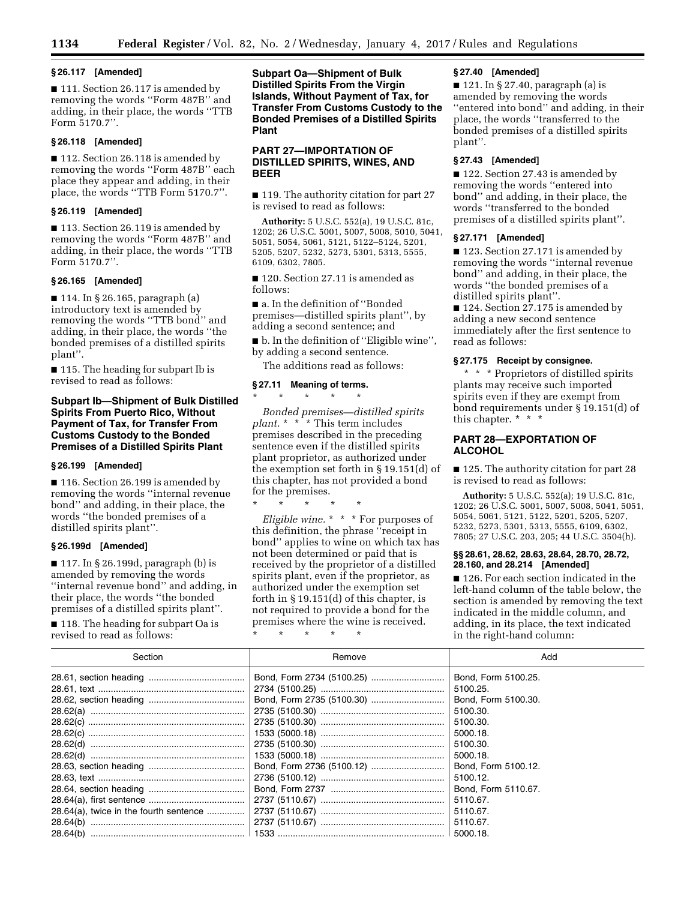## **§ 26.117 [Amended]**

■ 111. Section 26.117 is amended by removing the words ''Form 487B'' and adding, in their place, the words ''TTB Form 5170.7''.

## **§ 26.118 [Amended]**

■ 112. Section 26.118 is amended by removing the words ''Form 487B'' each place they appear and adding, in their place, the words ''TTB Form 5170.7''.

## **§ 26.119 [Amended]**

■ 113. Section 26.119 is amended by removing the words ''Form 487B'' and adding, in their place, the words ''TTB Form 5170.7''.

## **§ 26.165 [Amended]**

■ 114. In § 26.165, paragraph (a) introductory text is amended by removing the words ''TTB bond'' and adding, in their place, the words ''the bonded premises of a distilled spirits plant''.

■ 115. The heading for subpart Ib is revised to read as follows:

## **Subpart Ib—Shipment of Bulk Distilled Spirits From Puerto Rico, Without Payment of Tax, for Transfer From Customs Custody to the Bonded Premises of a Distilled Spirits Plant**

#### **§ 26.199 [Amended]**

■ 116. Section 26.199 is amended by removing the words ''internal revenue bond'' and adding, in their place, the words ''the bonded premises of a distilled spirits plant''.

### **§ 26.199d [Amended]**

■ 117. In § 26.199d, paragraph (b) is amended by removing the words ''internal revenue bond'' and adding, in their place, the words ''the bonded premises of a distilled spirits plant''.

■ 118. The heading for subpart Oa is revised to read as follows:

**Subpart Oa—Shipment of Bulk Distilled Spirits From the Virgin Islands, Without Payment of Tax, for Transfer From Customs Custody to the Bonded Premises of a Distilled Spirits Plant** 

## **PART 27—IMPORTATION OF DISTILLED SPIRITS, WINES, AND BEER**

■ 119. The authority citation for part 27 is revised to read as follows:

**Authority:** 5 U.S.C. 552(a), 19 U.S.C. 81c, 1202; 26 U.S.C. 5001, 5007, 5008, 5010, 5041, 5051, 5054, 5061, 5121, 5122–5124, 5201, 5205, 5207, 5232, 5273, 5301, 5313, 5555, 6109, 6302, 7805.

■ 120. Section 27.11 is amended as follows:

■ a. In the definition of "Bonded premises—distilled spirits plant'', by adding a second sentence; and

■ b. In the definition of "Eligible wine", by adding a second sentence.

The additions read as follows:

### **§ 27.11 Meaning of terms.**

\* \* \* \* \* *Bonded premises—distilled spirits plant.* \* \* \* This term includes premises described in the preceding sentence even if the distilled spirits plant proprietor, as authorized under the exemption set forth in § 19.151(d) of this chapter, has not provided a bond for the premises.

\* \* \* \* \*

\* \* \* \* \*

*Eligible wine.* \* \* \* For purposes of this definition, the phrase ''receipt in bond'' applies to wine on which tax has not been determined or paid that is received by the proprietor of a distilled spirits plant, even if the proprietor, as authorized under the exemption set forth in § 19.151(d) of this chapter, is not required to provide a bond for the premises where the wine is received.

#### **§ 27.40 [Amended]**

■ 121. In § 27.40, paragraph (a) is amended by removing the words ''entered into bond'' and adding, in their place, the words ''transferred to the bonded premises of a distilled spirits plant''.

### **§ 27.43 [Amended]**

■ 122. Section 27.43 is amended by removing the words ''entered into bond'' and adding, in their place, the words ''transferred to the bonded premises of a distilled spirits plant''.

### **§ 27.171 [Amended]**

■ 123. Section 27.171 is amended by removing the words ''internal revenue bond'' and adding, in their place, the words ''the bonded premises of a distilled spirits plant''.

■ 124. Section 27.175 is amended by adding a new second sentence immediately after the first sentence to read as follows:

## **§ 27.175 Receipt by consignee.**

\* \* \* Proprietors of distilled spirits plants may receive such imported spirits even if they are exempt from bond requirements under § 19.151(d) of this chapter. \* \* \*

## **PART 28—EXPORTATION OF ALCOHOL**

■ 125. The authority citation for part 28 is revised to read as follows:

**Authority:** 5 U.S.C. 552(a); 19 U.S.C. 81c, 1202; 26 U.S.C. 5001, 5007, 5008, 5041, 5051, 5054, 5061, 5121, 5122, 5201, 5205, 5207, 5232, 5273, 5301, 5313, 5555, 6109, 6302, 7805; 27 U.S.C. 203, 205; 44 U.S.C. 3504(h).

### **§§ 28.61, 28.62, 28.63, 28.64, 28.70, 28.72, 28.160, and 28.214 [Amended]**

■ 126. For each section indicated in the left-hand column of the table below, the section is amended by removing the text indicated in the middle column, and adding, in its place, the text indicated in the right-hand column:

| Section                                | Remove | Add                 |
|----------------------------------------|--------|---------------------|
|                                        |        | Bond, Form 5100.25. |
|                                        |        | 5100.25.            |
|                                        |        | Bond. Form 5100.30. |
|                                        |        | 5100.30.            |
|                                        |        | 5100.30.            |
|                                        |        | 5000.18.            |
|                                        |        | 5100.30.            |
|                                        |        | 5000.18.            |
|                                        |        | Bond, Form 5100.12. |
|                                        |        | 5100.12.            |
|                                        |        | Bond, Form 5110.67. |
|                                        |        | 5110.67.            |
| 28.64(a), twice in the fourth sentence |        | 5110.67.            |
| 28.64(b)                               |        | 5110.67.            |
| 28.64(b)                               |        | 5000.18.            |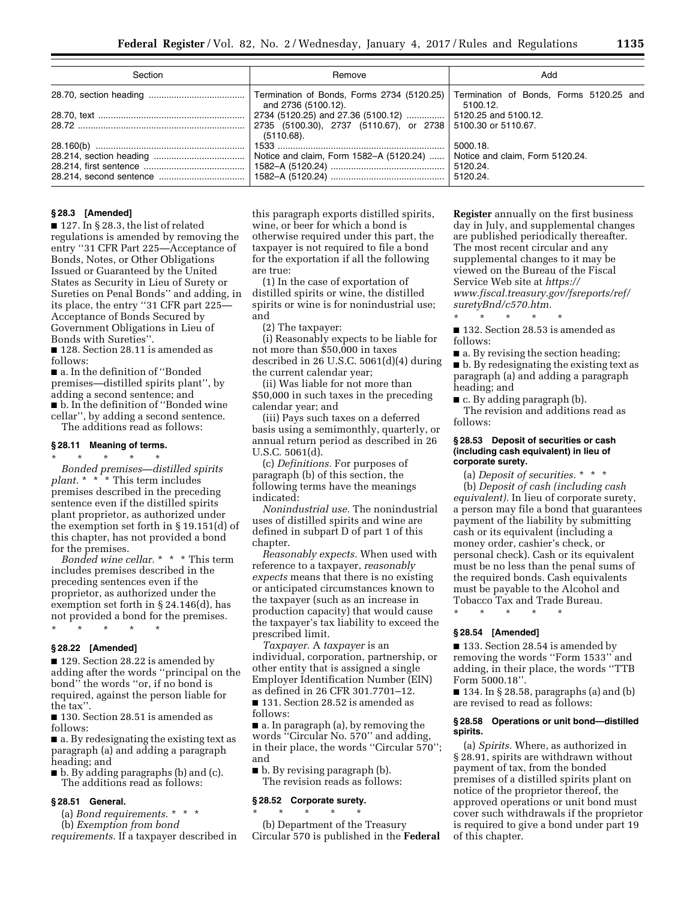| Section | Remove              | Add                                                 |
|---------|---------------------|-----------------------------------------------------|
|         | and 2736 (5100.12). | Termination of Bonds, Forms 5120.25 and<br>5100.12. |
|         |                     |                                                     |
|         | $(5110.68)$ .       |                                                     |
|         |                     | 5000.18.                                            |
|         |                     | Notice and claim, Form 5120.24.                     |
|         |                     | 5120.24.<br>5120.24.                                |

## **§ 28.3 [Amended]**

■ 127. In § 28.3, the list of related regulations is amended by removing the entry ''31 CFR Part 225—Acceptance of Bonds, Notes, or Other Obligations Issued or Guaranteed by the United States as Security in Lieu of Surety or Sureties on Penal Bonds'' and adding, in its place, the entry ''31 CFR part 225— Acceptance of Bonds Secured by Government Obligations in Lieu of Bonds with Sureties''.

■ 128. Section 28.11 is amended as follows:

■ a. In the definition of "Bonded premises—distilled spirits plant'', by adding a second sentence; and ■ b. In the definition of "Bonded wine cellar'', by adding a second sentence.

The additions read as follows:

#### **§ 28.11 Meaning of terms.**

\* \* \* \* \*

*Bonded premises—distilled spirits plant.* \* \* \* This term includes premises described in the preceding sentence even if the distilled spirits plant proprietor, as authorized under the exemption set forth in § 19.151(d) of this chapter, has not provided a bond for the premises.

*Bonded wine cellar.* \* \* \* This term includes premises described in the preceding sentences even if the proprietor, as authorized under the exemption set forth in § 24.146(d), has not provided a bond for the premises. \* \* \* \* \*

**§ 28.22 [Amended]** 

■ 129. Section 28.22 is amended by adding after the words ''principal on the bond'' the words ''or, if no bond is required, against the person liable for the tax''.

■ 130. Section 28.51 is amended as follows:

■ a. By redesignating the existing text as paragraph (a) and adding a paragraph heading; and

■ b. By adding paragraphs (b) and (c). The additions read as follows:

### **§ 28.51 General.**

(a) *Bond requirements.* \* \* \*

(b) *Exemption from bond* 

*requirements.* If a taxpayer described in

this paragraph exports distilled spirits, wine, or beer for which a bond is otherwise required under this part, the taxpayer is not required to file a bond for the exportation if all the following are true:

(1) In the case of exportation of distilled spirits or wine, the distilled spirits or wine is for nonindustrial use; and

(2) The taxpayer:

(i) Reasonably expects to be liable for not more than \$50,000 in taxes described in 26 U.S.C. 5061(d)(4) during the current calendar year;

(ii) Was liable for not more than \$50,000 in such taxes in the preceding calendar year; and

(iii) Pays such taxes on a deferred basis using a semimonthly, quarterly, or annual return period as described in 26 U.S.C. 5061(d).

(c) *Definitions.* For purposes of paragraph (b) of this section, the following terms have the meanings indicated:

*Nonindustrial use.* The nonindustrial uses of distilled spirits and wine are defined in subpart D of part 1 of this chapter.

*Reasonably expects.* When used with reference to a taxpayer, *reasonably expects* means that there is no existing or anticipated circumstances known to the taxpayer (such as an increase in production capacity) that would cause the taxpayer's tax liability to exceed the prescribed limit.

*Taxpayer.* A *taxpayer* is an individual, corporation, partnership, or other entity that is assigned a single Employer Identification Number (EIN) as defined in 26 CFR 301.7701–12. ■ 131. Section 28.52 is amended as follows:

■ a. In paragraph (a), by removing the words ''Circular No. 570'' and adding, in their place, the words "Circular 570"; and

■ b. By revising paragraph (b). The revision reads as follows:

### **§ 28.52 Corporate surety.**   $\star$   $\star$   $\star$

(b) Department of the Treasury Circular 570 is published in the **Federal**  **Register** annually on the first business day in July, and supplemental changes are published periodically thereafter. The most recent circular and any supplemental changes to it may be viewed on the Bureau of the Fiscal Service Web site at *[https://](https://www.fiscal.treasury.gov/fsreports/ref/suretyBnd/c570.htm) [www.fiscal.treasury.gov/fsreports/ref/](https://www.fiscal.treasury.gov/fsreports/ref/suretyBnd/c570.htm)  [suretyBnd/c570.htm.](https://www.fiscal.treasury.gov/fsreports/ref/suretyBnd/c570.htm)* 

■ 132. Section 28.53 is amended as follows:

\* \* \* \* \*

■ a. By revising the section heading; ■ b. By redesignating the existing text as

paragraph (a) and adding a paragraph heading; and ■ c. By adding paragraph (b).

The revision and additions read as follows:

### **§ 28.53 Deposit of securities or cash (including cash equivalent) in lieu of corporate surety.**

(a) *Deposit of securities.* \* \* \* (b) *Deposit of cash (including cash equivalent).* In lieu of corporate surety, a person may file a bond that guarantees payment of the liability by submitting cash or its equivalent (including a money order, cashier's check, or personal check). Cash or its equivalent must be no less than the penal sums of the required bonds. Cash equivalents must be payable to the Alcohol and Tobacco Tax and Trade Bureau.

\* \* \* \* \*

### **§ 28.54 [Amended]**

■ 133. Section 28.54 is amended by removing the words ''Form 1533'' and adding, in their place, the words ''TTB Form 5000.18''.

■ 134. In § 28.58, paragraphs (a) and (b) are revised to read as follows:

#### **§ 28.58 Operations or unit bond—distilled spirits.**

(a) *Spirits.* Where, as authorized in § 28.91, spirits are withdrawn without payment of tax, from the bonded premises of a distilled spirits plant on notice of the proprietor thereof, the approved operations or unit bond must cover such withdrawals if the proprietor is required to give a bond under part 19 of this chapter.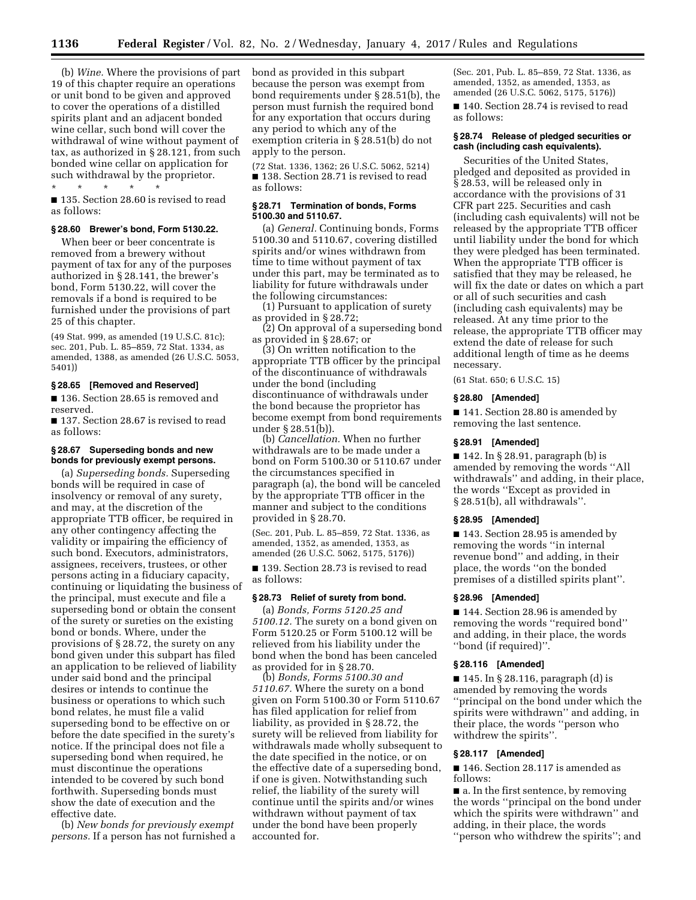(b) *Wine.* Where the provisions of part 19 of this chapter require an operations or unit bond to be given and approved to cover the operations of a distilled spirits plant and an adjacent bonded wine cellar, such bond will cover the withdrawal of wine without payment of tax, as authorized in § 28.121, from such bonded wine cellar on application for such withdrawal by the proprietor.

## \* \* \* \* \*

■ 135. Section 28.60 is revised to read as follows:

### **§ 28.60 Brewer's bond, Form 5130.22.**

When beer or beer concentrate is removed from a brewery without payment of tax for any of the purposes authorized in § 28.141, the brewer's bond, Form 5130.22, will cover the removals if a bond is required to be furnished under the provisions of part 25 of this chapter.

(49 Stat. 999, as amended (19 U.S.C. 81c); sec. 201, Pub. L. 85–859, 72 Stat. 1334, as amended, 1388, as amended (26 U.S.C. 5053, 5401))

## **§ 28.65 [Removed and Reserved]**

■ 136. Section 28.65 is removed and reserved.

■ 137. Section 28.67 is revised to read as follows:

## **§ 28.67 Superseding bonds and new bonds for previously exempt persons.**

(a) *Superseding bonds.* Superseding bonds will be required in case of insolvency or removal of any surety, and may, at the discretion of the appropriate TTB officer, be required in any other contingency affecting the validity or impairing the efficiency of such bond. Executors, administrators, assignees, receivers, trustees, or other persons acting in a fiduciary capacity, continuing or liquidating the business of the principal, must execute and file a superseding bond or obtain the consent of the surety or sureties on the existing bond or bonds. Where, under the provisions of § 28.72, the surety on any bond given under this subpart has filed an application to be relieved of liability under said bond and the principal desires or intends to continue the business or operations to which such bond relates, he must file a valid superseding bond to be effective on or before the date specified in the surety's notice. If the principal does not file a superseding bond when required, he must discontinue the operations intended to be covered by such bond forthwith. Superseding bonds must show the date of execution and the effective date.

(b) *New bonds for previously exempt persons.* If a person has not furnished a bond as provided in this subpart because the person was exempt from bond requirements under § 28.51(b), the person must furnish the required bond for any exportation that occurs during any period to which any of the exemption criteria in § 28.51(b) do not apply to the person.

(72 Stat. 1336, 1362; 26 U.S.C. 5062, 5214) ■ 138. Section 28.71 is revised to read as follows:

### **§ 28.71 Termination of bonds, Forms 5100.30 and 5110.67.**

(a) *General.* Continuing bonds, Forms 5100.30 and 5110.67, covering distilled spirits and/or wines withdrawn from time to time without payment of tax under this part, may be terminated as to liability for future withdrawals under the following circumstances:

(1) Pursuant to application of surety as provided in § 28.72;

(2) On approval of a superseding bond as provided in § 28.67; or

(3) On written notification to the appropriate TTB officer by the principal of the discontinuance of withdrawals under the bond (including discontinuance of withdrawals under the bond because the proprietor has become exempt from bond requirements under § 28.51(b)).

(b) *Cancellation.* When no further withdrawals are to be made under a bond on Form 5100.30 or 5110.67 under the circumstances specified in paragraph (a), the bond will be canceled by the appropriate TTB officer in the manner and subject to the conditions provided in § 28.70.

(Sec. 201, Pub. L. 85–859, 72 Stat. 1336, as amended, 1352, as amended, 1353, as amended (26 U.S.C. 5062, 5175, 5176))

■ 139. Section 28.73 is revised to read as follows:

# **§ 28.73 Relief of surety from bond.**

(a) *Bonds, Forms 5120.25 and 5100.12.* The surety on a bond given on Form 5120.25 or Form 5100.12 will be relieved from his liability under the bond when the bond has been canceled as provided for in § 28.70.

(b) *Bonds, Forms 5100.30 and 5110.67.* Where the surety on a bond given on Form 5100.30 or Form 5110.67 has filed application for relief from liability, as provided in § 28.72, the surety will be relieved from liability for withdrawals made wholly subsequent to the date specified in the notice, or on the effective date of a superseding bond, if one is given. Notwithstanding such relief, the liability of the surety will continue until the spirits and/or wines withdrawn without payment of tax under the bond have been properly accounted for.

(Sec. 201, Pub. L. 85–859, 72 Stat. 1336, as amended, 1352, as amended, 1353, as amended (26 U.S.C. 5062, 5175, 5176))

■ 140. Section 28.74 is revised to read as follows:

### **§ 28.74 Release of pledged securities or cash (including cash equivalents).**

Securities of the United States, pledged and deposited as provided in § 28.53, will be released only in accordance with the provisions of 31 CFR part 225. Securities and cash (including cash equivalents) will not be released by the appropriate TTB officer until liability under the bond for which they were pledged has been terminated. When the appropriate TTB officer is satisfied that they may be released, he will fix the date or dates on which a part or all of such securities and cash (including cash equivalents) may be released. At any time prior to the release, the appropriate TTB officer may extend the date of release for such additional length of time as he deems necessary.

(61 Stat. 650; 6 U.S.C. 15)

#### **§ 28.80 [Amended]**

■ 141. Section 28.80 is amended by removing the last sentence.

### **§ 28.91 [Amended]**

■ 142. In § 28.91, paragraph (b) is amended by removing the words ''All withdrawals'' and adding, in their place, the words ''Except as provided in § 28.51(b), all withdrawals''.

#### **§ 28.95 [Amended]**

■ 143. Section 28.95 is amended by removing the words ''in internal revenue bond'' and adding, in their place, the words ''on the bonded premises of a distilled spirits plant''.

### **§ 28.96 [Amended]**

■ 144. Section 28.96 is amended by removing the words ''required bond'' and adding, in their place, the words ''bond (if required)''.

### **§ 28.116 [Amended]**

 $\blacksquare$  145. In § 28.116, paragraph (d) is amended by removing the words ''principal on the bond under which the spirits were withdrawn'' and adding, in their place, the words ''person who withdrew the spirits''.

### **§ 28.117 [Amended]**

■ 146. Section 28.117 is amended as follows:

■ a. In the first sentence, by removing the words ''principal on the bond under which the spirits were withdrawn'' and adding, in their place, the words

''person who withdrew the spirits''; and